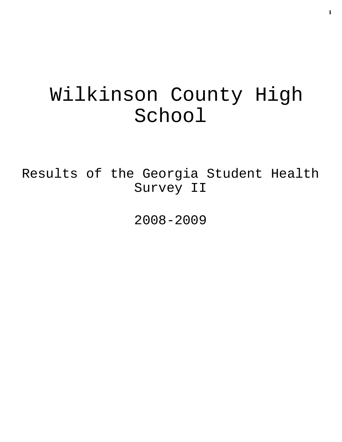# Wilkinson County High School

Results of the Georgia Student Health Survey II

2008-2009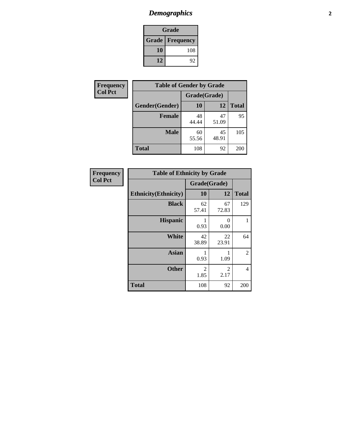### *Demographics* **2**

| Grade                    |     |  |  |
|--------------------------|-----|--|--|
| <b>Grade   Frequency</b> |     |  |  |
| 10                       | 108 |  |  |
| 12                       | 92  |  |  |

| Frequency      | <b>Table of Gender by Grade</b> |              |             |              |  |
|----------------|---------------------------------|--------------|-------------|--------------|--|
| <b>Col Pct</b> |                                 | Grade(Grade) |             |              |  |
|                | Gender(Gender)                  | 10           | 12          | <b>Total</b> |  |
|                | <b>Female</b>                   | 48<br>44.44  | 47<br>51.09 | 95           |  |
|                | <b>Male</b>                     | 60<br>55.56  | 45<br>48.91 | 105          |  |
|                | <b>Total</b>                    | 108          | 92          | 200          |  |

| <b>Frequency</b> |  |
|------------------|--|
| <b>Col Pct</b>   |  |

| <b>Table of Ethnicity by Grade</b> |                        |             |              |  |  |  |
|------------------------------------|------------------------|-------------|--------------|--|--|--|
|                                    | Grade(Grade)           |             |              |  |  |  |
| <b>Ethnicity</b> (Ethnicity)       | 10                     | 12          | <b>Total</b> |  |  |  |
| <b>Black</b>                       | 62<br>57.41            | 67<br>72.83 | 129          |  |  |  |
| <b>Hispanic</b>                    | 1<br>0.93              | 0<br>0.00   | 1            |  |  |  |
| <b>White</b>                       | 42<br>38.89            | 22<br>23.91 | 64           |  |  |  |
| <b>Asian</b>                       | 1<br>0.93              | 1<br>1.09   | 2            |  |  |  |
| <b>Other</b>                       | $\overline{2}$<br>1.85 | 2<br>2.17   | 4            |  |  |  |
| <b>Total</b>                       | 108                    | 92          | 200          |  |  |  |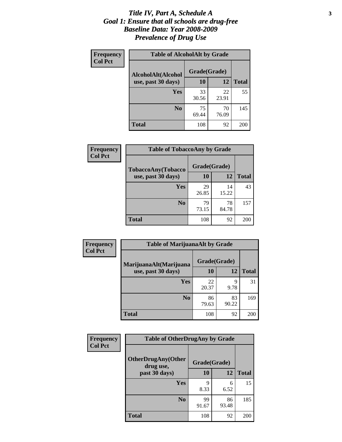#### *Title IV, Part A, Schedule A* **3** *Goal 1: Ensure that all schools are drug-free Baseline Data: Year 2008-2009 Prevalence of Drug Use*

| Frequency<br><b>Col Pct</b> | <b>Table of AlcoholAlt by Grade</b> |              |             |              |  |
|-----------------------------|-------------------------------------|--------------|-------------|--------------|--|
|                             | AlcoholAlt(Alcohol                  | Grade(Grade) |             |              |  |
|                             | use, past 30 days)                  | <b>10</b>    | 12          | <b>Total</b> |  |
|                             | Yes                                 | 33<br>30.56  | 22<br>23.91 | 55           |  |
|                             | N <sub>0</sub>                      | 75<br>69.44  | 70<br>76.09 | 145          |  |
|                             | Total                               | 108          | 92          | 200          |  |

| Frequency      | <b>Table of TobaccoAny by Grade</b> |              |             |              |  |
|----------------|-------------------------------------|--------------|-------------|--------------|--|
| <b>Col Pct</b> | TobaccoAny(Tobacco                  | Grade(Grade) |             |              |  |
|                | use, past 30 days)                  | <b>10</b>    | 12          | <b>Total</b> |  |
|                | Yes                                 | 29<br>26.85  | 14<br>15.22 | 43           |  |
|                | N <sub>0</sub>                      | 79<br>73.15  | 78<br>84.78 | 157          |  |
|                | Total                               | 108          | 92          | 200          |  |

| Frequency<br><b>Col Pct</b> | <b>Table of MarijuanaAlt by Grade</b> |              |             |              |  |
|-----------------------------|---------------------------------------|--------------|-------------|--------------|--|
|                             | MarijuanaAlt(Marijuana                | Grade(Grade) |             |              |  |
|                             | use, past 30 days)                    | 10           | 12          | <b>Total</b> |  |
|                             | <b>Yes</b>                            | 22<br>20.37  | 9<br>9.78   | 31           |  |
|                             | N <sub>0</sub>                        | 86<br>79.63  | 83<br>90.22 | 169          |  |
|                             | <b>Total</b>                          | 108          | 92          | 200          |  |

| Frequency<br><b>Col Pct</b> | <b>Table of OtherDrugAny by Grade</b>  |              |             |              |  |
|-----------------------------|----------------------------------------|--------------|-------------|--------------|--|
|                             | <b>OtherDrugAny(Other</b><br>drug use, | Grade(Grade) |             |              |  |
|                             | past 30 days)                          | 10           | 12          | <b>Total</b> |  |
|                             | Yes                                    | q<br>8.33    | 6<br>6.52   | 15           |  |
|                             | N <sub>0</sub>                         | 99<br>91.67  | 86<br>93.48 | 185          |  |
|                             | <b>Total</b>                           | 108          | 92          | 200          |  |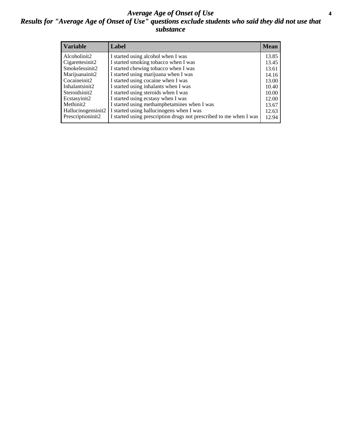#### *Average Age of Onset of Use* **4** *Results for "Average Age of Onset of Use" questions exclude students who said they did not use that substance*

| <b>Variable</b>    | Label                                                              | <b>Mean</b> |
|--------------------|--------------------------------------------------------------------|-------------|
| Alcoholinit2       | I started using alcohol when I was                                 | 13.85       |
| Cigarettesinit2    | I started smoking tobacco when I was                               | 13.45       |
| Smokelessinit2     | I started chewing tobacco when I was                               | 13.61       |
| Marijuanainit2     | I started using marijuana when I was                               | 14.16       |
| Cocaineinit2       | I started using cocaine when I was                                 | 13.00       |
| Inhalantsinit2     | I started using inhalants when I was                               | 10.40       |
| Steroidsinit2      | I started using steroids when I was                                | 10.00       |
| Ecstasyinit2       | I started using ecstasy when I was                                 | 12.00       |
| Methinit2          | I started using methamphetamines when I was                        | 13.67       |
| Hallucinogensinit2 | I started using hallucinogens when I was                           | 12.63       |
| Prescriptioninit2  | I started using prescription drugs not prescribed to me when I was | 12.94       |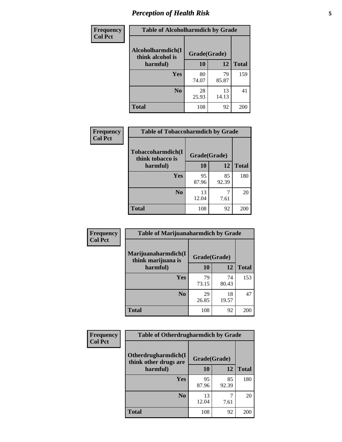### *Perception of Health Risk* **5**

| Frequency      | <b>Table of Alcoholharmdich by Grade</b> |              |             |              |
|----------------|------------------------------------------|--------------|-------------|--------------|
| <b>Col Pct</b> | Alcoholharmdich(I<br>think alcohol is    | Grade(Grade) |             |              |
|                | harmful)                                 | 10           | 12          | <b>Total</b> |
|                | <b>Yes</b>                               | 80<br>74.07  | 79<br>85.87 | 159          |
|                | N <sub>0</sub>                           | 28<br>25.93  | 13<br>14.13 | 41           |
|                | <b>Total</b>                             | 108          | 92          | 200          |

| <b>Frequency</b><br><b>Col Pct</b> | <b>Table of Tobaccoharmdich by Grade</b> |              |             |              |
|------------------------------------|------------------------------------------|--------------|-------------|--------------|
|                                    | Tobaccoharmdich(I<br>think tobacco is    | Grade(Grade) |             |              |
|                                    | harmful)                                 | 10           | 12          | <b>Total</b> |
|                                    | Yes                                      | 95<br>87.96  | 85<br>92.39 | 180          |
|                                    | N <sub>0</sub>                           | 13<br>12.04  | 7.61        | 20           |
|                                    | Total                                    | 108          | 92          | 200          |

| Frequency<br><b>Col Pct</b> | <b>Table of Marijuanaharmdich by Grade</b> |              |             |              |  |  |
|-----------------------------|--------------------------------------------|--------------|-------------|--------------|--|--|
|                             | Marijuanaharmdich(I<br>think marijuana is  | Grade(Grade) |             |              |  |  |
|                             | harmful)                                   | <b>10</b>    | 12          | <b>Total</b> |  |  |
|                             | Yes                                        | 79<br>73.15  | 74<br>80.43 | 153          |  |  |
|                             | N <sub>0</sub>                             | 29<br>26.85  | 18<br>19.57 | 47           |  |  |
|                             | <b>Total</b>                               | 108          | 92          | 200          |  |  |

| Frequency      | <b>Table of Otherdrugharmdich by Grade</b>                   |             |             |              |  |
|----------------|--------------------------------------------------------------|-------------|-------------|--------------|--|
| <b>Col Pct</b> | Otherdrugharmdich(I<br>Grade(Grade)<br>think other drugs are |             |             |              |  |
|                | harmful)                                                     | 10          | 12          | <b>Total</b> |  |
|                | <b>Yes</b>                                                   | 95<br>87.96 | 85<br>92.39 | 180          |  |
|                | N <sub>0</sub>                                               | 13<br>12.04 | 7.61        | 20           |  |
|                | <b>Total</b>                                                 | 108         | 92          | 200          |  |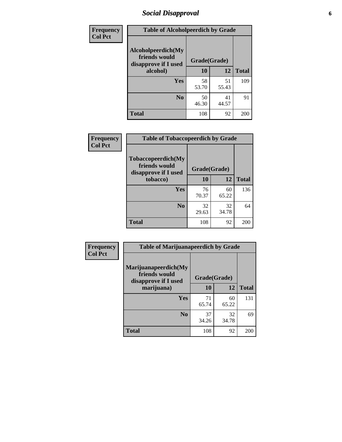### *Social Disapproval* **6**

| <b>Frequency</b> | <b>Table of Alcoholpeerdich by Grade</b>                    |              |             |              |
|------------------|-------------------------------------------------------------|--------------|-------------|--------------|
| <b>Col Pct</b>   | Alcoholpeerdich(My<br>friends would<br>disapprove if I used | Grade(Grade) |             |              |
|                  | alcohol)                                                    | 10           | 12          | <b>Total</b> |
|                  | <b>Yes</b>                                                  | 58<br>53.70  | 51<br>55.43 | 109          |
|                  | N <sub>0</sub>                                              | 50<br>46.30  | 41<br>44.57 | 91           |
|                  | <b>Total</b>                                                | 108          | 92          | 200          |

| <b>Frequency</b> |
|------------------|
| <b>Col Pct</b>   |

| <b>Table of Tobaccopeerdich by Grade</b>                            |              |             |              |  |
|---------------------------------------------------------------------|--------------|-------------|--------------|--|
| <b>Tobaccopeerdich</b> (My<br>friends would<br>disapprove if I used | Grade(Grade) |             |              |  |
| tobacco)                                                            | 10           | 12          | <b>Total</b> |  |
| Yes                                                                 | 76<br>70.37  | 60<br>65.22 | 136          |  |
| N <sub>0</sub>                                                      | 32<br>29.63  | 32<br>34.78 | 64           |  |
| <b>Total</b>                                                        | 108          | 92          | 200          |  |

| <b>Frequency</b> | <b>Table of Marijuanapeerdich by Grade</b>                    |              |             |              |  |  |
|------------------|---------------------------------------------------------------|--------------|-------------|--------------|--|--|
| <b>Col Pct</b>   | Marijuanapeerdich(My<br>friends would<br>disapprove if I used | Grade(Grade) |             |              |  |  |
|                  | marijuana)                                                    | 10           | 12          | <b>Total</b> |  |  |
|                  | <b>Yes</b>                                                    | 71<br>65.74  | 60<br>65.22 | 131          |  |  |
|                  | N <sub>0</sub>                                                | 37<br>34.26  | 32<br>34.78 | 69           |  |  |
|                  | <b>Total</b>                                                  | 108          | 92          | <b>200</b>   |  |  |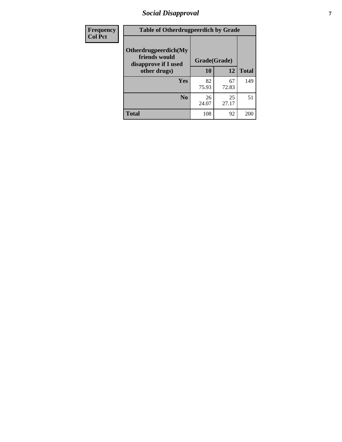### *Social Disapproval* **7**

| Frequency      | <b>Table of Otherdrugpeerdich by Grade</b>                    |              |             |              |  |  |
|----------------|---------------------------------------------------------------|--------------|-------------|--------------|--|--|
| <b>Col Pct</b> | Otherdrugpeerdich(My<br>friends would<br>disapprove if I used | Grade(Grade) |             |              |  |  |
|                | other drugs)                                                  | 10           | 12          | <b>Total</b> |  |  |
|                | Yes                                                           | 82<br>75.93  | 67<br>72.83 | 149          |  |  |
|                | N <sub>0</sub>                                                | 26<br>24.07  | 25<br>27.17 | 51           |  |  |
|                | <b>Total</b>                                                  | 108          | 92          | 200          |  |  |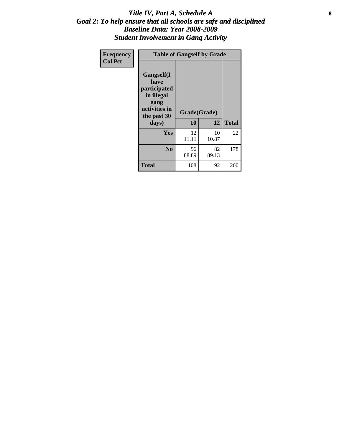#### Title IV, Part A, Schedule A **8** *Goal 2: To help ensure that all schools are safe and disciplined Baseline Data: Year 2008-2009 Student Involvement in Gang Activity*

| Frequency      |                                                                                                   | <b>Table of Gangself by Grade</b> |             |              |
|----------------|---------------------------------------------------------------------------------------------------|-----------------------------------|-------------|--------------|
| <b>Col Pct</b> | Gangself(I<br>have<br>participated<br>in illegal<br>gang<br>activities in<br>the past 30<br>days) | Grade(Grade)<br>10                | 12          | <b>Total</b> |
|                | Yes                                                                                               | 12<br>11.11                       | 10<br>10.87 | 22           |
|                | N <sub>0</sub>                                                                                    | 96<br>88.89                       | 82<br>89.13 | 178          |
|                | <b>Total</b>                                                                                      | 108                               | 92          | 200          |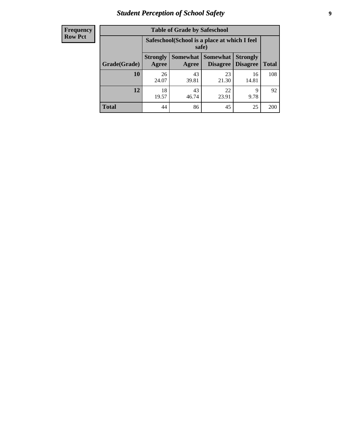### *Student Perception of School Safety* **9**

| <b>Frequency</b><br>Row Pct |
|-----------------------------|
|                             |

| <b>Table of Grade by Safeschool</b> |                                                                                                                            |                                                        |             |             |     |  |
|-------------------------------------|----------------------------------------------------------------------------------------------------------------------------|--------------------------------------------------------|-------------|-------------|-----|--|
|                                     |                                                                                                                            | Safeschool (School is a place at which I feel<br>safe) |             |             |     |  |
| Grade(Grade)                        | Somewhat   Somewhat<br><b>Strongly</b><br><b>Strongly</b><br><b>Disagree</b><br>Agree<br>Disagree<br><b>Total</b><br>Agree |                                                        |             |             |     |  |
| 10                                  | 26<br>24.07                                                                                                                | 43<br>39.81                                            | 23<br>21.30 | 16<br>14.81 | 108 |  |
| 12                                  | 18<br>19.57                                                                                                                | 43<br>46.74                                            | 22<br>23.91 | 9<br>9.78   | 92  |  |
| <b>Total</b>                        | 44                                                                                                                         | 86                                                     | 45          | 25          | 200 |  |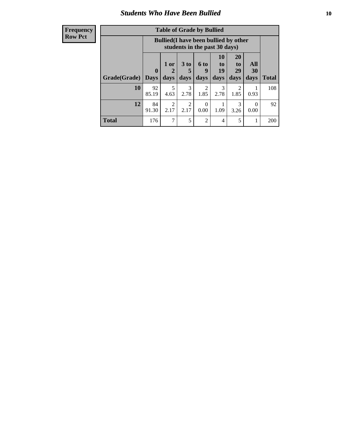### *Students Who Have Been Bullied* **10**

#### **Frequency Row Pct**

| <b>Table of Grade by Bullied</b> |                         |                                                                               |                              |                   |                        |                               |                   |              |
|----------------------------------|-------------------------|-------------------------------------------------------------------------------|------------------------------|-------------------|------------------------|-------------------------------|-------------------|--------------|
|                                  |                         | <b>Bullied</b> (I have been bullied by other<br>students in the past 30 days) |                              |                   |                        |                               |                   |              |
| Grade(Grade)                     | $\bf{0}$<br><b>Days</b> | 1 or<br>$\mathbf{2}$<br>days                                                  | 3 <sub>to</sub><br>5<br>days | 6 to<br>9<br>days | 10<br>to<br>19<br>days | <b>20</b><br>to<br>29<br>days | All<br>30<br>days | <b>Total</b> |
| 10                               | 92<br>85.19             | 5<br>4.63                                                                     | 3<br>2.78                    | 2<br>1.85         | 3<br>2.78              | $\overline{2}$<br>1.85        | 0.93              | 108          |
| 12                               | 84<br>91.30             | $\overline{2}$<br>2.17                                                        | 2<br>2.17                    | $\Omega$<br>0.00  | 1.09                   | 3<br>3.26                     | 0.00              | 92           |
| <b>Total</b>                     | 176                     | $\mathcal{I}$                                                                 | 5                            | $\overline{2}$    | 4                      | 5                             | -                 | 200          |

 $\blacksquare$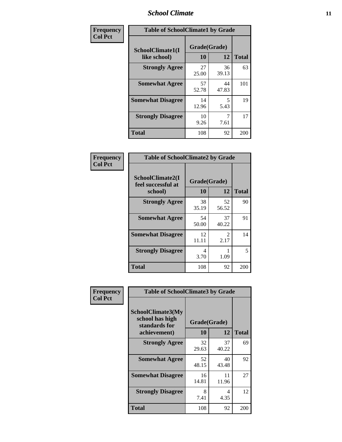#### *School Climate* **11**

| Frequency      | <b>Table of SchoolClimate1 by Grade</b> |                    |             |              |  |
|----------------|-----------------------------------------|--------------------|-------------|--------------|--|
| <b>Col Pct</b> | SchoolClimate1(I<br>like school)        | Grade(Grade)<br>10 | 12          | <b>Total</b> |  |
|                | <b>Strongly Agree</b>                   | 27<br>25.00        | 36<br>39.13 | 63           |  |
|                | <b>Somewhat Agree</b>                   | 57<br>52.78        | 44<br>47.83 | 101          |  |
|                | <b>Somewhat Disagree</b>                | 14<br>12.96        | 5<br>5.43   | 19           |  |
|                | <b>Strongly Disagree</b>                | 10<br>9.26         | 7.61        | 17           |  |
|                | <b>Total</b>                            | 108                | 92          | 200          |  |

| Frequency      | <b>Table of SchoolClimate2 by Grade</b>           |                    |                       |              |  |
|----------------|---------------------------------------------------|--------------------|-----------------------|--------------|--|
| <b>Col Pct</b> | SchoolClimate2(I<br>feel successful at<br>school) | Grade(Grade)<br>10 | 12                    | <b>Total</b> |  |
|                | <b>Strongly Agree</b>                             | 38<br>35.19        | 52<br>56.52           | 90           |  |
|                | <b>Somewhat Agree</b>                             | 54<br>50.00        | 37<br>40.22           | 91           |  |
|                | <b>Somewhat Disagree</b>                          | 12<br>11.11        | $\mathcal{L}$<br>2.17 | 14           |  |
|                | <b>Strongly Disagree</b>                          | 4<br>3.70          | 1.09                  | 5            |  |
|                | Total                                             | 108                | 92                    | 200          |  |

| Frequency      | <b>Table of SchoolClimate3 by Grade</b>                      |              |             |              |
|----------------|--------------------------------------------------------------|--------------|-------------|--------------|
| <b>Col Pct</b> | <b>SchoolClimate3(My</b><br>school has high<br>standards for | Grade(Grade) |             |              |
|                | achievement)                                                 | 10           | 12          | <b>Total</b> |
|                | <b>Strongly Agree</b>                                        | 32<br>29.63  | 37<br>40.22 | 69           |
|                | <b>Somewhat Agree</b>                                        | 52<br>48.15  | 40<br>43.48 | 92           |
|                | <b>Somewhat Disagree</b>                                     | 16<br>14.81  | 11<br>11.96 | 27           |
|                | <b>Strongly Disagree</b>                                     | 8<br>7.41    | 4<br>4.35   | 12           |
|                | Total                                                        | 108          | 92          | 200          |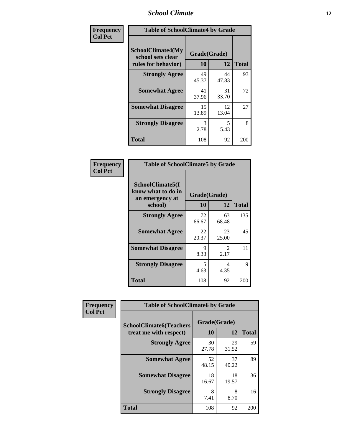#### *School Climate* **12**

| Frequency      | <b>Table of SchoolClimate4 by Grade</b>                       |                    |             |              |
|----------------|---------------------------------------------------------------|--------------------|-------------|--------------|
| <b>Col Pct</b> | SchoolClimate4(My<br>school sets clear<br>rules for behavior) | Grade(Grade)<br>10 | 12          | <b>Total</b> |
|                | <b>Strongly Agree</b>                                         | 49<br>45.37        | 44<br>47.83 | 93           |
|                | <b>Somewhat Agree</b>                                         | 41<br>37.96        | 31<br>33.70 | 72           |
|                | <b>Somewhat Disagree</b>                                      | 15<br>13.89        | 12<br>13.04 | 27           |
|                | <b>Strongly Disagree</b>                                      | 3<br>2.78          | 5<br>5.43   | 8            |
|                | <b>Total</b>                                                  | 108                | 92          | 200          |

| <b>Table of SchoolClimate5 by Grade</b>                              |                    |                        |     |  |
|----------------------------------------------------------------------|--------------------|------------------------|-----|--|
| SchoolClimate5(I<br>know what to do in<br>an emergency at<br>school) | Grade(Grade)<br>10 | <b>Total</b>           |     |  |
| <b>Strongly Agree</b>                                                | 72<br>66.67        | 63<br>68.48            | 135 |  |
| <b>Somewhat Agree</b>                                                | 22<br>20.37        | 23<br>25.00            | 45  |  |
| <b>Somewhat Disagree</b>                                             | 9<br>8.33          | $\mathfrak{D}$<br>2.17 | 11  |  |
| <b>Strongly Disagree</b>                                             | 5<br>4.63          | 4<br>4.35              | 9   |  |
| <b>Total</b>                                                         | 108                | 92                     | 200 |  |

| Frequency      | <b>Table of SchoolClimate6 by Grade</b>                  |                    |             |              |
|----------------|----------------------------------------------------------|--------------------|-------------|--------------|
| <b>Col Pct</b> | <b>SchoolClimate6(Teachers</b><br>treat me with respect) | Grade(Grade)<br>10 | 12          | <b>Total</b> |
|                | <b>Strongly Agree</b>                                    | 30<br>27.78        | 29<br>31.52 | 59           |
|                | <b>Somewhat Agree</b>                                    | 52<br>48.15        | 37<br>40.22 | 89           |
|                | <b>Somewhat Disagree</b>                                 | 18<br>16.67        | 18<br>19.57 | 36           |
|                | <b>Strongly Disagree</b>                                 | 8<br>7.41          | 8<br>8.70   | 16           |
|                | <b>Total</b>                                             | 108                | 92          | 200          |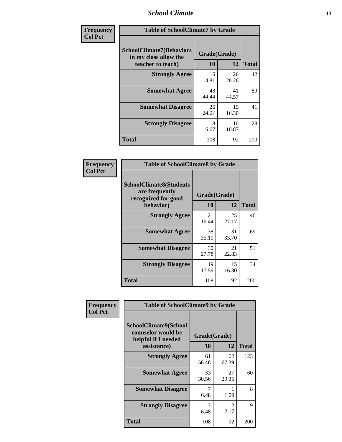#### *School Climate* **13**

| Frequency      | <b>Table of SchoolClimate7 by Grade</b>                                       |                           |             |              |
|----------------|-------------------------------------------------------------------------------|---------------------------|-------------|--------------|
| <b>Col Pct</b> | <b>SchoolClimate7(Behaviors</b><br>in my class allow the<br>teacher to teach) | Grade(Grade)<br><b>10</b> | 12          | <b>Total</b> |
|                | <b>Strongly Agree</b>                                                         | 16<br>14.81               | 26<br>28.26 | 42           |
|                | <b>Somewhat Agree</b>                                                         | 48<br>44.44               | 41<br>44.57 | 89           |
|                | <b>Somewhat Disagree</b>                                                      | 26<br>24.07               | 15<br>16.30 | 41           |
|                | <b>Strongly Disagree</b>                                                      | 18<br>16.67               | 10<br>10.87 | 28           |
|                | <b>Total</b>                                                                  | 108                       | 92          | 200          |

| Frequency      | <b>Table of SchoolClimate8 by Grade</b>                                 |              |             |              |
|----------------|-------------------------------------------------------------------------|--------------|-------------|--------------|
| <b>Col Pct</b> | <b>SchoolClimate8(Students</b><br>are frequently<br>recognized for good | Grade(Grade) |             |              |
|                | behavior)                                                               | 10           | 12          | <b>Total</b> |
|                | <b>Strongly Agree</b>                                                   | 21<br>19.44  | 25<br>27.17 | 46           |
|                | <b>Somewhat Agree</b>                                                   | 38<br>35.19  | 31<br>33.70 | 69           |
|                | <b>Somewhat Disagree</b>                                                | 30<br>27.78  | 21<br>22.83 | 51           |
|                | <b>Strongly Disagree</b>                                                | 19<br>17.59  | 15<br>16.30 | 34           |
|                | <b>Total</b>                                                            | 108          | 92          | 200          |

| Frequency      | <b>Table of SchoolClimate9 by Grade</b>                                           |                    |                        |              |
|----------------|-----------------------------------------------------------------------------------|--------------------|------------------------|--------------|
| <b>Col Pct</b> | SchoolClimate9(School<br>counselor would be<br>helpful if I needed<br>assistance) | Grade(Grade)<br>10 | 12                     | <b>Total</b> |
|                | <b>Strongly Agree</b>                                                             | 61<br>56.48        | 62<br>67.39            | 123          |
|                | <b>Somewhat Agree</b>                                                             | 33<br>30.56        | 27<br>29.35            | 60           |
|                | <b>Somewhat Disagree</b>                                                          | 7<br>6.48          | 1.09                   | 8            |
|                | <b>Strongly Disagree</b>                                                          | 7<br>6.48          | $\mathfrak{D}$<br>2.17 | 9            |
|                | Total                                                                             | 108                | 92                     | 200          |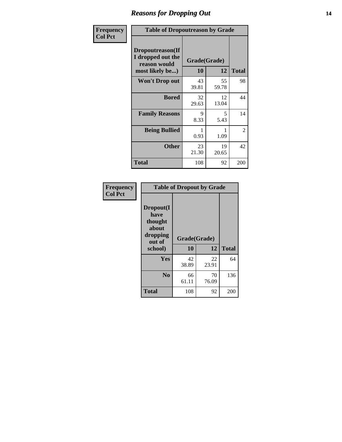### *Reasons for Dropping Out* **14**

| Frequency      | <b>Table of Dropoutreason by Grade</b>                                   |                           |             |              |
|----------------|--------------------------------------------------------------------------|---------------------------|-------------|--------------|
| <b>Col Pct</b> | Dropoutreason(If<br>I dropped out the<br>reason would<br>most likely be) | Grade(Grade)<br><b>10</b> | 12          | <b>Total</b> |
|                | Won't Drop out                                                           | 43<br>39.81               | 55<br>59.78 | 98           |
|                | <b>Bored</b>                                                             | 32<br>29.63               | 12<br>13.04 | 44           |
|                | <b>Family Reasons</b>                                                    | 9<br>8.33                 | 5<br>5.43   | 14           |
|                | <b>Being Bullied</b>                                                     | 0.93                      | 1.09        | 2            |
|                | <b>Other</b>                                                             | 23<br>21.30               | 19<br>20.65 | 42           |
|                | <b>Total</b>                                                             | 108                       | 92          | 200          |

| Frequency      | <b>Table of Dropout by Grade</b>                                       |                    |             |              |  |
|----------------|------------------------------------------------------------------------|--------------------|-------------|--------------|--|
| <b>Col Pct</b> | Dropout(I<br>have<br>thought<br>about<br>dropping<br>out of<br>school) | Grade(Grade)<br>10 | 12          | <b>Total</b> |  |
|                | Yes                                                                    | 42<br>38.89        | 22<br>23.91 | 64           |  |
|                | N <sub>0</sub>                                                         | 66<br>61.11        | 70<br>76.09 | 136          |  |
|                | <b>Total</b>                                                           | 108                | 92          | 200          |  |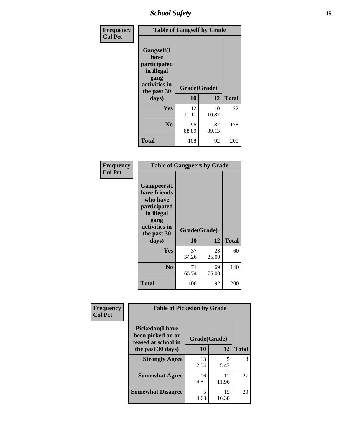*School Safety* **15**

| Frequency      | <b>Table of Gangself by Grade</b>                                                                 |                    |             |              |
|----------------|---------------------------------------------------------------------------------------------------|--------------------|-------------|--------------|
| <b>Col Pct</b> | Gangself(I<br>have<br>participated<br>in illegal<br>gang<br>activities in<br>the past 30<br>days) | Grade(Grade)<br>10 | 12          | <b>Total</b> |
|                | Yes                                                                                               | 12<br>11.11        | 10<br>10.87 | 22           |
|                | N <sub>0</sub>                                                                                    | 96<br>88.89        | 82<br>89.13 | 178          |
|                | <b>Total</b>                                                                                      | 108                | 92          | 200          |

| Frequency<br><b>Col Pct</b> | <b>Table of Gangpeers by Grade</b>                                                                                             |                    |             |              |  |
|-----------------------------|--------------------------------------------------------------------------------------------------------------------------------|--------------------|-------------|--------------|--|
|                             | <b>Gangpeers</b> (I<br>have friends<br>who have<br>participated<br>in illegal<br>gang<br>activities in<br>the past 30<br>days) | Grade(Grade)<br>10 | 12          | <b>Total</b> |  |
|                             | <b>Yes</b>                                                                                                                     | 37<br>34.26        | 23<br>25.00 | 60           |  |
|                             | N <sub>0</sub>                                                                                                                 | 71<br>65.74        | 69<br>75.00 | 140          |  |
|                             | <b>Total</b>                                                                                                                   | 108                | 92          | 200          |  |

| Frequency      | <b>Table of Pickedon by Grade</b>                                   |              |             |              |
|----------------|---------------------------------------------------------------------|--------------|-------------|--------------|
| <b>Col Pct</b> | <b>Pickedon</b> (I have<br>been picked on or<br>teased at school in | Grade(Grade) |             |              |
|                | the past 30 days)                                                   | 10           | 12          | <b>Total</b> |
|                | <b>Strongly Agree</b>                                               | 13<br>12.04  | 5<br>5.43   | 18           |
|                | <b>Somewhat Agree</b>                                               | 16<br>14.81  | 11<br>11.96 | 27           |
|                | <b>Somewhat Disagree</b>                                            | 5<br>4.63    | 15<br>16.30 | 20           |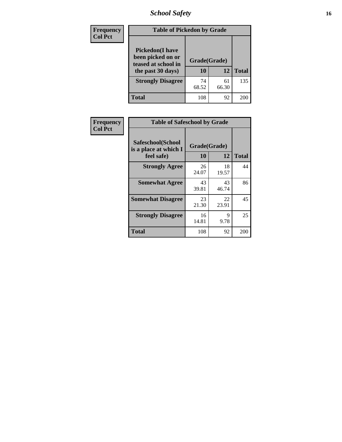### *School Safety* **16**

| <b>Frequency</b> | <b>Table of Pickedon by Grade</b>                                                        |                    |              |     |
|------------------|------------------------------------------------------------------------------------------|--------------------|--------------|-----|
| <b>Col Pct</b>   | <b>Pickedon</b> (I have<br>been picked on or<br>teased at school in<br>the past 30 days) | Grade(Grade)<br>10 | <b>Total</b> |     |
|                  | <b>Strongly Disagree</b>                                                                 | 74<br>68.52        | 61<br>66.30  | 135 |
|                  | Total                                                                                    | 108                | 92           | 200 |

| Frequency      | <b>Table of Safeschool by Grade</b>                      |                    |             |              |  |  |  |  |
|----------------|----------------------------------------------------------|--------------------|-------------|--------------|--|--|--|--|
| <b>Col Pct</b> | Safeschool(School<br>is a place at which I<br>feel safe) | Grade(Grade)<br>10 | 12          | <b>Total</b> |  |  |  |  |
|                | <b>Strongly Agree</b>                                    | 26<br>24.07        | 18<br>19.57 | 44           |  |  |  |  |
|                | <b>Somewhat Agree</b>                                    | 43<br>39.81        | 43<br>46.74 | 86           |  |  |  |  |
|                | <b>Somewhat Disagree</b>                                 | 23<br>21.30        | 22<br>23.91 | 45           |  |  |  |  |
|                | <b>Strongly Disagree</b>                                 | 16<br>14.81        | 9<br>9.78   | 25           |  |  |  |  |
|                | Total                                                    | 108                | 92          | 200          |  |  |  |  |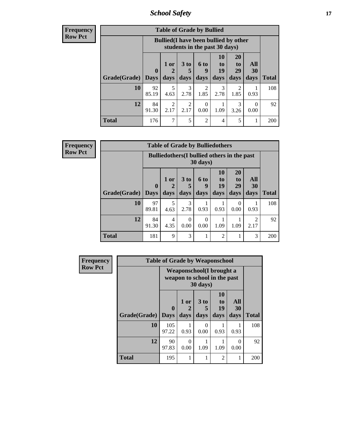*School Safety* **17**

| Frequency |  |
|-----------|--|
| Row Pct   |  |

| <b>Table of Grade by Bullied</b> |             |                                                                               |                              |                        |                        |                        |                          |              |  |  |
|----------------------------------|-------------|-------------------------------------------------------------------------------|------------------------------|------------------------|------------------------|------------------------|--------------------------|--------------|--|--|
|                                  |             | <b>Bullied</b> (I have been bullied by other<br>students in the past 30 days) |                              |                        |                        |                        |                          |              |  |  |
| Grade(Grade)   Days              | $\mathbf 0$ | 1 or<br>days                                                                  | 3 <sub>to</sub><br>5<br>days | 6 to<br>q<br>days      | 10<br>to<br>19<br>days | 20<br>to<br>29<br>days | All<br><b>30</b><br>days | <b>Total</b> |  |  |
| 10                               | 92<br>85.19 | 5<br>4.63                                                                     | 3<br>2.78                    | $\mathfrak{D}$<br>1.85 | 3<br>2.78              | 2<br>1.85              | 0.93                     | 108          |  |  |
| 12                               | 84<br>91.30 | $\mathfrak{D}$<br>2.17                                                        | $\overline{2}$<br>2.17       | 0.00                   | 1.09                   | 3<br>3.26              | 0.00                     | 92           |  |  |
| Total                            | 176         | 7                                                                             | 5                            | $\mathfrak{D}$         | 4                      | 5                      |                          | 200          |  |  |

| <b>Frequency</b> |
|------------------|
| <b>Row Pct</b>   |

| <b>Table of Grade by Bulliedothers</b> |             |                                                                         |                              |                   |                               |                               |                        |              |  |  |
|----------------------------------------|-------------|-------------------------------------------------------------------------|------------------------------|-------------------|-------------------------------|-------------------------------|------------------------|--------------|--|--|
|                                        |             | <b>Bulliedothers</b> (I bullied others in the past<br>$30 \text{ days}$ |                              |                   |                               |                               |                        |              |  |  |
| Grade(Grade)   Days                    | $\mathbf 0$ | 1 or<br>days                                                            | 3 <sub>to</sub><br>5<br>days | 6 to<br>9<br>days | <b>10</b><br>to<br>19<br>days | <b>20</b><br>to<br>29<br>days | All<br>30<br>days      | <b>Total</b> |  |  |
| 10                                     | 97<br>89.81 | 5<br>4.63                                                               | 3<br>2.78                    | 0.93              | 0.93                          | $\Omega$<br>0.00              | 0.93                   | 108          |  |  |
| 12                                     | 84<br>91.30 | 4<br>4.35                                                               | $\theta$<br>0.00             | 0<br>0.00         | 1.09                          | 1.09                          | $\mathfrak{D}$<br>2.17 | 92           |  |  |
| Total                                  | 181         | 9                                                                       | 3                            |                   | $\overline{2}$                |                               | 3                      | 200          |  |  |

| Frequency<br><b>Row Pct</b> | <b>Table of Grade by Weaponschool</b> |                  |                                                                  |                              |                               |                          |              |  |  |
|-----------------------------|---------------------------------------|------------------|------------------------------------------------------------------|------------------------------|-------------------------------|--------------------------|--------------|--|--|
|                             |                                       |                  | <b>Weaponschool</b> (I brought a<br>weapon to school in the past | 30 days)                     |                               |                          |              |  |  |
|                             | <b>Grade(Grade)</b>                   | 0<br><b>Days</b> | 1 or<br>2<br>days                                                | 3 <sub>to</sub><br>5<br>days | <b>10</b><br>to<br>19<br>days | All<br><b>30</b><br>days | <b>Total</b> |  |  |
|                             | 10                                    | 105<br>97.22     | 0.93                                                             | $\Omega$<br>0.00             | 0.93                          | 0.93                     | 108          |  |  |
|                             | 12                                    | 90<br>97.83      | 0<br>0.00                                                        | 1.09                         | 1.09                          | 0<br>0.00                | 92           |  |  |
|                             | <b>Total</b>                          | 195              |                                                                  | 1                            | 2                             |                          | 200          |  |  |

ł,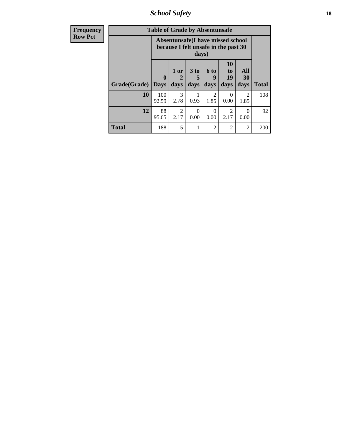*School Safety* **18**

| <b>Frequency</b> | <b>Table of Grade by Absentunsafe</b> |                         |                                                                           |                              |                        |                                           |                   |              |  |
|------------------|---------------------------------------|-------------------------|---------------------------------------------------------------------------|------------------------------|------------------------|-------------------------------------------|-------------------|--------------|--|
| <b>Row Pct</b>   |                                       |                         | Absentunsafe(I have missed school<br>because I felt unsafe in the past 30 | days)                        |                        |                                           |                   |              |  |
|                  | Grade(Grade)                          | $\bf{0}$<br><b>Days</b> | 1 or<br>2<br>days                                                         | 3 <sub>to</sub><br>5<br>days | 6 to<br>9<br>days      | <b>10</b><br>t <sub>0</sub><br>19<br>days | All<br>30<br>days | <b>Total</b> |  |
|                  | 10                                    | 100<br>92.59            | 3<br>2.78                                                                 | 0.93                         | $\mathfrak{D}$<br>1.85 | $\Omega$<br>0.00                          | 2<br>1.85         | 108          |  |
|                  | 12                                    | 88<br>95.65             | $\mathfrak{D}$<br>2.17                                                    | 0<br>0.00                    | $\Omega$<br>0.00       | $\mathcal{D}_{\mathcal{L}}$<br>2.17       | $\Omega$<br>0.00  | 92           |  |
|                  | <b>Total</b>                          | 188                     | 5                                                                         |                              | $\mathfrak{D}$         | 2                                         | 2                 | 200          |  |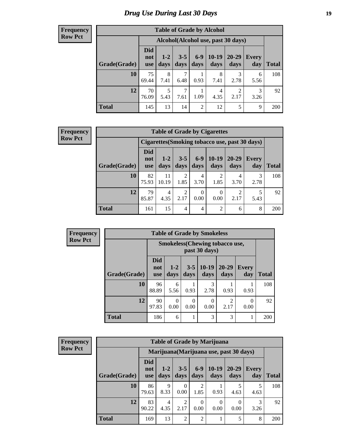### *Drug Use During Last 30 Days* **19**

#### **Frequency Row Pct**

| <b>Table of Grade by Alcohol</b> |                                 |                 |                 |                |                                    |                        |                     |              |  |
|----------------------------------|---------------------------------|-----------------|-----------------|----------------|------------------------------------|------------------------|---------------------|--------------|--|
|                                  |                                 |                 |                 |                | Alcohol(Alcohol use, past 30 days) |                        |                     |              |  |
| Grade(Grade)                     | <b>Did</b><br>not<br><b>use</b> | $1 - 2$<br>days | $3 - 5$<br>days | $6-9$<br>days  | $10-19$<br>days                    | 20-29<br>days          | <b>Every</b><br>day | <b>Total</b> |  |
|                                  |                                 |                 |                 |                |                                    |                        |                     |              |  |
| 10                               | 75<br>69.44                     | 8<br>7.41       | 6.48            | 1<br>0.93      | 8<br>7.41                          | 3<br>2.78              | 6<br>5.56           | 108          |  |
| 12                               | 70<br>76.09                     | 5<br>5.43       | 7<br>7.61       | 1<br>1.09      | 4<br>4.35                          | $\overline{2}$<br>2.17 | 3<br>3.26           | 92           |  |
| <b>Total</b>                     | 145                             | 13              | 14              | $\overline{2}$ | 12                                 | 5                      | 9                   | 200          |  |

#### **Frequency Row Pct**

| <b>Table of Grade by Cigarettes</b>                                                                                                                                   |             |             |           |           |                |           |                                                |     |  |  |
|-----------------------------------------------------------------------------------------------------------------------------------------------------------------------|-------------|-------------|-----------|-----------|----------------|-----------|------------------------------------------------|-----|--|--|
|                                                                                                                                                                       |             |             |           |           |                |           | Cigarettes (Smoking tobacco use, past 30 days) |     |  |  |
| <b>Did</b><br>$6 - 9$<br>$10-19$<br>$20 - 29$<br>$3 - 5$<br>$1-2$<br><b>Every</b><br>not<br>Grade(Grade)<br>days<br>days<br>day<br>days<br>days<br>days<br><b>use</b> |             |             |           |           |                |           |                                                |     |  |  |
| 10                                                                                                                                                                    | 82<br>75.93 | 11<br>10.19 | 2<br>1.85 | 4<br>3.70 | 2<br>1.85      | 4<br>3.70 | 3<br>2.78                                      | 108 |  |  |
| 12<br>79<br>2<br>4<br>0<br>0<br>4.35<br>85.87<br>0.00<br>0.00<br>2.17<br>5.43<br>2.17                                                                                 |             |             |           |           |                |           |                                                |     |  |  |
| <b>Total</b>                                                                                                                                                          | 161         | 15          | 4         | 4         | $\overline{2}$ | 6         | 8                                              | 200 |  |  |

| <b>Frequency</b> |  |
|------------------|--|
| <b>Row Pct</b>   |  |

| <b>Table of Grade by Smokeless</b> |                                 |                                                        |                 |                 |                        |                     |              |  |  |  |
|------------------------------------|---------------------------------|--------------------------------------------------------|-----------------|-----------------|------------------------|---------------------|--------------|--|--|--|
|                                    |                                 | <b>Smokeless</b> (Chewing tobaccouse,<br>past 30 days) |                 |                 |                        |                     |              |  |  |  |
| Grade(Grade)                       | <b>Did</b><br>not<br><b>use</b> | $1 - 2$<br>days                                        | $3 - 5$<br>days | $10-19$<br>days | $20 - 29$<br>days      | <b>Every</b><br>day | <b>Total</b> |  |  |  |
| 10                                 | 96<br>88.89                     | 6<br>5.56                                              | 0.93            | 3<br>2.78       | 0.93                   | 0.93                | 108          |  |  |  |
| 12                                 | 90<br>97.83                     | 0<br>0.00                                              | 0.00            | 0.00            | $\overline{c}$<br>2.17 | 0<br>0.00           | 92           |  |  |  |
| <b>Total</b>                       | 186                             | 6                                                      | 1               | 3               | 3                      |                     | 200          |  |  |  |

| <b>Frequency</b> |
|------------------|
| <b>Row Pct</b>   |

| <b>Table of Grade by Marijuana</b> |                                 |                                         |                 |                        |                 |               |              |              |
|------------------------------------|---------------------------------|-----------------------------------------|-----------------|------------------------|-----------------|---------------|--------------|--------------|
|                                    |                                 | Marijuana (Marijuana use, past 30 days) |                 |                        |                 |               |              |              |
| Grade(Grade)                       | <b>Did</b><br>not<br><b>use</b> | $1 - 2$<br>days                         | $3 - 5$<br>days | $6 - 9$<br>days        | $10-19$<br>days | 20-29<br>days | Every<br>day | <b>Total</b> |
| 10                                 | 86<br>79.63                     | $\mathbf Q$<br>8.33                     | 0<br>0.00       | $\overline{2}$<br>1.85 | 0.93            | 5<br>4.63     | 5<br>4.63    | 108          |
| 12                                 | 83<br>90.22                     | 4<br>4.35                               | 2<br>2.17       | 0<br>0.00              | 0<br>0.00       | 0.00          | 3<br>3.26    | 92           |
| <b>Total</b>                       | 169                             | 13                                      | $\overline{2}$  | $\overline{2}$         | 1               | 5             | 8            | 200          |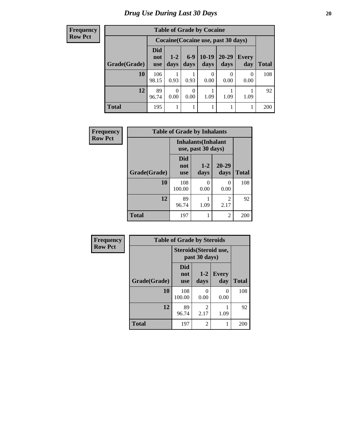**Frequency Row Pct**

| <b>Table of Grade by Cocaine</b> |                          |                                     |               |                 |               |              |              |
|----------------------------------|--------------------------|-------------------------------------|---------------|-----------------|---------------|--------------|--------------|
|                                  |                          | Cocaine (Cocaine use, past 30 days) |               |                 |               |              |              |
| Grade(Grade)                     | Did<br>not<br><b>use</b> | $1 - 2$<br>days                     | $6-9$<br>days | $10-19$<br>days | 20-29<br>days | Every<br>day | <b>Total</b> |
| 10                               | 106<br>98.15             | 0.93                                | 0.93          | 0<br>0.00       | 0<br>0.00     | 0<br>0.00    | 108          |
| 12                               | 89<br>96.74              | 0<br>0.00                           | 0<br>0.00     | 1.09            | 1.09          | 1.09         | 92           |
| <b>Total</b>                     | 195                      |                                     |               |                 |               |              | 200          |

| Frequency      | <b>Table of Grade by Inhalants</b> |                                                  |                 |                        |              |  |  |  |
|----------------|------------------------------------|--------------------------------------------------|-----------------|------------------------|--------------|--|--|--|
| <b>Row Pct</b> |                                    | <b>Inhalants</b> (Inhalant<br>use, past 30 days) |                 |                        |              |  |  |  |
|                | Grade(Grade)                       | <b>Did</b><br>not<br><b>use</b>                  | $1 - 2$<br>days | $20 - 29$<br>days      | <b>Total</b> |  |  |  |
|                | 10                                 | 108<br>100.00                                    | 0<br>0.00       | 0<br>0.00              | 108          |  |  |  |
|                | 12                                 | 89<br>96.74                                      | 1.09            | $\overline{2}$<br>2.17 | 92           |  |  |  |
|                | Total                              | 197                                              |                 | $\overline{2}$         | 200          |  |  |  |

| Frequency      | <b>Table of Grade by Steroids</b> |                                 |                                                |                     |              |  |  |  |  |
|----------------|-----------------------------------|---------------------------------|------------------------------------------------|---------------------|--------------|--|--|--|--|
| <b>Row Pct</b> |                                   |                                 | <b>Steroids</b> (Steroid use,<br>past 30 days) |                     |              |  |  |  |  |
|                | Grade(Grade)                      | <b>Did</b><br>not<br><b>use</b> | $1 - 2$<br>days                                | <b>Every</b><br>day | <b>Total</b> |  |  |  |  |
|                | 10                                | 108<br>100.00                   | ∩<br>0.00                                      | 0<br>0.00           | 108          |  |  |  |  |
|                | 12                                | 89<br>96.74                     | 2<br>2.17                                      | 1.09                | 92           |  |  |  |  |
|                | <b>Total</b>                      | 197                             | 2                                              |                     | 200          |  |  |  |  |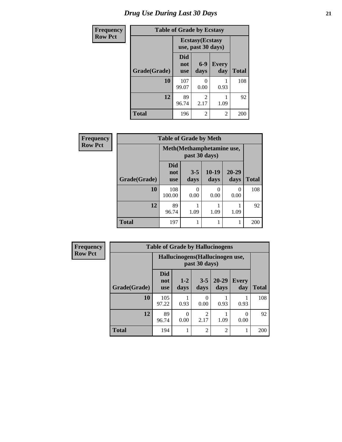### *Drug Use During Last 30 Days* **21**

| <b>Frequency</b> | <b>Table of Grade by Ecstasy</b> |                                               |                        |                     |              |  |  |  |  |
|------------------|----------------------------------|-----------------------------------------------|------------------------|---------------------|--------------|--|--|--|--|
| <b>Row Pct</b>   |                                  | <b>Ecstasy</b> (Ecstasy<br>use, past 30 days) |                        |                     |              |  |  |  |  |
|                  | Grade(Grade)                     | Did<br>not<br><b>use</b>                      | $6 - 9$<br>days        | <b>Every</b><br>day | <b>Total</b> |  |  |  |  |
|                  | 10                               | 107<br>99.07                                  | 0<br>0.00              | 0.93                | 108          |  |  |  |  |
|                  | 12                               | 89<br>96.74                                   | $\mathfrak{D}$<br>2.17 | 1.09                | 92           |  |  |  |  |
|                  | <b>Total</b>                     | 196                                           | 2                      | 2                   | 200          |  |  |  |  |

| Frequency      | <b>Table of Grade by Meth</b> |                                 |                                            |               |               |              |  |  |
|----------------|-------------------------------|---------------------------------|--------------------------------------------|---------------|---------------|--------------|--|--|
| <b>Row Pct</b> |                               |                                 | Meth(Methamphetamine use,<br>past 30 days) |               |               |              |  |  |
|                | Grade(Grade)                  | <b>Did</b><br>not<br><b>use</b> | $3 - 5$<br>days                            | 10-19<br>days | 20-29<br>days | <b>Total</b> |  |  |
|                | 10                            | 108<br>100.00                   | 0<br>0.00                                  | 0<br>0.00     | 0<br>0.00     | 108          |  |  |
|                | 12                            | 89<br>96.74                     | 1.09                                       | 1.09          | 1.09          | 92           |  |  |
|                | <b>Total</b>                  | 197                             |                                            |               |               | 200          |  |  |

| <b>Frequency</b> | <b>Table of Grade by Hallucinogens</b>            |                                 |               |                        |                |                     |              |  |  |
|------------------|---------------------------------------------------|---------------------------------|---------------|------------------------|----------------|---------------------|--------------|--|--|
| <b>Row Pct</b>   | Hallucinogens (Hallucinogen use,<br>past 30 days) |                                 |               |                        |                |                     |              |  |  |
|                  | Grade(Grade)                                      | <b>Did</b><br>not<br><b>use</b> | $1-2$<br>days | $3 - 5$<br>days        | 20-29<br>days  | <b>Every</b><br>day | <b>Total</b> |  |  |
|                  | 10                                                | 105<br>97.22                    | 0.93          | 0<br>0.00              | 0.93           | 0.93                | 108          |  |  |
|                  | 12                                                | 89<br>96.74                     | 0.00          | $\overline{c}$<br>2.17 | 1.09           | 0<br>0.00           | 92           |  |  |
|                  | <b>Total</b>                                      | 194                             |               | $\overline{2}$         | $\overline{c}$ | 1                   | 200          |  |  |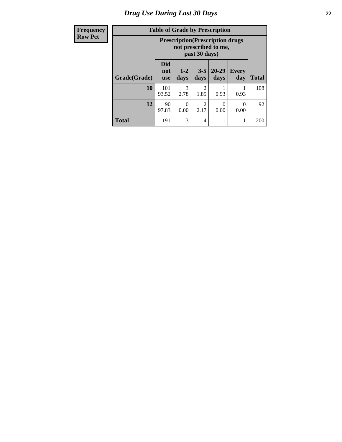### *Drug Use During Last 30 Days* **22**

| <b>Frequency</b> |  |
|------------------|--|
| <b>Row Pct</b>   |  |

## **Table of Grade by Prescription**

| лісу | Table of Graue by Frescription |                                          |               |                        |               |                     |              |
|------|--------------------------------|------------------------------------------|---------------|------------------------|---------------|---------------------|--------------|
| ct   |                                | <b>Prescription</b> (Prescription drugs) |               |                        |               |                     |              |
|      | Grade(Grade)                   | <b>Did</b><br>not<br>use                 | $1-2$<br>days | $3 - 5$<br>days        | 20-29<br>days | <b>Every</b><br>day | <b>Total</b> |
|      | 10                             | 101<br>93.52                             | 3<br>2.78     | 2<br>1.85              | 0.93          | 0.93                | 108          |
|      | 12                             | 90<br>97.83                              | 0<br>0.00     | $\mathfrak{D}$<br>2.17 | 0<br>0.00     | 0<br>0.00           | 92           |
|      | <b>Total</b>                   | 191                                      | 3             | 4                      |               |                     | 200          |

٦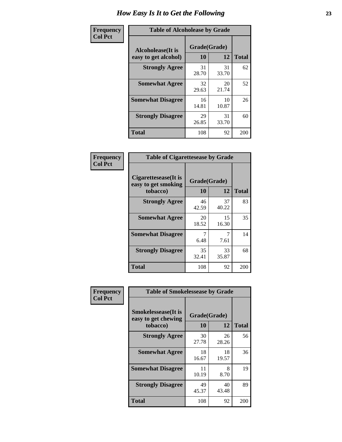| Frequency      | <b>Table of Alcoholease by Grade</b>              |                    |              |     |
|----------------|---------------------------------------------------|--------------------|--------------|-----|
| <b>Col Pct</b> | <b>Alcoholease</b> (It is<br>easy to get alcohol) | Grade(Grade)<br>10 | <b>Total</b> |     |
|                | <b>Strongly Agree</b>                             | 31<br>28.70        | 31<br>33.70  | 62  |
|                | <b>Somewhat Agree</b>                             | 32<br>29.63        | 20<br>21.74  | 52  |
|                | <b>Somewhat Disagree</b>                          | 16<br>14.81        | 10<br>10.87  | 26  |
|                | <b>Strongly Disagree</b>                          | 29<br>26.85        | 31<br>33.70  | 60  |
|                | <b>Total</b>                                      | 108                | 92           | 200 |

| Frequency<br><b>Col Pct</b> | <b>Table of Cigarettesease by Grade</b>                 |                    |              |    |  |  |
|-----------------------------|---------------------------------------------------------|--------------------|--------------|----|--|--|
|                             | Cigarettesease(It is<br>easy to get smoking<br>tobacco) | Grade(Grade)<br>10 | <b>Total</b> |    |  |  |
|                             | <b>Strongly Agree</b>                                   | 46<br>42.59        | 37<br>40.22  | 83 |  |  |
|                             | <b>Somewhat Agree</b>                                   | 20<br>18.52        | 15<br>16.30  | 35 |  |  |
|                             | <b>Somewhat Disagree</b>                                | 6.48               | 7<br>7.61    | 14 |  |  |
|                             | <b>Strongly Disagree</b>                                | 35<br>32.41        | 33<br>35.87  | 68 |  |  |

**Total** 108 92 200

| Frequency      | <b>Table of Smokelessease by Grade</b>             |              |             |              |  |  |  |  |  |  |
|----------------|----------------------------------------------------|--------------|-------------|--------------|--|--|--|--|--|--|
| <b>Col Pct</b> | <b>Smokelessease</b> (It is<br>easy to get chewing | Grade(Grade) |             |              |  |  |  |  |  |  |
|                | tobacco)                                           | 10           | 12          | <b>Total</b> |  |  |  |  |  |  |
|                | <b>Strongly Agree</b>                              | 30<br>27.78  | 26<br>28.26 | 56           |  |  |  |  |  |  |
|                | <b>Somewhat Agree</b>                              | 18<br>16.67  | 18<br>19.57 | 36           |  |  |  |  |  |  |
|                | <b>Somewhat Disagree</b>                           | 11<br>10.19  | 8<br>8.70   | 19           |  |  |  |  |  |  |
|                | <b>Strongly Disagree</b>                           | 49<br>45.37  | 40<br>43.48 | 89           |  |  |  |  |  |  |
|                | <b>Total</b>                                       | 108          | 92          | 200          |  |  |  |  |  |  |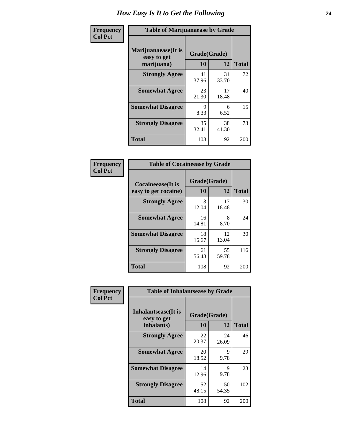| Frequency      | <b>Table of Marijuanaease by Grade</b>           |                    |             |              |  |  |  |  |  |
|----------------|--------------------------------------------------|--------------------|-------------|--------------|--|--|--|--|--|
| <b>Col Pct</b> | Marijuanaease(It is<br>easy to get<br>marijuana) | Grade(Grade)<br>10 | 12          | <b>Total</b> |  |  |  |  |  |
|                | <b>Strongly Agree</b>                            | 41<br>37.96        | 31<br>33.70 | 72           |  |  |  |  |  |
|                | <b>Somewhat Agree</b>                            | 23<br>21.30        | 17<br>18.48 | 40           |  |  |  |  |  |
|                | <b>Somewhat Disagree</b>                         | 9<br>8.33          | 6<br>6.52   | 15           |  |  |  |  |  |
|                | <b>Strongly Disagree</b>                         | 35<br>32.41        | 38<br>41.30 | 73           |  |  |  |  |  |
|                | <b>Total</b>                                     | 108                | 92          | 200          |  |  |  |  |  |

| <b>Table of Cocaineease by Grade</b> |             |              |              |  |  |  |
|--------------------------------------|-------------|--------------|--------------|--|--|--|
| <b>Cocaineease</b> (It is            |             | Grade(Grade) |              |  |  |  |
| easy to get cocaine)                 | 10          | 12           | <b>Total</b> |  |  |  |
| <b>Strongly Agree</b>                | 13<br>12.04 | 17<br>18.48  | 30           |  |  |  |
| <b>Somewhat Agree</b>                | 16<br>14.81 | 8<br>8.70    | 24           |  |  |  |
| <b>Somewhat Disagree</b>             | 18<br>16.67 | 12<br>13.04  | 30           |  |  |  |
| <b>Strongly Disagree</b>             | 61<br>56.48 | 55<br>59.78  | 116          |  |  |  |
| <b>Total</b>                         | 108         | 92           | 200          |  |  |  |

| Frequency      | <b>Table of Inhalantsease by Grade</b>     |              |             |              |
|----------------|--------------------------------------------|--------------|-------------|--------------|
| <b>Col Pct</b> | <b>Inhalantsease</b> (It is<br>easy to get | Grade(Grade) |             |              |
|                | inhalants)                                 | 10           | 12          | <b>Total</b> |
|                | <b>Strongly Agree</b>                      | 22<br>20.37  | 24<br>26.09 | 46           |
|                | <b>Somewhat Agree</b>                      | 20<br>18.52  | 9<br>9.78   | 29           |
|                | <b>Somewhat Disagree</b>                   | 14<br>12.96  | 9<br>9.78   | 23           |
|                | <b>Strongly Disagree</b>                   | 52<br>48.15  | 50<br>54.35 | 102          |
|                | <b>Total</b>                               | 108          | 92          | 200          |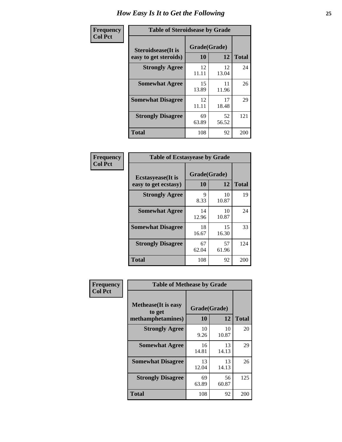| Frequency      | <b>Table of Steroidsease by Grade</b>               |                    |             |              |  |  |  |  |  |
|----------------|-----------------------------------------------------|--------------------|-------------|--------------|--|--|--|--|--|
| <b>Col Pct</b> | <b>Steroidsease</b> (It is<br>easy to get steroids) | Grade(Grade)<br>10 | 12          | <b>Total</b> |  |  |  |  |  |
|                | <b>Strongly Agree</b>                               | 12<br>11.11        | 12<br>13.04 | 24           |  |  |  |  |  |
|                | <b>Somewhat Agree</b>                               | 15<br>13.89        | 11<br>11.96 | 26           |  |  |  |  |  |
|                | <b>Somewhat Disagree</b>                            | 12<br>11.11        | 17<br>18.48 | 29           |  |  |  |  |  |
|                | <b>Strongly Disagree</b>                            | 69<br>63.89        | 52<br>56.52 | 121          |  |  |  |  |  |
|                | <b>Total</b>                                        | 108                | 92          | 200          |  |  |  |  |  |

| Frequency      | <b>Table of Ecstasyease by Grade</b>              |                           |             |              |  |  |  |  |  |
|----------------|---------------------------------------------------|---------------------------|-------------|--------------|--|--|--|--|--|
| <b>Col Pct</b> | <b>Ecstasyease</b> (It is<br>easy to get ecstasy) | Grade(Grade)<br><b>10</b> | 12          | <b>Total</b> |  |  |  |  |  |
|                | <b>Strongly Agree</b>                             | 9<br>8.33                 | 10<br>10.87 | 19           |  |  |  |  |  |
|                | <b>Somewhat Agree</b>                             | 14<br>12.96               | 10<br>10.87 | 24           |  |  |  |  |  |
|                | <b>Somewhat Disagree</b>                          | 18<br>16.67               | 15<br>16.30 | 33           |  |  |  |  |  |
|                | <b>Strongly Disagree</b>                          | 67<br>62.04               | 57<br>61.96 | 124          |  |  |  |  |  |
|                | <b>Total</b>                                      | 108                       | 92          | 200          |  |  |  |  |  |

| Frequency      | <b>Table of Methease by Grade</b>     |              |             |              |
|----------------|---------------------------------------|--------------|-------------|--------------|
| <b>Col Pct</b> | <b>Methease</b> (It is easy<br>to get | Grade(Grade) |             |              |
|                | methamphetamines)                     | 10           | 12          | <b>Total</b> |
|                | <b>Strongly Agree</b>                 | 10<br>9.26   | 10<br>10.87 | 20           |
|                | <b>Somewhat Agree</b>                 | 16<br>14.81  | 13<br>14.13 | 29           |
|                | <b>Somewhat Disagree</b>              | 13<br>12.04  | 13<br>14.13 | 26           |
|                | <b>Strongly Disagree</b>              | 69<br>63.89  | 56<br>60.87 | 125          |
|                | Total                                 | 108          | 92          | 200          |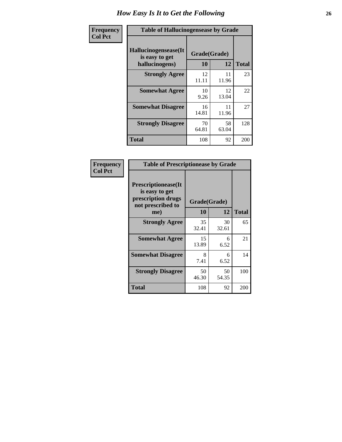| <b>Frequency</b> | <b>Table of Hallucinogensease by Grade</b>               |                    |             |              |  |  |  |  |
|------------------|----------------------------------------------------------|--------------------|-------------|--------------|--|--|--|--|
| <b>Col Pct</b>   | Hallucinogensease(It<br>is easy to get<br>hallucinogens) | Grade(Grade)<br>10 | 12          | <b>Total</b> |  |  |  |  |
|                  | <b>Strongly Agree</b>                                    | 12<br>11.11        | 11<br>11.96 | 23           |  |  |  |  |
|                  | <b>Somewhat Agree</b>                                    | 10<br>9.26         | 12<br>13.04 | 22           |  |  |  |  |
|                  | <b>Somewhat Disagree</b>                                 | 16<br>14.81        | 11<br>11.96 | 27           |  |  |  |  |
|                  | <b>Strongly Disagree</b>                                 | 70<br>64.81        | 58<br>63.04 | 128          |  |  |  |  |
|                  | <b>Total</b>                                             | 108                | 92          | 200          |  |  |  |  |

| <b>Frequency</b><br>Col Pct |
|-----------------------------|
|                             |

| <b>Table of Prescriptionease by Grade</b>                                                |              |             |              |  |  |
|------------------------------------------------------------------------------------------|--------------|-------------|--------------|--|--|
| <b>Prescriptionease</b> (It<br>is easy to get<br>prescription drugs<br>not prescribed to | Grade(Grade) |             |              |  |  |
| me)                                                                                      | 10           | 12          | <b>Total</b> |  |  |
| <b>Strongly Agree</b>                                                                    | 35<br>32.41  | 30<br>32.61 | 65           |  |  |
| <b>Somewhat Agree</b>                                                                    | 15<br>13.89  | 6<br>6.52   | 21           |  |  |
| <b>Somewhat Disagree</b>                                                                 | 8<br>7.41    | 6<br>6.52   | 14           |  |  |
| <b>Strongly Disagree</b>                                                                 | 50<br>46.30  | 50<br>54.35 | 100          |  |  |
| <b>Total</b>                                                                             | 108          | 92          | 200          |  |  |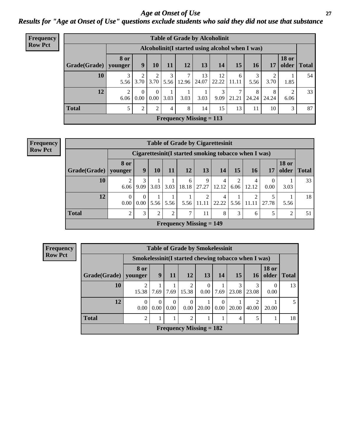*Age at Onset of Use* **27** *Results for "Age at Onset of Use" questions exclude students who said they did not use that substance*

| <b>Frequency</b> |              | <b>Table of Grade by Alcoholinit</b> |                                                  |                       |           |                        |                           |             |            |            |            |                       |       |
|------------------|--------------|--------------------------------------|--------------------------------------------------|-----------------------|-----------|------------------------|---------------------------|-------------|------------|------------|------------|-----------------------|-------|
| <b>Row Pct</b>   |              |                                      | Alcoholinit (I started using alcohol when I was) |                       |           |                        |                           |             |            |            |            |                       |       |
|                  | Grade(Grade) | <b>8 or</b><br>younger               | 9                                                | 10                    | <b>11</b> | 12                     | 13                        | 14          | 15         | <b>16</b>  | 17         | <b>18 or</b><br>older | Total |
|                  | 10           | 3<br>5.56                            | 3.70                                             | $\mathcal{D}$<br>3.70 | 3<br>5.56 | $\mathcal{I}$<br>12.96 | 13<br>24.07               | 12<br>22.22 | 6<br>11.11 | 5.56       | ↑<br>3.70  | 1.85                  | 54    |
|                  | 12           | $\overline{2}$<br>6.06               | $\Omega$<br>$0.00\degree$                        | $\Omega$<br>0.00      | 3.03      | 3.03                   | 3.03                      | 3<br>9.09   | 21.21      | 8<br>24.24 | 8<br>24.24 | ↑<br>6.06             | 33    |
|                  | <b>Total</b> | 5                                    | $\overline{2}$                                   | $\overline{c}$        | 4         | 8                      | 14                        | 15          | 13         | 11         | 10         | 3                     | 87    |
|                  |              |                                      |                                                  |                       |           |                        | Frequency Missing $= 113$ |             |            |            |            |                       |       |

| Frequency<br>Row Pct |  |
|----------------------|--|
| <b>Row Pct</b>       |  |

| <b>Table of Grade by Cigarettesinit</b> |                 |                                                      |      |      |            |               |                   |           |            |            |                       |              |
|-----------------------------------------|-----------------|------------------------------------------------------|------|------|------------|---------------|-------------------|-----------|------------|------------|-----------------------|--------------|
|                                         |                 | Cigarettesinit(I started smoking tobacco when I was) |      |      |            |               |                   |           |            |            |                       |              |
| <b>Grade</b> (Grade)                    | 8 or<br>younger | 9                                                    | 10   | 11   | 12         | 13            | 14                | <b>15</b> | 16         | 17         | <b>18 or</b><br>older | <b>Total</b> |
| 10                                      | 6.06            | 3<br>9.09                                            | 3.03 | 3.03 | 6<br>18.18 | 9<br>27.27    | 12.12             | 2<br>6.06 | 4<br>12.12 | 0<br>0.00  | 3.03                  | 33           |
| 12                                      | 0<br>0.00       | 0.00                                                 | 5.56 | 5.56 | 5.56       | 2<br>-11.11 l | 4<br>$22.22$ 5.56 |           | 2<br>11.11 | 5<br>27.78 | 5.56                  | 18           |
| Total                                   | ∍               | 3                                                    | 2    | 2    | 7          | 11            | 8                 | 3         | 6          | 5          | $\overline{2}$        | 51           |
| <b>Frequency Missing = 149</b>          |                 |                                                      |      |      |            |               |                   |           |            |            |                       |              |

| Frequency      |                           | <b>Table of Grade by Smokelessinit</b>               |                      |                  |                         |                               |                      |       |                 |                       |              |
|----------------|---------------------------|------------------------------------------------------|----------------------|------------------|-------------------------|-------------------------------|----------------------|-------|-----------------|-----------------------|--------------|
| <b>Row Pct</b> |                           | Smokelessinit (I started chewing tobacco when I was) |                      |                  |                         |                               |                      |       |                 |                       |              |
|                | Grade(Grade)              | 8 or<br>younger                                      | 9 <sup>1</sup>       | 11               | 12                      | 13                            | 14                   | 15    | 16 <sup>1</sup> | <b>18 or</b><br>older | <b>Total</b> |
|                | 10                        | 15.38                                                | 7.69                 | 7.69             | $\mathfrak{D}$<br>15.38 | $\theta$<br>0.00 <sub>1</sub> | 7.69                 | 23.08 | 3<br>23.08      | 0<br>0.00             | 13           |
|                | 12                        | $\Omega$<br>0.00                                     | $\Omega$<br>$0.00\,$ | $\Omega$<br>0.00 | $\Omega$<br>0.00        | 20.00                         | $\Omega$<br>$0.00\,$ | 20.00 | ◠<br>40.00      | 20.00                 | 5            |
|                | <b>Total</b>              | 2                                                    |                      |                  | $\mathfrak{D}$          |                               |                      | 4     | 5               |                       | 18           |
|                | Frequency Missing $= 182$ |                                                      |                      |                  |                         |                               |                      |       |                 |                       |              |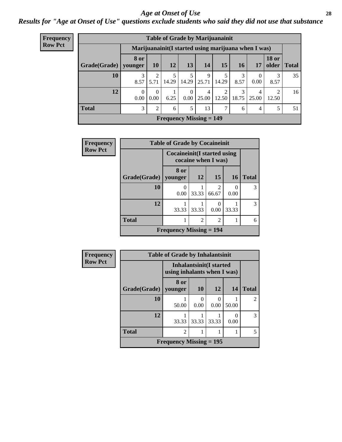#### *Age at Onset of Use* **28**

*Results for "Age at Onset of Use" questions exclude students who said they did not use that substance*

| <b>Frequency</b> | <b>Table of Grade by Marijuanainit</b>      |                        |                  |       |                  |                                                      |            |            |            |                       |       |
|------------------|---------------------------------------------|------------------------|------------------|-------|------------------|------------------------------------------------------|------------|------------|------------|-----------------------|-------|
| <b>Row Pct</b>   |                                             |                        |                  |       |                  | Marijuanainit (I started using marijuana when I was) |            |            |            |                       |       |
|                  | Grade(Grade)                                | <b>8 or</b><br>younger | <b>10</b>        | 12    | 13               | 14                                                   | 15         | <b>16</b>  | <b>17</b>  | <b>18 or</b><br>older | Total |
|                  | 10                                          | 3<br>8.57              | 2<br>5.71        | 14.29 | 14.29            | 9<br>25.71                                           | 14.29      | 3<br>8.57  | 0<br>0.00  | 3<br>8.57             | 35    |
|                  | 12                                          | $\theta$<br>0.00       | $\Omega$<br>0.00 | 6.25  | $\Omega$<br>0.00 | 4<br>25.00                                           | 2<br>12.50 | 3<br>18.75 | 4<br>25.00 | ◠<br>12.50            | 16    |
|                  | <b>Total</b>                                | 3                      | $\mathfrak{D}$   | 6     | 5                | 13                                                   | 7          | 6          | 4          | 5                     | 51    |
|                  | <b>Frequency Missing <math>= 149</math></b> |                        |                  |       |                  |                                                      |            |            |            |                       |       |

| Frequency      |              | <b>Table of Grade by Cocaineinit</b>                       |                |                                      |           |              |  |  |  |  |
|----------------|--------------|------------------------------------------------------------|----------------|--------------------------------------|-----------|--------------|--|--|--|--|
| <b>Row Pct</b> |              | <b>Cocaineinit</b> (I started using<br>cocaine when I was) |                |                                      |           |              |  |  |  |  |
|                | Grade(Grade) | 8 or<br>younger                                            | 12             | <b>15</b>                            | <b>16</b> | <b>Total</b> |  |  |  |  |
|                | 10           | $\theta$<br>0.00                                           | 33.33          | $\mathcal{D}_{\mathcal{L}}$<br>66.67 | 0.00      | 3            |  |  |  |  |
|                | 12           | 33.33                                                      | 33.33          | $\mathbf{\Omega}$<br>0.00            | 33.33     | 3            |  |  |  |  |
|                | <b>Total</b> |                                                            | $\overline{c}$ | $\mathfrak{D}$                       |           | 6            |  |  |  |  |
|                |              | <b>Frequency Missing = 194</b>                             |                |                                      |           |              |  |  |  |  |

| <b>Frequency</b> | <b>Table of Grade by Inhalantsinit</b> |                           |                                                               |                       |           |                |  |  |  |
|------------------|----------------------------------------|---------------------------|---------------------------------------------------------------|-----------------------|-----------|----------------|--|--|--|
| <b>Row Pct</b>   |                                        |                           | <b>Inhalantsinit(I started</b><br>using inhalants when I was) |                       |           |                |  |  |  |
|                  | Grade(Grade)                           | 8 or<br>younger           | <b>10</b>                                                     | <b>12</b>             | 14        | <b>Total</b>   |  |  |  |
|                  | 10                                     | 50.00                     | 0.00                                                          | $\mathcal{O}$<br>0.00 | 50.00     | $\overline{2}$ |  |  |  |
|                  | 12                                     | 33.33                     | 33.33                                                         | 33.33                 | 0<br>0.00 | 3              |  |  |  |
|                  | <b>Total</b>                           | $\mathfrak{D}$            |                                                               |                       |           | 5              |  |  |  |
|                  |                                        | Frequency Missing $= 195$ |                                                               |                       |           |                |  |  |  |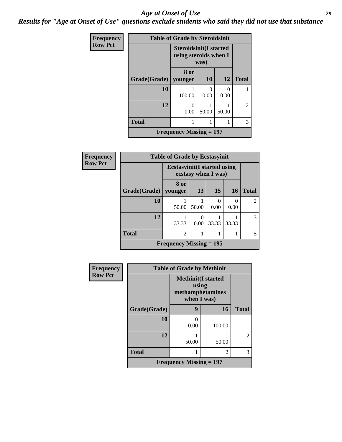#### *Age at Onset of Use* **29**

*Results for "Age at Onset of Use" questions exclude students who said they did not use that substance*

| <b>Frequency</b> | <b>Table of Grade by Steroidsinit</b> |                                                        |           |           |                |  |  |  |  |
|------------------|---------------------------------------|--------------------------------------------------------|-----------|-----------|----------------|--|--|--|--|
| <b>Row Pct</b>   |                                       | <b>Steroidsinit(I started</b><br>using steroids when I | was)      |           |                |  |  |  |  |
|                  | Grade(Grade)   younger                | 8 or                                                   | <b>10</b> | <b>12</b> | <b>Total</b>   |  |  |  |  |
|                  |                                       |                                                        |           |           |                |  |  |  |  |
|                  | 10                                    | 100.00                                                 | 0<br>0.00 | 0<br>0.00 |                |  |  |  |  |
|                  | 12                                    | $\Omega$<br>0.00                                       | 50.00     | 50.00     | $\overline{c}$ |  |  |  |  |
|                  | <b>Total</b>                          |                                                        |           |           | 3              |  |  |  |  |
|                  |                                       | <b>Frequency Missing = 197</b>                         |           |           |                |  |  |  |  |

| Frequency      | <b>Table of Grade by Ecstasyinit</b> |                                     |                     |       |           |                |  |  |  |  |
|----------------|--------------------------------------|-------------------------------------|---------------------|-------|-----------|----------------|--|--|--|--|
| <b>Row Pct</b> |                                      | <b>Ecstasyinit</b> (I started using | ecstasy when I was) |       |           |                |  |  |  |  |
|                | Grade(Grade)                         | 8 or<br>younger                     | 13                  | 15    | <b>16</b> | <b>Total</b>   |  |  |  |  |
|                | <b>10</b>                            | 50.00                               | 50.00               | 0.00  | 0<br>0.00 | $\overline{2}$ |  |  |  |  |
|                | 12                                   | 33.33                               | $\Omega$<br>0.00    | 33.33 | 33.33     | 3              |  |  |  |  |
|                | <b>Total</b>                         | $\overline{2}$                      |                     |       |           | 5              |  |  |  |  |
|                |                                      | Frequency Missing $= 195$           |                     |       |           |                |  |  |  |  |

| <b>Frequency</b> |                                | <b>Table of Grade by Methinit</b>                                      |        |                |  |  |  |  |
|------------------|--------------------------------|------------------------------------------------------------------------|--------|----------------|--|--|--|--|
| <b>Row Pct</b>   |                                | <b>Methinit</b> (I started<br>using<br>methamphetamines<br>when I was) |        |                |  |  |  |  |
|                  | Grade(Grade)                   | 9                                                                      | 16     | <b>Total</b>   |  |  |  |  |
|                  | 10                             | 0<br>0.00                                                              | 100.00 |                |  |  |  |  |
|                  | 12                             | 50.00                                                                  | 50.00  | $\overline{c}$ |  |  |  |  |
|                  | <b>Total</b>                   |                                                                        | 2      | 3              |  |  |  |  |
|                  | <b>Frequency Missing = 197</b> |                                                                        |        |                |  |  |  |  |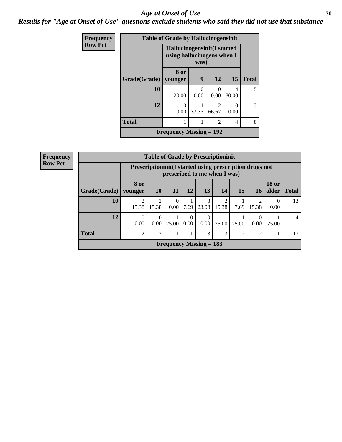#### Age at Onset of Use **30**

*Results for "Age at Onset of Use" questions exclude students who said they did not use that substance*

| <b>Frequency</b> | <b>Table of Grade by Hallucinogensinit</b> |                                                           |           |                                      |            |              |  |  |  |
|------------------|--------------------------------------------|-----------------------------------------------------------|-----------|--------------------------------------|------------|--------------|--|--|--|
| <b>Row Pct</b>   |                                            | Hallucinogensinit(I started<br>using hallucinogens when I | was)      |                                      |            |              |  |  |  |
|                  | Grade(Grade)                               | 8 or<br>younger                                           | 9         | 12                                   | 15         | <b>Total</b> |  |  |  |
|                  | 10                                         | 20.00                                                     | 0<br>0.00 | 0.00                                 | 4<br>80.00 | 5            |  |  |  |
|                  | 12                                         | 0<br>0.00                                                 | 33.33     | $\mathcal{D}_{\mathcal{L}}$<br>66.67 | ∩<br>0.00  | 3            |  |  |  |
|                  | <b>Total</b>                               |                                                           |           | $\overline{2}$                       | 4          | 8            |  |  |  |
|                  | Frequency Missing $= 192$                  |                                                           |           |                                      |            |              |  |  |  |

| <b>Frequency</b> |              | <b>Table of Grade by Prescriptioninit</b> |                                                                                          |           |           |                           |            |       |                         |                               |    |
|------------------|--------------|-------------------------------------------|------------------------------------------------------------------------------------------|-----------|-----------|---------------------------|------------|-------|-------------------------|-------------------------------|----|
| <b>Row Pct</b>   |              |                                           | Prescriptioninit (I started using prescription drugs not<br>prescribed to me when I was) |           |           |                           |            |       |                         |                               |    |
|                  | Grade(Grade) | <b>8 or</b><br>  younger                  | 10                                                                                       | <b>11</b> | 12        | 13                        | 14         | 15    | 16                      | <b>18 or</b><br>older   Total |    |
|                  | 10           | 2<br>15.38                                | 2<br>15.38                                                                               | 0.00      | 7.69      | 3<br>23.08                | 2<br>15.38 | 7.69  | $\overline{c}$<br>15.38 | $\Omega$<br>0.00              | 13 |
|                  | 12           | $\theta$<br>0.00                          | $\theta$<br>0.00                                                                         | 25.00     | 0<br>0.00 | $\Omega$<br>0.00          | 25.00      | 25.00 | 0<br>0.00               | 25.00                         | 4  |
|                  | <b>Total</b> | 2                                         | 2                                                                                        |           |           | 3                         | 3          | 2     | $\overline{c}$          |                               | 17 |
|                  |              |                                           |                                                                                          |           |           | Frequency Missing $= 183$ |            |       |                         |                               |    |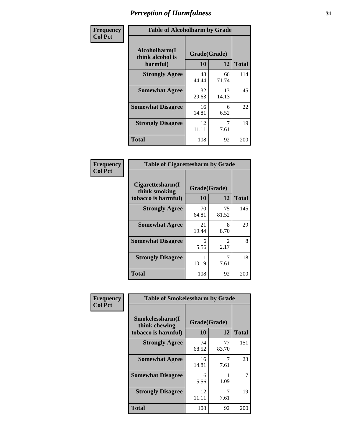| Frequency      |                                               | <b>Table of Alcoholharm by Grade</b> |             |              |  |  |  |  |  |  |
|----------------|-----------------------------------------------|--------------------------------------|-------------|--------------|--|--|--|--|--|--|
| <b>Col Pct</b> | Alcoholharm(I<br>think alcohol is<br>harmful) | Grade(Grade)<br>10                   | 12          | <b>Total</b> |  |  |  |  |  |  |
|                | <b>Strongly Agree</b>                         | 48<br>44.44                          | 66<br>71.74 | 114          |  |  |  |  |  |  |
|                | <b>Somewhat Agree</b>                         | 32<br>29.63                          | 13<br>14.13 | 45           |  |  |  |  |  |  |
|                | <b>Somewhat Disagree</b>                      | 16<br>14.81                          | 6<br>6.52   | 22           |  |  |  |  |  |  |
|                | <b>Strongly Disagree</b>                      | 12<br>11.11                          | 7<br>7.61   | 19           |  |  |  |  |  |  |
|                | <b>Total</b>                                  | 108                                  | 92          | 200          |  |  |  |  |  |  |

| <b>Table of Cigarettesharm by Grade</b>                  |                    |                        |              |  |  |  |  |  |  |
|----------------------------------------------------------|--------------------|------------------------|--------------|--|--|--|--|--|--|
| Cigarettesharm(I<br>think smoking<br>tobacco is harmful) | Grade(Grade)<br>10 | 12                     | <b>Total</b> |  |  |  |  |  |  |
| <b>Strongly Agree</b>                                    | 70<br>64.81        | 75<br>81.52            | 145          |  |  |  |  |  |  |
| <b>Somewhat Agree</b>                                    | 21<br>19.44        | 8<br>8.70              | 29           |  |  |  |  |  |  |
| <b>Somewhat Disagree</b>                                 | 6<br>5.56          | $\mathfrak{D}$<br>2.17 | 8            |  |  |  |  |  |  |
| <b>Strongly Disagree</b>                                 | 11<br>10.19        | 7<br>7.61              | 18           |  |  |  |  |  |  |
| <b>Total</b>                                             | 108                | 92                     | 200          |  |  |  |  |  |  |

| Frequency      | <b>Table of Smokelessharm by Grade</b>                  |                    |             |              |
|----------------|---------------------------------------------------------|--------------------|-------------|--------------|
| <b>Col Pct</b> | Smokelessharm(I<br>think chewing<br>tobacco is harmful) | Grade(Grade)<br>10 | 12          | <b>Total</b> |
|                | <b>Strongly Agree</b>                                   | 74<br>68.52        | 77<br>83.70 | 151          |
|                | <b>Somewhat Agree</b>                                   | 16<br>14.81        | 7.61        | 23           |
|                | <b>Somewhat Disagree</b>                                | 6<br>5.56          | 1.09        | 7            |
|                | <b>Strongly Disagree</b>                                | 12<br>11.11        | 7<br>7.61   | 19           |
|                | <b>Total</b>                                            | 108                | 92          | 200          |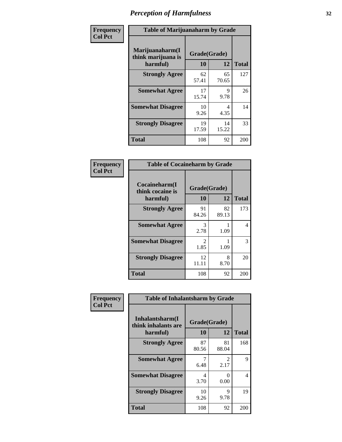| Frequency      | <b>Table of Marijuanaharm by Grade</b>            |                    |             |              |
|----------------|---------------------------------------------------|--------------------|-------------|--------------|
| <b>Col Pct</b> | Marijuanaharm(I<br>think marijuana is<br>harmful) | Grade(Grade)<br>10 | 12          | <b>Total</b> |
|                | <b>Strongly Agree</b>                             | 62<br>57.41        | 65<br>70.65 | 127          |
|                | <b>Somewhat Agree</b>                             | 17<br>15.74        | 9<br>9.78   | 26           |
|                | <b>Somewhat Disagree</b>                          | 10<br>9.26         | 4<br>4.35   | 14           |
|                | <b>Strongly Disagree</b>                          | 19<br>17.59        | 14<br>15.22 | 33           |
|                | <b>Total</b>                                      | 108                | 92          | 200          |

| <b>Table of Cocaineharm by Grade</b>          |              |             |     |  |  |
|-----------------------------------------------|--------------|-------------|-----|--|--|
| Cocaineharm(I<br>think cocaine is<br>harmful) | <b>Total</b> |             |     |  |  |
| <b>Strongly Agree</b>                         | 91<br>84.26  | 82<br>89.13 | 173 |  |  |
| <b>Somewhat Agree</b>                         | 3<br>2.78    | 1.09        | 4   |  |  |
| <b>Somewhat Disagree</b>                      | 2<br>1.85    | 1.09        | 3   |  |  |
| <b>Strongly Disagree</b>                      | 12<br>11.11  | 8<br>8.70   | 20  |  |  |
| <b>Total</b>                                  | 108          | 92          | 200 |  |  |

| Frequency      | <b>Table of Inhalantsharm by Grade</b>             |                           |                       |              |
|----------------|----------------------------------------------------|---------------------------|-----------------------|--------------|
| <b>Col Pct</b> | Inhalantsharm(I<br>think inhalants are<br>harmful) | Grade(Grade)<br><b>10</b> | 12                    | <b>Total</b> |
|                | <b>Strongly Agree</b>                              | 87<br>80.56               | 81<br>88.04           | 168          |
|                | <b>Somewhat Agree</b>                              | 6.48                      | $\mathcal{L}$<br>2.17 | 9            |
|                | <b>Somewhat Disagree</b>                           | 4<br>3.70                 | 0<br>0.00             | 4            |
|                | <b>Strongly Disagree</b>                           | 10<br>9.26                | 9<br>9.78             | 19           |
|                | <b>Total</b>                                       | 108                       | 92                    | 200          |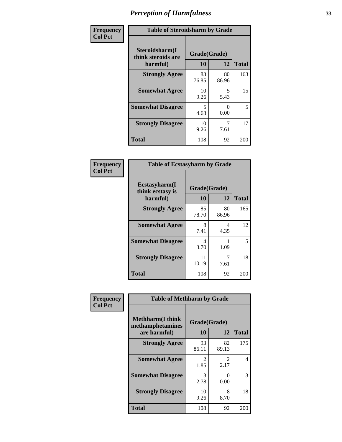| Frequency      | <b>Table of Steroidsharm by Grade</b>            |                    |             |              |
|----------------|--------------------------------------------------|--------------------|-------------|--------------|
| <b>Col Pct</b> | Steroidsharm(I<br>think steroids are<br>harmful) | Grade(Grade)<br>10 | 12          | <b>Total</b> |
|                | <b>Strongly Agree</b>                            | 83<br>76.85        | 80<br>86.96 | 163          |
|                | <b>Somewhat Agree</b>                            | 10<br>9.26         | 5<br>5.43   | 15           |
|                | <b>Somewhat Disagree</b>                         | 5<br>4.63          | 0<br>0.00   | 5            |
|                | <b>Strongly Disagree</b>                         | 10<br>9.26         | 7<br>7.61   | 17           |
|                | <b>Total</b>                                     | 108                | 92          | 200          |

| <b>Table of Ecstasyharm by Grade</b>                                      |             |             |     |  |  |
|---------------------------------------------------------------------------|-------------|-------------|-----|--|--|
| Ecstasyharm(I<br>Grade(Grade)<br>think ecstasy is<br>10<br>12<br>harmful) |             |             |     |  |  |
| <b>Strongly Agree</b>                                                     | 85<br>78.70 | 80<br>86.96 | 165 |  |  |
| <b>Somewhat Agree</b>                                                     | 8<br>7.41   | 4<br>4.35   | 12  |  |  |
| <b>Somewhat Disagree</b>                                                  | 4<br>3.70   | 1.09        | 5   |  |  |
| <b>Strongly Disagree</b>                                                  | 11<br>10.19 | 7<br>7.61   | 18  |  |  |
| <b>Total</b>                                                              | 108         | 92          | 200 |  |  |

| Frequency      | <b>Table of Methharm by Grade</b>                            |                    |                       |              |
|----------------|--------------------------------------------------------------|--------------------|-----------------------|--------------|
| <b>Col Pct</b> | <b>Methharm</b> (I think<br>methamphetamines<br>are harmful) | Grade(Grade)<br>10 | 12                    | <b>Total</b> |
|                | <b>Strongly Agree</b>                                        | 93<br>86.11        | 82<br>89.13           | 175          |
|                | <b>Somewhat Agree</b>                                        | 2<br>1.85          | $\mathcal{L}$<br>2.17 | 4            |
|                | <b>Somewhat Disagree</b>                                     | 3<br>2.78          | 0<br>0.00             | 3            |
|                | <b>Strongly Disagree</b>                                     | 10<br>9.26         | 8<br>8.70             | 18           |
|                | Total                                                        | 108                | 92                    | 200          |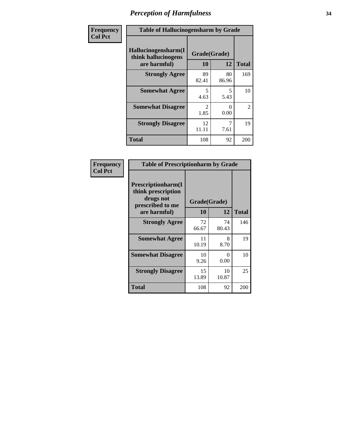| Frequency      | <b>Table of Hallucinogensharm by Grade</b>                 |                       |                                  |                |
|----------------|------------------------------------------------------------|-----------------------|----------------------------------|----------------|
| <b>Col Pct</b> | Hallucinogensharm(I<br>think hallucinogens<br>are harmful) | Grade(Grade)<br>10    | 12                               | <b>Total</b>   |
|                | <b>Strongly Agree</b>                                      | 89<br>82.41           | 80<br>86.96                      | 169            |
|                | <b>Somewhat Agree</b>                                      | 5<br>4.63             | $\overline{\phantom{0}}$<br>5.43 | 10             |
|                | <b>Somewhat Disagree</b>                                   | $\mathcal{L}$<br>1.85 | 0<br>0.00                        | $\overline{2}$ |
|                | <b>Strongly Disagree</b>                                   | 12<br>11.11           | 7<br>7.61                        | 19             |
|                | <b>Total</b>                                               | 108                   | 92                               | 200            |

| <b>Table of Prescriptionharm by Grade</b>                                         |              |                           |              |  |
|-----------------------------------------------------------------------------------|--------------|---------------------------|--------------|--|
| <b>Prescriptionharm(I)</b><br>think prescription<br>drugs not<br>prescribed to me | Grade(Grade) |                           |              |  |
| are harmful)                                                                      | 10           | 12                        | <b>Total</b> |  |
| <b>Strongly Agree</b>                                                             | 72<br>66.67  | 74<br>80.43               | 146          |  |
| <b>Somewhat Agree</b>                                                             | 11<br>10.19  | 8<br>8.70                 | 19           |  |
| <b>Somewhat Disagree</b>                                                          | 10<br>9.26   | $\mathbf{\Omega}$<br>0.00 | 10           |  |
| <b>Strongly Disagree</b>                                                          | 15<br>13.89  | 10<br>10.87               | 25           |  |
| Total                                                                             | 108          | 92                        | 200          |  |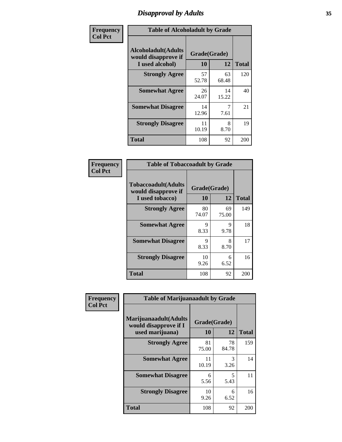### *Disapproval by Adults* **35**

| Frequency      | <b>Table of Alcoholadult by Grade</b>                                 |             |                    |              |
|----------------|-----------------------------------------------------------------------|-------------|--------------------|--------------|
| <b>Col Pct</b> | <b>Alcoholadult</b> (Adults<br>would disapprove if<br>I used alcohol) | 10          | Grade(Grade)<br>12 | <b>Total</b> |
|                | <b>Strongly Agree</b>                                                 | 57<br>52.78 | 63<br>68.48        | 120          |
|                | <b>Somewhat Agree</b>                                                 | 26<br>24.07 | 14<br>15.22        | 40           |
|                | <b>Somewhat Disagree</b>                                              | 14<br>12.96 | 7.61               | 21           |
|                | <b>Strongly Disagree</b>                                              | 11<br>10.19 | 8<br>8.70          | 19           |
|                | <b>Total</b>                                                          | 108         | 92                 | 200          |

| <b>Table of Tobaccoadult by Grade</b>                                                             |             |             |     |  |  |
|---------------------------------------------------------------------------------------------------|-------------|-------------|-----|--|--|
| <b>Tobaccoadult</b> (Adults<br>Grade(Grade)<br>would disapprove if<br>10<br>12<br>I used tobacco) |             |             |     |  |  |
| <b>Strongly Agree</b>                                                                             | 80<br>74.07 | 69<br>75.00 | 149 |  |  |
| <b>Somewhat Agree</b>                                                                             | 9<br>8.33   | 9<br>9.78   | 18  |  |  |
| <b>Somewhat Disagree</b>                                                                          | 9<br>8.33   | 8<br>8.70   | 17  |  |  |
| <b>Strongly Disagree</b>                                                                          | 10<br>9.26  | 6<br>6.52   | 16  |  |  |
| <b>Total</b>                                                                                      | 108         | 92          | 200 |  |  |

| Frequency<br><b>Col Pct</b> | <b>Table of Marijuanaadult by Grade</b>                           |                    |             |              |
|-----------------------------|-------------------------------------------------------------------|--------------------|-------------|--------------|
|                             | Marijuanaadult(Adults<br>would disapprove if I<br>used marijuana) | Grade(Grade)<br>10 | 12          | <b>Total</b> |
|                             | <b>Strongly Agree</b>                                             | 81<br>75.00        | 78<br>84.78 | 159          |
|                             | <b>Somewhat Agree</b>                                             | 11<br>10.19        | 3<br>3.26   | 14           |
|                             | <b>Somewhat Disagree</b>                                          | 6<br>5.56          | 5<br>5.43   | 11           |
|                             | <b>Strongly Disagree</b>                                          | 10<br>9.26         | 6<br>6.52   | 16           |
|                             | <b>Total</b>                                                      | 108                | 92          | 200          |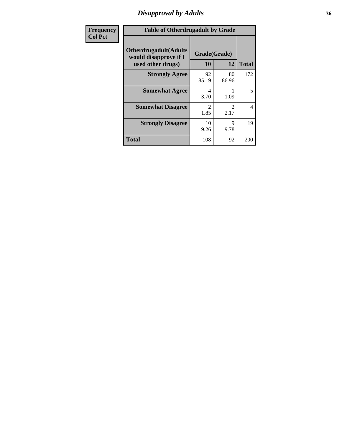### *Disapproval by Adults* **36**

| <b>Frequency</b> | <b>Table of Otherdrugadult by Grade</b>                |                       |                                     |                |
|------------------|--------------------------------------------------------|-----------------------|-------------------------------------|----------------|
| <b>Col Pct</b>   | <b>Otherdrugadult</b> (Adults<br>would disapprove if I | Grade(Grade)          |                                     |                |
|                  | used other drugs)                                      | 10                    | 12                                  | <b>Total</b>   |
|                  | <b>Strongly Agree</b>                                  | 92<br>85.19           | 80<br>86.96                         | 172            |
|                  | <b>Somewhat Agree</b>                                  | 4<br>3.70             | 1.09                                | 5              |
|                  | <b>Somewhat Disagree</b>                               | $\mathcal{D}$<br>1.85 | $\mathcal{D}_{\mathcal{L}}$<br>2.17 | $\overline{4}$ |
|                  | <b>Strongly Disagree</b>                               | 10<br>9.26            | 9<br>9.78                           | 19             |
|                  | <b>Total</b>                                           | 108                   | 92                                  | 200            |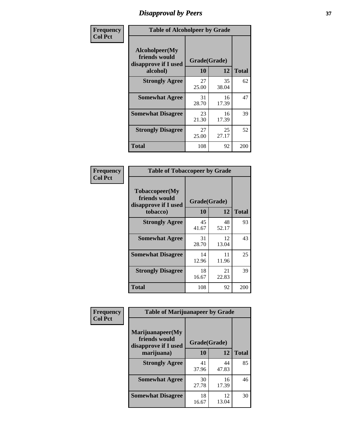# *Disapproval by Peers* **37**

| Frequency      | <b>Table of Alcoholpeer by Grade</b>                    |              |             |              |  |
|----------------|---------------------------------------------------------|--------------|-------------|--------------|--|
| <b>Col Pct</b> | Alcoholpeer(My<br>friends would<br>disapprove if I used | Grade(Grade) |             |              |  |
|                | alcohol)                                                | 10           | 12          | <b>Total</b> |  |
|                | <b>Strongly Agree</b>                                   | 27<br>25.00  | 35<br>38.04 | 62           |  |
|                | <b>Somewhat Agree</b>                                   | 31<br>28.70  | 16<br>17.39 | 47           |  |
|                | <b>Somewhat Disagree</b>                                | 23<br>21.30  | 16<br>17.39 | 39           |  |
|                | <b>Strongly Disagree</b>                                | 27<br>25.00  | 25<br>27.17 | 52           |  |
|                | Total                                                   | 108          | 92          | 200          |  |

| Frequency      | <b>Table of Tobaccopeer by Grade</b>                    |              |             |              |  |
|----------------|---------------------------------------------------------|--------------|-------------|--------------|--|
| <b>Col Pct</b> | Tobaccopeer(My<br>friends would<br>disapprove if I used | Grade(Grade) |             |              |  |
|                | tobacco)                                                | 10           | 12          | <b>Total</b> |  |
|                | <b>Strongly Agree</b>                                   | 45<br>41.67  | 48<br>52.17 | 93           |  |
|                | <b>Somewhat Agree</b>                                   | 31<br>28.70  | 12<br>13.04 | 43           |  |
|                | <b>Somewhat Disagree</b>                                | 14<br>12.96  | 11<br>11.96 | 25           |  |
|                | <b>Strongly Disagree</b>                                | 18<br>16.67  | 21<br>22.83 | 39           |  |
|                | Total                                                   | 108          | 92          | 200          |  |

| Frequency      | <b>Table of Marijuanapeer by Grade</b> |              |             |              |  |
|----------------|----------------------------------------|--------------|-------------|--------------|--|
| <b>Col Pct</b> | Marijuanapeer(My<br>friends would      | Grade(Grade) |             |              |  |
|                | disapprove if I used<br>marijuana)     | 10           | 12          | <b>Total</b> |  |
|                | <b>Strongly Agree</b>                  | 41<br>37.96  | 44<br>47.83 | 85           |  |
|                | <b>Somewhat Agree</b>                  | 30<br>27.78  | 16<br>17.39 | 46           |  |
|                | <b>Somewhat Disagree</b>               | 18<br>16.67  | 12<br>13.04 | 30           |  |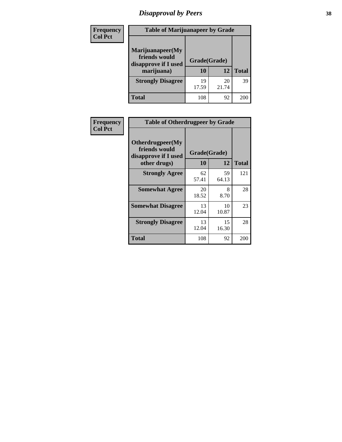# *Disapproval by Peers* **38**

| <b>Frequency</b> | <b>Table of Marijuanapeer by Grade</b>                                  |                    |             |              |
|------------------|-------------------------------------------------------------------------|--------------------|-------------|--------------|
| <b>Col Pct</b>   | Marijuanapeer(My<br>friends would<br>disapprove if I used<br>marijuana) | Grade(Grade)<br>10 | 12          | <b>Total</b> |
|                  | <b>Strongly Disagree</b>                                                | 19<br>17.59        | 20<br>21.74 | 39           |
|                  | <b>Total</b>                                                            | 108                | 92          | 200          |

| Frequency      | <b>Table of Otherdrugpeer by Grade</b>                                    |                           |             |              |  |
|----------------|---------------------------------------------------------------------------|---------------------------|-------------|--------------|--|
| <b>Col Pct</b> | Otherdrugpeer(My<br>friends would<br>disapprove if I used<br>other drugs) | Grade(Grade)<br><b>10</b> | 12          | <b>Total</b> |  |
|                | <b>Strongly Agree</b>                                                     | 62<br>57.41               | 59<br>64.13 | 121          |  |
|                | <b>Somewhat Agree</b>                                                     | 20<br>18.52               | 8<br>8.70   | 28           |  |
|                | <b>Somewhat Disagree</b>                                                  | 13<br>12.04               | 10<br>10.87 | 23           |  |
|                | <b>Strongly Disagree</b>                                                  | 13<br>12.04               | 15<br>16.30 | 28           |  |
|                | <b>Total</b>                                                              | 108                       | 92          | 200          |  |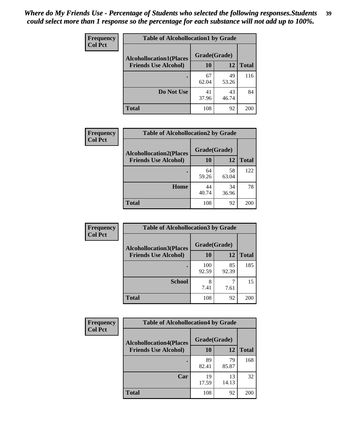| Frequency      | <b>Table of Alcohollocation1 by Grade</b> |              |             |              |
|----------------|-------------------------------------------|--------------|-------------|--------------|
| <b>Col Pct</b> | <b>Alcohollocation1(Places</b>            | Grade(Grade) |             |              |
|                | <b>Friends Use Alcohol)</b>               | 10           | 12          | <b>Total</b> |
|                |                                           | 67<br>62.04  | 49<br>53.26 | 116          |
|                | Do Not Use                                | 41<br>37.96  | 43<br>46.74 | 84           |
|                | <b>Total</b>                              | 108          | 92          | 200          |

| <b>Frequency</b> | <b>Table of Alcohollocation2 by Grade</b>                     |                    |             |              |
|------------------|---------------------------------------------------------------|--------------------|-------------|--------------|
| <b>Col Pct</b>   | <b>Alcohollocation2(Places</b><br><b>Friends Use Alcohol)</b> | Grade(Grade)<br>10 | 12          | <b>Total</b> |
|                  |                                                               |                    |             |              |
|                  |                                                               | 64<br>59.26        | 58<br>63.04 | 122          |
|                  | Home                                                          | 44<br>40.74        | 34<br>36.96 | 78           |
|                  | <b>Total</b>                                                  | 108                | 92          | 200          |

| Frequency      | <b>Table of Alcohollocation 3 by Grade</b>                    |                    |             |              |
|----------------|---------------------------------------------------------------|--------------------|-------------|--------------|
| <b>Col Pct</b> | <b>Alcohollocation3(Places</b><br><b>Friends Use Alcohol)</b> | Grade(Grade)<br>10 | 12          | <b>Total</b> |
|                |                                                               | 100<br>92.59       | 85<br>92.39 | 185          |
|                | <b>School</b>                                                 | 8<br>7.41          | 7.61        | 15           |
|                | <b>Total</b>                                                  | 108                | 92          | 200          |

| <b>Frequency</b> | <b>Table of Alcohollocation4 by Grade</b> |              |             |              |
|------------------|-------------------------------------------|--------------|-------------|--------------|
| <b>Col Pct</b>   | <b>Alcohollocation4(Places</b>            | Grade(Grade) |             |              |
|                  | <b>Friends Use Alcohol)</b>               | 10           | 12          | <b>Total</b> |
|                  |                                           | 89<br>82.41  | 79<br>85.87 | 168          |
|                  | Car                                       | 19<br>17.59  | 13<br>14.13 | 32           |
|                  | <b>Total</b>                              | 108          | 92          | 200          |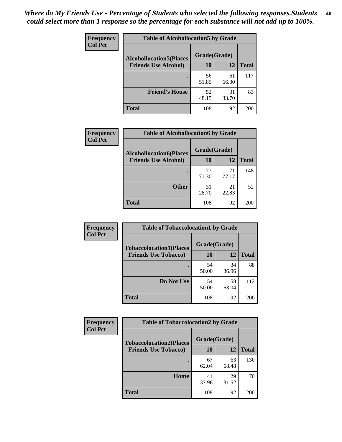| Frequency<br><b>Col Pct</b> | <b>Table of Alcohollocation5 by Grade</b> |             |             |              |  |
|-----------------------------|-------------------------------------------|-------------|-------------|--------------|--|
|                             | <b>Alcohollocation5(Places</b>            |             |             |              |  |
|                             | <b>Friends Use Alcohol)</b>               | 10          | 12          | <b>Total</b> |  |
|                             |                                           | 56<br>51.85 | 61<br>66.30 | 117          |  |
|                             | <b>Friend's House</b>                     | 52<br>48.15 | 31<br>33.70 | 83           |  |
|                             | <b>Total</b>                              | 108         | 92          | 200          |  |

| <b>Frequency</b> | <b>Table of Alcohollocation6 by Grade</b> |              |             |              |
|------------------|-------------------------------------------|--------------|-------------|--------------|
| <b>Col Pct</b>   | <b>Alcohollocation6(Places</b>            | Grade(Grade) |             |              |
|                  | <b>Friends Use Alcohol)</b>               | 10           | 12          | <b>Total</b> |
|                  |                                           | 77<br>71.30  | 71<br>77.17 | 148          |
|                  | <b>Other</b>                              | 31<br>28.70  | 21<br>22.83 | 52           |
|                  | <b>Total</b>                              | 108          | 92          | 200          |

| Frequency      | <b>Table of Tobaccolocation1 by Grade</b> |              |             |              |
|----------------|-------------------------------------------|--------------|-------------|--------------|
| <b>Col Pct</b> | <b>Tobaccolocation1(Places</b>            | Grade(Grade) |             |              |
|                | <b>Friends Use Tobacco)</b>               | 10           | <b>12</b>   | <b>Total</b> |
|                |                                           | 54<br>50.00  | 34<br>36.96 | 88           |
|                | <b>Do Not Use</b>                         | 54<br>50.00  | 58<br>63.04 | 112          |
|                | <b>Total</b>                              | 108          | 92          | 200          |

| Frequency      | <b>Table of Tobaccolocation2 by Grade</b> |              |             |              |  |
|----------------|-------------------------------------------|--------------|-------------|--------------|--|
| <b>Col Pct</b> | <b>Tobaccolocation2(Places</b>            | Grade(Grade) |             |              |  |
|                | <b>Friends Use Tobacco)</b>               | 10           | 12          | <b>Total</b> |  |
|                |                                           | 67<br>62.04  | 63<br>68.48 | 130          |  |
|                | Home                                      | 41<br>37.96  | 29<br>31.52 | 70           |  |
|                | <b>Total</b>                              | 108          | 92          | 200          |  |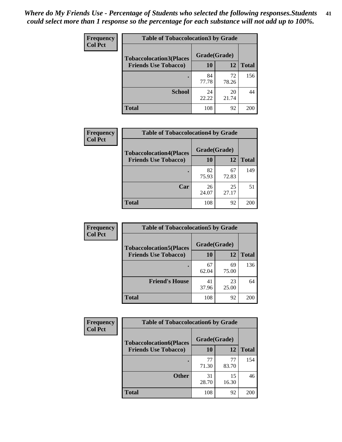| Frequency      | <b>Table of Tobaccolocation 3 by Grade</b> |              |             |              |  |
|----------------|--------------------------------------------|--------------|-------------|--------------|--|
| <b>Col Pct</b> | <b>Tobaccolocation3(Places</b>             | Grade(Grade) |             |              |  |
|                | <b>Friends Use Tobacco)</b>                | 10           | 12          | <b>Total</b> |  |
|                | ٠                                          | 84<br>77.78  | 72<br>78.26 | 156          |  |
|                | <b>School</b>                              | 24<br>22.22  | 20<br>21.74 | 44           |  |
|                | <b>Total</b>                               | 108          | 92          | 200          |  |

| Frequency      | <b>Table of Tobaccolocation4 by Grade</b> |              |             |              |
|----------------|-------------------------------------------|--------------|-------------|--------------|
| <b>Col Pct</b> | <b>Tobaccolocation4(Places</b>            | Grade(Grade) |             |              |
|                | <b>Friends Use Tobacco)</b>               | 10           | 12          | <b>Total</b> |
|                |                                           | 82<br>75.93  | 67<br>72.83 | 149          |
|                | Car                                       | 26<br>24.07  | 25<br>27.17 | 51           |
|                | <b>Total</b>                              | 108          | 92          | 200          |

| <b>Frequency</b> | <b>Table of Tobaccolocation5 by Grade</b> |              |             |                 |
|------------------|-------------------------------------------|--------------|-------------|-----------------|
| <b>Col Pct</b>   | <b>Tobaccolocation5(Places</b>            | Grade(Grade) |             |                 |
|                  | <b>Friends Use Tobacco)</b>               | 10           | 12          | <b>Total</b>    |
|                  |                                           | 67<br>62.04  | 69<br>75.00 | 136             |
|                  | <b>Friend's House</b>                     | 41<br>37.96  | 23<br>25.00 | 64              |
|                  | <b>Total</b>                              | 108          | 92          | 20 <sub>C</sub> |

| Frequency      | <b>Table of Tobaccolocation6 by Grade</b> |              |             |              |  |
|----------------|-------------------------------------------|--------------|-------------|--------------|--|
| <b>Col Pct</b> | <b>Tobaccolocation6(Places</b>            | Grade(Grade) |             |              |  |
|                | <b>Friends Use Tobacco)</b>               | 10           | 12          | <b>Total</b> |  |
|                |                                           | 77<br>71.30  | 77<br>83.70 | 154          |  |
|                | <b>Other</b>                              | 31<br>28.70  | 15<br>16.30 | 46           |  |
|                | <b>Total</b>                              | 108          | 92          | 200          |  |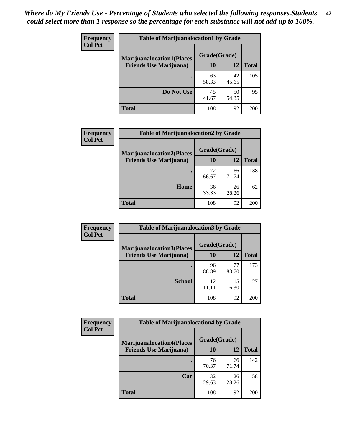| <b>Frequency</b> | <b>Table of Marijuanalocation1 by Grade</b> |              |             |              |
|------------------|---------------------------------------------|--------------|-------------|--------------|
| <b>Col Pct</b>   | <b>Marijuanalocation1(Places</b>            | Grade(Grade) |             |              |
|                  | <b>Friends Use Marijuana</b> )              | <b>10</b>    | 12          | <b>Total</b> |
|                  |                                             | 63<br>58.33  | 42<br>45.65 | 105          |
|                  | Do Not Use                                  | 45<br>41.67  | 50<br>54.35 | 95           |
|                  | <b>Total</b>                                | 108          | 92          | 200          |

| <b>Frequency</b> | <b>Table of Marijuanalocation2 by Grade</b>                        |                    |             |              |
|------------------|--------------------------------------------------------------------|--------------------|-------------|--------------|
| <b>Col Pct</b>   | <b>Marijuanalocation2(Places</b><br><b>Friends Use Marijuana</b> ) | Grade(Grade)<br>10 | 12          | <b>Total</b> |
|                  |                                                                    | 72<br>66.67        | 66<br>71.74 | 138          |
|                  | Home                                                               | 36<br>33.33        | 26<br>28.26 | 62           |
|                  | <b>Total</b>                                                       | 108                | 92          | 200          |

| Frequency<br><b>Col Pct</b> | <b>Table of Marijuanalocation3 by Grade</b> |              |             |              |
|-----------------------------|---------------------------------------------|--------------|-------------|--------------|
|                             | <b>Marijuanalocation3</b> (Places           | Grade(Grade) |             |              |
|                             | <b>Friends Use Marijuana</b> )              | 10           | 12          | <b>Total</b> |
|                             |                                             | 96<br>88.89  | 77<br>83.70 | 173          |
|                             | <b>School</b>                               | 12<br>11.11  | 15<br>16.30 | 27           |
|                             | <b>Total</b>                                | 108          | 92          | 200          |

| <b>Frequency</b> | <b>Table of Marijuanalocation4 by Grade</b> |              |             |              |  |
|------------------|---------------------------------------------|--------------|-------------|--------------|--|
| <b>Col Pct</b>   | <b>Marijuanalocation4(Places</b>            | Grade(Grade) |             |              |  |
|                  | <b>Friends Use Marijuana</b> )              | <b>10</b>    | 12          | <b>Total</b> |  |
|                  |                                             | 76<br>70.37  | 66<br>71.74 | 142          |  |
|                  | Car                                         | 32<br>29.63  | 26<br>28.26 | 58           |  |
|                  | <b>Total</b>                                | 108          | 92          | 200          |  |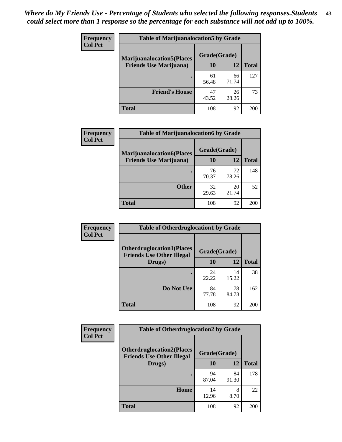| <b>Frequency</b> | <b>Table of Marijuanalocation5 by Grade</b> |              |             |              |
|------------------|---------------------------------------------|--------------|-------------|--------------|
| <b>Col Pct</b>   | <b>Marijuanalocation5</b> (Places           | Grade(Grade) |             |              |
|                  | <b>Friends Use Marijuana</b> )              | 10           | 12          | <b>Total</b> |
|                  |                                             | 61<br>56.48  | 66<br>71.74 | 127          |
|                  | <b>Friend's House</b>                       | 47<br>43.52  | 26<br>28.26 | 73           |
|                  | <b>Total</b>                                | 108          | 92          | 200          |

| <b>Frequency</b> | <b>Table of Marijuanalocation6 by Grade</b>                        |                    |             |              |
|------------------|--------------------------------------------------------------------|--------------------|-------------|--------------|
| <b>Col Pct</b>   | <b>Marijuanalocation6(Places</b><br><b>Friends Use Marijuana</b> ) | Grade(Grade)<br>10 | 12          | <b>Total</b> |
|                  |                                                                    | 76<br>70.37        | 72<br>78.26 | 148          |
|                  | <b>Other</b>                                                       | 32<br>29.63        | 20<br>21.74 | 52           |
|                  | <b>Total</b>                                                       | 108                | 92          | 200          |

| Frequency      | <b>Table of Otherdruglocation1 by Grade</b>                          |              |             |              |
|----------------|----------------------------------------------------------------------|--------------|-------------|--------------|
| <b>Col Pct</b> | <b>Otherdruglocation1(Places</b><br><b>Friends Use Other Illegal</b> | Grade(Grade) |             |              |
|                | Drugs)                                                               | 10           | 12          | <b>Total</b> |
|                |                                                                      | 24<br>22.22  | 14<br>15.22 | 38           |
|                | Do Not Use                                                           | 84<br>77.78  | 78<br>84.78 | 162          |
|                | <b>Total</b>                                                         | 108          | 92          | 200          |

| Frequency      | <b>Table of Otherdruglocation2 by Grade</b>                          |              |             |              |
|----------------|----------------------------------------------------------------------|--------------|-------------|--------------|
| <b>Col Pct</b> | <b>Otherdruglocation2(Places</b><br><b>Friends Use Other Illegal</b> | Grade(Grade) |             |              |
|                | Drugs)                                                               | 10           | 12          | <b>Total</b> |
|                |                                                                      | 94<br>87.04  | 84<br>91.30 | 178          |
|                | Home                                                                 | 14<br>12.96  | 8<br>8.70   | 22           |
|                | <b>Total</b>                                                         | 108          | 92          | 200          |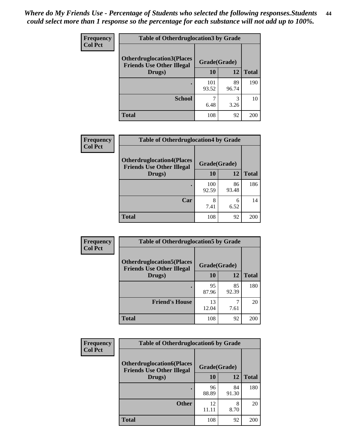| <b>Frequency</b> | <b>Table of Otherdruglocation3 by Grade</b>                          |              |             |              |
|------------------|----------------------------------------------------------------------|--------------|-------------|--------------|
| <b>Col Pct</b>   | <b>Otherdruglocation3(Places</b><br><b>Friends Use Other Illegal</b> | Grade(Grade) |             |              |
|                  | Drugs)                                                               | 10           | 12          | <b>Total</b> |
|                  |                                                                      | 101<br>93.52 | 89<br>96.74 | 190          |
|                  | <b>School</b>                                                        | 6.48         | 3<br>3.26   | 10           |
|                  | <b>Total</b>                                                         | 108          | 92          | 200          |

| Frequency      | <b>Table of Otherdruglocation4 by Grade</b>                          |              |             |              |
|----------------|----------------------------------------------------------------------|--------------|-------------|--------------|
| <b>Col Pct</b> | <b>Otherdruglocation4(Places</b><br><b>Friends Use Other Illegal</b> | Grade(Grade) |             |              |
|                | Drugs)                                                               | <b>10</b>    | 12          | <b>Total</b> |
|                |                                                                      | 100<br>92.59 | 86<br>93.48 | 186          |
|                | Car                                                                  | 8<br>7.41    | 6<br>6.52   | 14           |
|                | <b>Total</b>                                                         | 108          | 92          | 200          |

| <b>Frequency</b><br><b>Col Pct</b> | <b>Table of Otherdruglocation5 by Grade</b>                          |              |             |              |
|------------------------------------|----------------------------------------------------------------------|--------------|-------------|--------------|
|                                    | <b>Otherdruglocation5(Places</b><br><b>Friends Use Other Illegal</b> | Grade(Grade) |             |              |
|                                    | Drugs)                                                               | <b>10</b>    | 12          | <b>Total</b> |
|                                    |                                                                      | 95<br>87.96  | 85<br>92.39 | 180          |
|                                    | <b>Friend's House</b>                                                | 13<br>12.04  | 7.61        | 20           |
|                                    | <b>Total</b>                                                         | 108          | 92          | 200          |

| <b>Frequency</b> | <b>Table of Otherdruglocation6 by Grade</b>                          |              |             |              |
|------------------|----------------------------------------------------------------------|--------------|-------------|--------------|
| <b>Col Pct</b>   | <b>Otherdruglocation6(Places</b><br><b>Friends Use Other Illegal</b> | Grade(Grade) |             |              |
|                  | Drugs)                                                               | <b>10</b>    | 12          | <b>Total</b> |
|                  |                                                                      | 96<br>88.89  | 84<br>91.30 | 180          |
|                  | <b>Other</b>                                                         | 12<br>11.11  | 8<br>8.70   | 20           |
|                  | <b>Total</b>                                                         | 108          | 92          | 200          |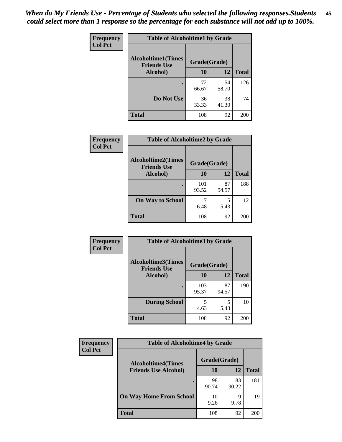| Frequency      | <b>Table of Alcoholtime1 by Grade</b>                           |             |             |              |
|----------------|-----------------------------------------------------------------|-------------|-------------|--------------|
| <b>Col Pct</b> | <b>Alcoholtime1(Times</b><br>Grade(Grade)<br><b>Friends Use</b> |             |             |              |
|                | Alcohol)                                                        | 10          | 12          | <b>Total</b> |
|                |                                                                 | 72<br>66.67 | 54<br>58.70 | 126          |
|                | Do Not Use                                                      | 36<br>33.33 | 38<br>41.30 | 74           |
|                | <b>Total</b>                                                    | 108         | 92          | 200          |

| Frequency      | <b>Table of Alcoholtime2 by Grade</b>           |              |             |              |
|----------------|-------------------------------------------------|--------------|-------------|--------------|
| <b>Col Pct</b> | <b>Alcoholtime2(Times</b><br><b>Friends Use</b> | Grade(Grade) |             |              |
|                | Alcohol)                                        | 10           | 12          | <b>Total</b> |
|                |                                                 | 101<br>93.52 | 87<br>94.57 | 188          |
|                | <b>On Way to School</b>                         | 6.48         | 5<br>5.43   | 12           |
|                | <b>Total</b>                                    | 108          | 92          | 200          |

| Frequency<br><b>Col Pct</b> | <b>Table of Alcoholtime3 by Grade</b>           |              |             |              |
|-----------------------------|-------------------------------------------------|--------------|-------------|--------------|
|                             | <b>Alcoholtime3(Times</b><br><b>Friends Use</b> | Grade(Grade) |             |              |
|                             | Alcohol)                                        | 10           | 12          | <b>Total</b> |
|                             |                                                 | 103<br>95.37 | 87<br>94.57 | 190          |
|                             | <b>During School</b>                            | 5<br>4.63    | 5<br>5.43   | 10           |
|                             | <b>Total</b>                                    | 108          | 92          | 200          |

| <b>Frequency</b><br><b>Col Pct</b> | <b>Table of Alcoholtime4 by Grade</b> |              |             |                 |
|------------------------------------|---------------------------------------|--------------|-------------|-----------------|
|                                    | <b>Alcoholtime4(Times</b>             | Grade(Grade) |             |                 |
|                                    | <b>Friends Use Alcohol)</b>           | 10           | 12          | <b>Total</b>    |
|                                    |                                       | 98<br>90.74  | 83<br>90.22 | 181             |
|                                    | <b>On Way Home From School</b>        | 10<br>9.26   | 9<br>9.78   | 19              |
|                                    | <b>Total</b>                          | 108          | 92          | 20 <sub>C</sub> |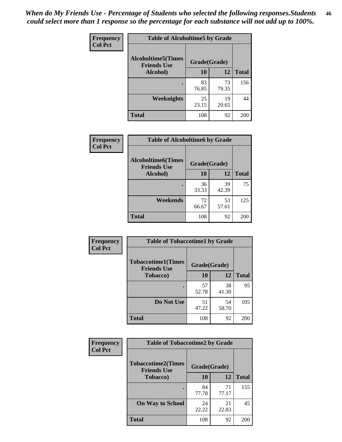*When do My Friends Use - Percentage of Students who selected the following responses.Students could select more than 1 response so the percentage for each substance will not add up to 100%.* **46**

| Frequency      | <b>Table of Alcoholtime5 by Grade</b>           |              |             |              |
|----------------|-------------------------------------------------|--------------|-------------|--------------|
| <b>Col Pct</b> | <b>Alcoholtime5(Times</b><br><b>Friends Use</b> | Grade(Grade) |             |              |
|                | Alcohol)                                        | 10           | 12          | <b>Total</b> |
|                |                                                 | 83<br>76.85  | 73<br>79.35 | 156          |
|                | Weeknights                                      | 25<br>23.15  | 19<br>20.65 | 44           |
|                | <b>Total</b>                                    | 108          | 92          | 200          |

| Frequency      | <b>Table of Alcoholtime6 by Grade</b>           |              |             |              |
|----------------|-------------------------------------------------|--------------|-------------|--------------|
| <b>Col Pct</b> | <b>Alcoholtime6(Times</b><br><b>Friends Use</b> | Grade(Grade) |             |              |
|                | Alcohol)                                        | 10           | 12          | <b>Total</b> |
|                |                                                 | 36<br>33.33  | 39<br>42.39 | 75           |
|                | Weekends                                        | 72<br>66.67  | 53<br>57.61 | 125          |
|                | <b>Total</b>                                    | 108          | 92          | 200          |

| Frequency      | <b>Table of Tobaccotime1 by Grade</b>           |              |             |              |
|----------------|-------------------------------------------------|--------------|-------------|--------------|
| <b>Col Pct</b> | <b>Tobaccotime1(Times</b><br><b>Friends Use</b> | Grade(Grade) |             |              |
|                | <b>Tobacco</b> )                                | 10           | 12          | <b>Total</b> |
|                | ٠                                               | 57<br>52.78  | 38<br>41.30 | 95           |
|                | Do Not Use                                      | 51<br>47.22  | 54<br>58.70 | 105          |
|                | <b>Total</b>                                    | 108          | 92          | 200          |

| <b>Frequency</b> | <b>Table of Tobaccotime2 by Grade</b>           |              |             |              |
|------------------|-------------------------------------------------|--------------|-------------|--------------|
| <b>Col Pct</b>   | <b>Tobaccotime2(Times</b><br><b>Friends Use</b> | Grade(Grade) |             |              |
|                  | Tobacco)                                        | 10           | 12          | <b>Total</b> |
|                  |                                                 | 84<br>77.78  | 71<br>77.17 | 155          |
|                  | <b>On Way to School</b>                         | 24<br>22.22  | 21<br>22.83 | 45           |
|                  | <b>Total</b>                                    | 108          | 92          | 200          |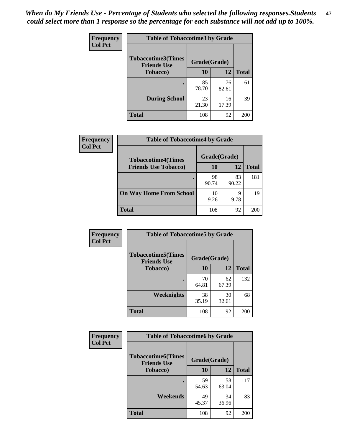*When do My Friends Use - Percentage of Students who selected the following responses.Students could select more than 1 response so the percentage for each substance will not add up to 100%.* **47**

| <b>Frequency</b> | <b>Table of Tobaccotime3 by Grade</b>           |              |             |              |
|------------------|-------------------------------------------------|--------------|-------------|--------------|
| <b>Col Pct</b>   | <b>Tobaccotime3(Times</b><br><b>Friends Use</b> | Grade(Grade) |             |              |
|                  | <b>Tobacco</b> )                                | 10           | 12          | <b>Total</b> |
|                  |                                                 | 85<br>78.70  | 76<br>82.61 | 161          |
|                  | <b>During School</b>                            | 23<br>21.30  | 16<br>17.39 | 39           |
|                  | <b>Total</b>                                    | 108          | 92          | 200          |

| <b>Frequency</b> | <b>Table of Tobaccotime4 by Grade</b> |              |             |              |
|------------------|---------------------------------------|--------------|-------------|--------------|
| <b>Col Pct</b>   | <b>Tobaccotime4(Times</b>             | Grade(Grade) |             |              |
|                  | <b>Friends Use Tobacco)</b>           | 10           | 12          | <b>Total</b> |
|                  |                                       | 98<br>90.74  | 83<br>90.22 | 181          |
|                  | <b>On Way Home From School</b>        | 10<br>9.26   | 9<br>9.78   | 19           |
|                  | <b>Total</b>                          | 108          | 92          | 200          |

| <b>Frequency</b> | <b>Table of Tobaccotime5 by Grade</b>           |              |             |              |
|------------------|-------------------------------------------------|--------------|-------------|--------------|
| <b>Col Pct</b>   | <b>Tobaccotime5(Times</b><br><b>Friends Use</b> | Grade(Grade) |             |              |
|                  | <b>Tobacco</b> )                                | 10           | 12          | <b>Total</b> |
|                  |                                                 | 70<br>64.81  | 62<br>67.39 | 132          |
|                  | Weeknights                                      | 38<br>35.19  | 30<br>32.61 | 68           |
|                  | <b>Total</b>                                    | 108          | 92          | 200          |

| Frequency      | <b>Table of Tobaccotime6 by Grade</b>           |              |             |              |  |
|----------------|-------------------------------------------------|--------------|-------------|--------------|--|
| <b>Col Pct</b> | <b>Tobaccotime6(Times</b><br><b>Friends Use</b> | Grade(Grade) |             |              |  |
|                | <b>Tobacco</b> )                                | 10           | 12          | <b>Total</b> |  |
|                |                                                 | 59<br>54.63  | 58<br>63.04 | 117          |  |
|                | Weekends                                        | 49<br>45.37  | 34<br>36.96 | 83           |  |
|                | Total                                           | 108          | 92          | 200          |  |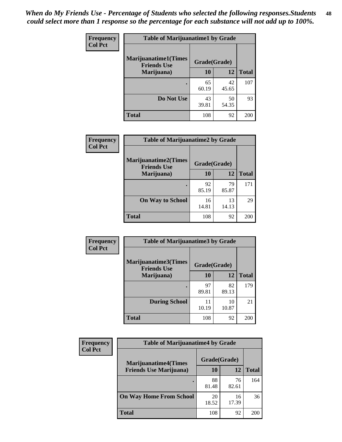| Frequency      | <b>Table of Marijuanatime1 by Grade</b>           |              |             |              |
|----------------|---------------------------------------------------|--------------|-------------|--------------|
| <b>Col Pct</b> | <b>Marijuanatime1(Times</b><br><b>Friends Use</b> | Grade(Grade) |             |              |
|                | Marijuana)                                        | 10           | 12          | <b>Total</b> |
|                |                                                   | 65<br>60.19  | 42<br>45.65 | 107          |
|                | Do Not Use                                        | 43<br>39.81  | 50<br>54.35 | 93           |
|                | <b>Total</b>                                      | 108          | 92          | <b>200</b>   |

| <b>Frequency</b> | <b>Table of Marijuanatime2 by Grade</b>           |              |             |              |
|------------------|---------------------------------------------------|--------------|-------------|--------------|
| <b>Col Pct</b>   | <b>Marijuanatime2(Times</b><br><b>Friends Use</b> | Grade(Grade) |             |              |
|                  | Marijuana)                                        | 10           | 12          | <b>Total</b> |
|                  |                                                   | 92<br>85.19  | 79<br>85.87 | 171          |
|                  | <b>On Way to School</b>                           | 16<br>14.81  | 13<br>14.13 | 29           |
|                  | <b>Total</b>                                      | 108          | 92          | 200          |

| <b>Frequency</b> | <b>Table of Marijuanatime3 by Grade</b>    |              |             |              |
|------------------|--------------------------------------------|--------------|-------------|--------------|
| <b>Col Pct</b>   | Marijuanatime3(Times<br><b>Friends Use</b> | Grade(Grade) |             |              |
|                  | Marijuana)                                 | 10           | 12          | <b>Total</b> |
|                  |                                            | 97<br>89.81  | 82<br>89.13 | 179          |
|                  | <b>During School</b>                       | 11<br>10.19  | 10<br>10.87 | 21           |
|                  | <b>Total</b>                               | 108          | 92          | 200          |

| <b>Frequency</b><br><b>Col Pct</b> | <b>Table of Marijuanatime4 by Grade</b> |              |             |       |
|------------------------------------|-----------------------------------------|--------------|-------------|-------|
|                                    | <b>Marijuanatime4</b> (Times            | Grade(Grade) |             |       |
|                                    | <b>Friends Use Marijuana</b> )          | 10           | 12          | Total |
|                                    |                                         | 88<br>81.48  | 76<br>82.61 | 164   |
|                                    | <b>On Way Home From School</b>          | 20<br>18.52  | 16<br>17.39 | 36    |
|                                    | <b>Total</b>                            | 108          | 92          | 200   |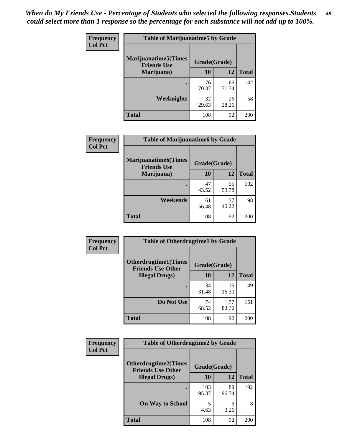| Frequency      | <b>Table of Marijuanatime5 by Grade</b>            |              |             |              |
|----------------|----------------------------------------------------|--------------|-------------|--------------|
| <b>Col Pct</b> | <b>Marijuanatime5</b> (Times<br><b>Friends Use</b> | Grade(Grade) |             |              |
|                | Marijuana)                                         | 10           | 12          | <b>Total</b> |
|                |                                                    | 76<br>70.37  | 66<br>71.74 | 142          |
|                | Weeknights                                         | 32<br>29.63  | 26<br>28.26 | 58           |
|                | <b>Total</b>                                       | 108          | 92          | 200          |

| Frequency      | <b>Table of Marijuanatime6 by Grade</b>            |              |             |              |
|----------------|----------------------------------------------------|--------------|-------------|--------------|
| <b>Col Pct</b> | <b>Marijuanatime6</b> (Times<br><b>Friends Use</b> | Grade(Grade) |             |              |
|                | Marijuana)                                         | 10           | 12          | <b>Total</b> |
|                |                                                    | 47<br>43.52  | 55<br>59.78 | 102          |
|                | Weekends                                           | 61<br>56.48  | 37<br>40.22 | 98           |
|                | <b>Total</b>                                       | 108          | 92          | 200          |

| Frequency      | <b>Table of Otherdrugtime1 by Grade</b>                 |              |             |              |
|----------------|---------------------------------------------------------|--------------|-------------|--------------|
| <b>Col Pct</b> | <b>Otherdrugtime1(Times</b><br><b>Friends Use Other</b> | Grade(Grade) |             |              |
|                | <b>Illegal Drugs</b> )                                  | 10           | 12          | <b>Total</b> |
|                |                                                         | 34<br>31.48  | 15<br>16.30 | 49           |
|                | Do Not Use                                              | 74<br>68.52  | 77<br>83.70 | 151          |
|                | <b>Total</b>                                            | 108          | 92          | 200          |

| <b>Frequency</b><br><b>Col Pct</b> | <b>Table of Otherdrugtime2 by Grade</b>                 |              |             |              |  |  |  |
|------------------------------------|---------------------------------------------------------|--------------|-------------|--------------|--|--|--|
|                                    | <b>Otherdrugtime2(Times</b><br><b>Friends Use Other</b> | Grade(Grade) |             |              |  |  |  |
|                                    | <b>Illegal Drugs</b> )                                  | 10           | 12          | <b>Total</b> |  |  |  |
|                                    |                                                         | 103<br>95.37 | 89<br>96.74 | 192          |  |  |  |
|                                    | <b>On Way to School</b>                                 | 5<br>4.63    | 3<br>3.26   | 8            |  |  |  |
|                                    | Total                                                   | 108          | 92          | 200          |  |  |  |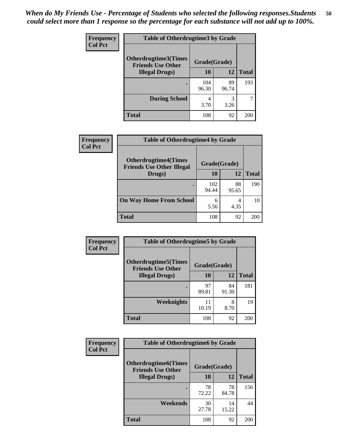| <b>Frequency</b> | <b>Table of Otherdrugtime3 by Grade</b>                 |              |             |              |  |  |
|------------------|---------------------------------------------------------|--------------|-------------|--------------|--|--|
| <b>Col Pct</b>   | <b>Otherdrugtime3(Times</b><br><b>Friends Use Other</b> | Grade(Grade) |             |              |  |  |
|                  | <b>Illegal Drugs</b> )                                  | 10           | 12          | <b>Total</b> |  |  |
|                  |                                                         | 104<br>96.30 | 89<br>96.74 | 193          |  |  |
|                  | <b>During School</b>                                    | 4<br>3.70    | 3<br>3.26   | 7            |  |  |
|                  | <b>Total</b>                                            | 108          | 92          | 200          |  |  |

| Frequency<br><b>Col Pct</b> | <b>Table of Otherdrugtime4 by Grade</b>                         |              |             |              |  |  |  |
|-----------------------------|-----------------------------------------------------------------|--------------|-------------|--------------|--|--|--|
|                             | <b>Otherdrugtime4(Times</b><br><b>Friends Use Other Illegal</b> | Grade(Grade) |             |              |  |  |  |
|                             | Drugs)                                                          | 10           | 12          | <b>Total</b> |  |  |  |
|                             | ٠                                                               | 102<br>94.44 | 88<br>95.65 | 190          |  |  |  |
|                             | <b>On Way Home From School</b>                                  | 6<br>5.56    | 4<br>4.35   | 10           |  |  |  |
|                             | <b>Total</b>                                                    | 108          | 92          | 200          |  |  |  |

| <b>Frequency</b> | <b>Table of Otherdrugtime5 by Grade</b>                  |              |             |              |  |  |  |
|------------------|----------------------------------------------------------|--------------|-------------|--------------|--|--|--|
| <b>Col Pct</b>   | <b>Otherdrugtime5</b> (Times<br><b>Friends Use Other</b> | Grade(Grade) |             |              |  |  |  |
|                  | <b>Illegal Drugs</b> )                                   | 10           | 12          | <b>Total</b> |  |  |  |
|                  |                                                          | 97<br>89.81  | 84<br>91.30 | 181          |  |  |  |
|                  | Weeknights                                               | 11<br>10.19  | 8<br>8.70   | 19           |  |  |  |
|                  | <b>Total</b>                                             | 108          | 92          | 200          |  |  |  |

| Frequency      | <b>Table of Otherdrugtime6 by Grade</b>                 |              |             |              |  |  |  |
|----------------|---------------------------------------------------------|--------------|-------------|--------------|--|--|--|
| <b>Col Pct</b> | <b>Otherdrugtime6(Times</b><br><b>Friends Use Other</b> | Grade(Grade) |             |              |  |  |  |
|                | <b>Illegal Drugs</b> )                                  | 10           | 12          | <b>Total</b> |  |  |  |
|                |                                                         | 78<br>72.22  | 78<br>84.78 | 156          |  |  |  |
|                | Weekends                                                | 30<br>27.78  | 14<br>15.22 | 44           |  |  |  |
|                | <b>Total</b>                                            | 108          | 92          | 200          |  |  |  |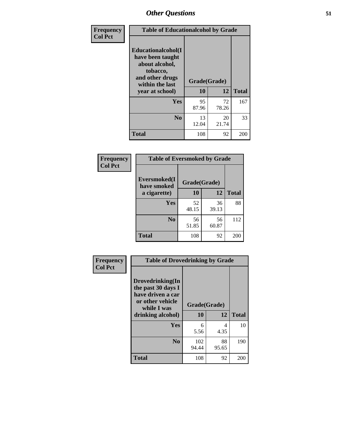| Frequency      | <b>Table of Educationalcohol by Grade</b>                                                                  |              |             |              |  |  |
|----------------|------------------------------------------------------------------------------------------------------------|--------------|-------------|--------------|--|--|
| <b>Col Pct</b> | Educationalcohol(I<br>have been taught<br>about alcohol,<br>tobacco,<br>and other drugs<br>within the last | Grade(Grade) |             |              |  |  |
|                | year at school)                                                                                            | 10           | 12          | <b>Total</b> |  |  |
|                | Yes                                                                                                        | 95<br>87.96  | 72<br>78.26 | 167          |  |  |
|                | N <sub>0</sub>                                                                                             | 13<br>12.04  | 20<br>21.74 | 33           |  |  |
|                | <b>Total</b>                                                                                               | 108          | 92          | 200          |  |  |

| Frequency      | <b>Table of Eversmoked by Grade</b> |              |             |              |  |  |
|----------------|-------------------------------------|--------------|-------------|--------------|--|--|
| <b>Col Pct</b> | Eversmoked(I<br>have smoked         | Grade(Grade) |             |              |  |  |
|                | a cigarette)                        | 10           | 12          | <b>Total</b> |  |  |
|                | <b>Yes</b>                          | 52<br>48.15  | 36<br>39.13 | 88           |  |  |
|                | N <sub>0</sub>                      | 56<br>51.85  | 56<br>60.87 | 112          |  |  |
|                | <b>Total</b>                        | 108          | 92          | 200          |  |  |

| Frequency      | <b>Table of Drovedrinking by Grade</b>                                                                              |                    |             |              |  |  |
|----------------|---------------------------------------------------------------------------------------------------------------------|--------------------|-------------|--------------|--|--|
| <b>Col Pct</b> | Drovedrinking(In<br>the past 30 days I<br>have driven a car<br>or other vehicle<br>while I was<br>drinking alcohol) | Grade(Grade)<br>10 | 12          | <b>Total</b> |  |  |
|                | <b>Yes</b>                                                                                                          | 6<br>5.56          | 4<br>4.35   | 10           |  |  |
|                | N <sub>0</sub>                                                                                                      | 102<br>94.44       | 88<br>95.65 | 190          |  |  |
|                | <b>Total</b>                                                                                                        | 108                | 92          | 200          |  |  |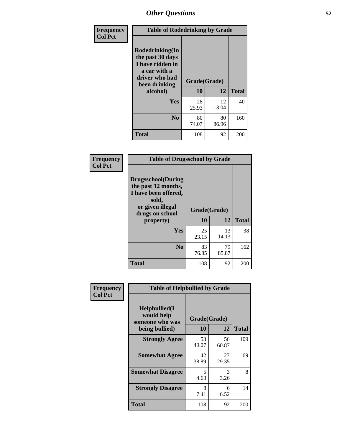| Frequency      | <b>Table of Rodedrinking by Grade</b>                                                                      |                          |             |              |  |  |
|----------------|------------------------------------------------------------------------------------------------------------|--------------------------|-------------|--------------|--|--|
| <b>Col Pct</b> | Rodedrinking(In<br>the past 30 days<br>I have ridden in<br>a car with a<br>driver who had<br>been drinking | Grade(Grade)<br>10<br>12 |             | <b>Total</b> |  |  |
|                | alcohol)                                                                                                   |                          |             |              |  |  |
|                | <b>Yes</b>                                                                                                 | 28<br>25.93              | 12<br>13.04 | 40           |  |  |
|                | N <sub>0</sub>                                                                                             | 80<br>74.07              | 80<br>86.96 | 160          |  |  |
|                | <b>Total</b>                                                                                               | 108                      | 92          | 200          |  |  |

#### **Frequency Col Pct**

| <b>Table of Drugsschool by Grade</b>                                                                                      |             |              |              |  |  |  |
|---------------------------------------------------------------------------------------------------------------------------|-------------|--------------|--------------|--|--|--|
| <b>Drugsschool</b> (During<br>the past 12 months,<br>I have been offered,<br>sold,<br>or given illegal<br>drugs on school |             | Grade(Grade) |              |  |  |  |
| property)                                                                                                                 | 10          | 12           | <b>Total</b> |  |  |  |
| Yes                                                                                                                       | 25<br>23.15 | 13<br>14.13  | 38           |  |  |  |
| N <sub>0</sub>                                                                                                            | 83<br>76.85 | 79<br>85.87  | 162          |  |  |  |
| <b>Total</b>                                                                                                              | 108         | 92           | 20           |  |  |  |

| Frequency      | <b>Table of Helpbullied by Grade</b>                                   |                          |             |              |  |  |  |
|----------------|------------------------------------------------------------------------|--------------------------|-------------|--------------|--|--|--|
| <b>Col Pct</b> | $Helpb$ ullied $(I$<br>would help<br>someone who was<br>being bullied) | Grade(Grade)<br>10<br>12 |             | <b>Total</b> |  |  |  |
|                | <b>Strongly Agree</b>                                                  | 53<br>49.07              | 56<br>60.87 | 109          |  |  |  |
|                | <b>Somewhat Agree</b>                                                  | 42<br>38.89              | 27<br>29.35 | 69           |  |  |  |
|                | <b>Somewhat Disagree</b>                                               | 5<br>4.63                | 3<br>3.26   | 8            |  |  |  |
|                | <b>Strongly Disagree</b>                                               | 8<br>7.41                | 6<br>6.52   | 14           |  |  |  |
|                | <b>Total</b>                                                           | 108                      | 92          | 200          |  |  |  |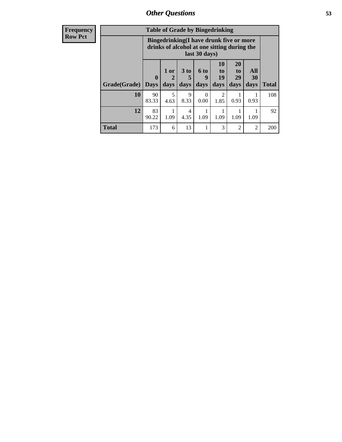| <b>Frequency</b> |              | <b>Table of Grade by Bingedrinking</b>                                                                  |              |                         |                     |                                  |                               |                   |              |
|------------------|--------------|---------------------------------------------------------------------------------------------------------|--------------|-------------------------|---------------------|----------------------------------|-------------------------------|-------------------|--------------|
| <b>Row Pct</b>   |              | Bingedrinking(I have drunk five or more<br>drinks of alcohol at one sitting during the<br>last 30 days) |              |                         |                     |                                  |                               |                   |              |
|                  | Grade(Grade) | $\mathbf{0}$<br><b>Days</b>                                                                             | 1 or<br>days | 3 <sub>to</sub><br>days | $6$ to<br>9<br>days | 10<br>$\mathbf{t}$<br>19<br>days | <b>20</b><br>to<br>29<br>days | All<br>30<br>days | <b>Total</b> |
|                  | 10           | 90<br>83.33                                                                                             | 5<br>4.63    | 9<br>8.33               | $\Omega$<br>0.00    | $\mathfrak{D}$<br>1.85           | 0.93                          | 0.93              | 108          |
|                  | 12           | 83<br>90.22                                                                                             | 1.09         | 4<br>4.35               | 1.09                | 1.09                             | 1.09                          | 1.09              | 92           |
|                  | <b>Total</b> | 173                                                                                                     | 6            | 13                      | 1                   | 3                                | $\mathfrak{D}$                | $\mathfrak{D}$    | 200          |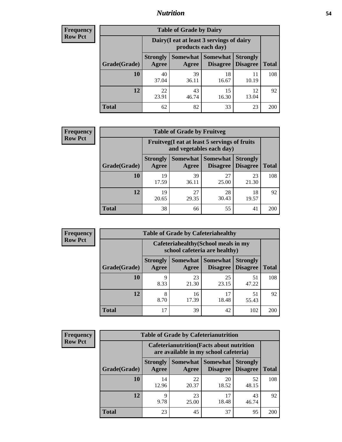#### *Nutrition* **54**

| <b>Frequency</b><br>Row Pct |  |
|-----------------------------|--|
|                             |  |

| <b>Table of Grade by Dairy</b> |             |                                                                                                                                                                                                              |             |             |     |  |  |  |
|--------------------------------|-------------|--------------------------------------------------------------------------------------------------------------------------------------------------------------------------------------------------------------|-------------|-------------|-----|--|--|--|
|                                |             | Dairy (I eat at least 3 servings of dairy<br>products each day)<br>Somewhat<br><b>Somewhat</b><br><b>Strongly</b><br><b>Strongly</b><br><b>Disagree</b><br><b>Disagree</b><br><b>Total</b><br>Agree<br>Agree |             |             |     |  |  |  |
| Grade(Grade)                   |             |                                                                                                                                                                                                              |             |             |     |  |  |  |
| 10                             | 40<br>37.04 | 39<br>36.11                                                                                                                                                                                                  | 18<br>16.67 | 10.19       | 108 |  |  |  |
| 12                             | 22<br>23.91 | 43<br>46.74                                                                                                                                                                                                  | 15<br>16.30 | 12<br>13.04 | 92  |  |  |  |
| <b>Total</b>                   | 62          | 82                                                                                                                                                                                                           | 33          | 23          | 200 |  |  |  |

| <b>Frequency</b> |  |
|------------------|--|
| <b>Row Pct</b>   |  |

| <b>Table of Grade by Fruitveg</b>                                                                                                 |             |             |             |             |     |  |  |  |
|-----------------------------------------------------------------------------------------------------------------------------------|-------------|-------------|-------------|-------------|-----|--|--|--|
| Fruitveg(I eat at least 5 servings of fruits<br>and vegetables each day)                                                          |             |             |             |             |     |  |  |  |
| <b>Somewhat   Somewhat</b><br><b>Strongly</b><br><b>Strongly</b><br><b>Disagree</b><br>Agree<br>Grade(Grade)<br>Disagree<br>Agree |             |             |             |             |     |  |  |  |
| 10                                                                                                                                | 19<br>17.59 | 39<br>36.11 | 27<br>25.00 | 23<br>21.30 | 108 |  |  |  |
| 12                                                                                                                                | 19<br>20.65 | 27<br>29.35 | 28<br>30.43 | 18<br>19.57 | 92  |  |  |  |
| <b>Total</b>                                                                                                                      | 38          | 66          | 55          | 41          | 200 |  |  |  |

| <b>Frequency</b> | <b>Table of Grade by Cafeteriahealthy</b> |                          |                     |                                                                       |                                    |              |  |
|------------------|-------------------------------------------|--------------------------|---------------------|-----------------------------------------------------------------------|------------------------------------|--------------|--|
| <b>Row Pct</b>   |                                           |                          |                     | Cafeteriahealthy (School meals in my<br>school cafeteria are healthy) |                                    |              |  |
|                  | Grade(Grade)                              | <b>Strongly</b><br>Agree | Somewhat  <br>Agree | Somewhat<br><b>Disagree</b>                                           | <b>Strongly</b><br><b>Disagree</b> | <b>Total</b> |  |
|                  | <b>10</b>                                 | Q<br>8.33                | 23<br>21.30         | 25<br>23.15                                                           | 51<br>47.22                        | 108          |  |
|                  | 12                                        | 8<br>8.70                | 16<br>17.39         | 17<br>18.48                                                           | 51<br>55.43                        | 92           |  |
|                  | Total                                     | 17                       | 39                  | 42                                                                    | 102                                | <b>200</b>   |  |

| <b>Frequency</b> |
|------------------|
| <b>Row Pct</b>   |

| <b>Table of Grade by Cafeterianutrition</b>                                               |                          |             |                                      |                                    |              |  |  |
|-------------------------------------------------------------------------------------------|--------------------------|-------------|--------------------------------------|------------------------------------|--------------|--|--|
| <b>Cafeterianutrition</b> (Facts about nutrition<br>are available in my school cafeteria) |                          |             |                                      |                                    |              |  |  |
| Grade(Grade)                                                                              | <b>Strongly</b><br>Agree | Agree       | Somewhat Somewhat<br><b>Disagree</b> | <b>Strongly</b><br><b>Disagree</b> | <b>Total</b> |  |  |
| 10                                                                                        | 14<br>12.96              | 22<br>20.37 | 20<br>18.52                          | 52<br>48.15                        | 108          |  |  |
| 12                                                                                        | 9<br>9.78                | 23<br>25.00 | 17<br>18.48                          | 43<br>46.74                        | 92           |  |  |
| Total                                                                                     | 23                       | 45          | 37                                   | 95                                 | 200          |  |  |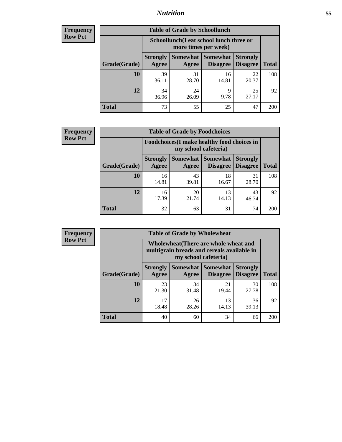### *Nutrition* **55**

| Frequency |
|-----------|
| Row Pct   |

| <b>Table of Grade by Schoollunch</b> |                                                                                                                          |                                                                 |             |             |     |  |  |  |
|--------------------------------------|--------------------------------------------------------------------------------------------------------------------------|-----------------------------------------------------------------|-------------|-------------|-----|--|--|--|
|                                      |                                                                                                                          | Schoollunch(I eat school lunch three or<br>more times per week) |             |             |     |  |  |  |
| Grade(Grade)                         | Somewhat Somewhat<br><b>Strongly</b><br><b>Strongly</b><br><b>Disagree</b><br>Disagree<br><b>Total</b><br>Agree<br>Agree |                                                                 |             |             |     |  |  |  |
| 10                                   | 39<br>36.11                                                                                                              | 31<br>28.70                                                     | 16<br>14.81 | 22<br>20.37 | 108 |  |  |  |
| 12                                   | 34<br>36.96                                                                                                              | 24<br>26.09                                                     | 9<br>9.78   | 25<br>27.17 | 92  |  |  |  |
| <b>Total</b>                         | 73                                                                                                                       | 55                                                              | 25          | 47          | 200 |  |  |  |

| <b>Frequency</b> |  |
|------------------|--|
| <b>Row Pct</b>   |  |

| y | <b>Table of Grade by Foodchoices</b> |                                                                     |                     |                      |                                    |              |  |  |
|---|--------------------------------------|---------------------------------------------------------------------|---------------------|----------------------|------------------------------------|--------------|--|--|
|   |                                      | Foodchoices (I make healthy food choices in<br>my school cafeteria) |                     |                      |                                    |              |  |  |
|   | Grade(Grade)                         | <b>Strongly</b><br>Agree                                            | Somewhat  <br>Agree | Somewhat<br>Disagree | <b>Strongly</b><br><b>Disagree</b> | <b>Total</b> |  |  |
|   | 10                                   | 16<br>14.81                                                         | 43<br>39.81         | 18<br>16.67          | 31<br>28.70                        | 108          |  |  |
|   | 12                                   | 16<br>17.39                                                         | 20<br>21.74         | 13<br>14.13          | 43<br>46.74                        | 92           |  |  |
|   | <b>Total</b>                         | 32                                                                  | 63                  | 31                   | 74                                 | 200          |  |  |

| <b>Frequency</b> | <b>Table of Grade by Wholewheat</b> |                          |             |                                                                                                             |                                    |              |  |  |  |
|------------------|-------------------------------------|--------------------------|-------------|-------------------------------------------------------------------------------------------------------------|------------------------------------|--------------|--|--|--|
| <b>Row Pct</b>   |                                     |                          |             | Wholewheat (There are whole wheat and<br>multigrain breads and cereals available in<br>my school cafeteria) |                                    |              |  |  |  |
|                  | Grade(Grade)                        | <b>Strongly</b><br>Agree | Agree       | Somewhat   Somewhat  <br>Disagree                                                                           | <b>Strongly</b><br><b>Disagree</b> | <b>Total</b> |  |  |  |
|                  | 10                                  | 23<br>21.30              | 34<br>31.48 | 21<br>19.44                                                                                                 | 30<br>27.78                        | 108          |  |  |  |
|                  | 12                                  | 17<br>18.48              | 26<br>28.26 | 13<br>14.13                                                                                                 | 36<br>39.13                        | 92           |  |  |  |
|                  | <b>Total</b>                        | 40                       | 60          | 34                                                                                                          | 66                                 | <b>200</b>   |  |  |  |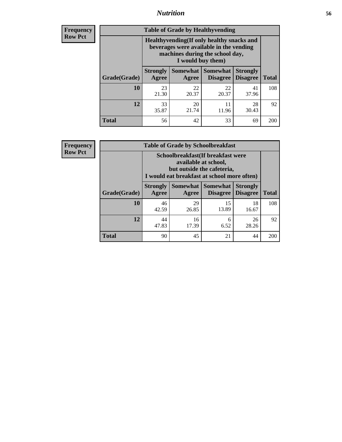#### *Nutrition* **56**

**Frequency Row Pct**

| <b>Table of Grade by Healthyvending</b> |                                                                                                                                               |                          |                                    |                                    |              |  |
|-----------------------------------------|-----------------------------------------------------------------------------------------------------------------------------------------------|--------------------------|------------------------------------|------------------------------------|--------------|--|
|                                         | Healthyvending (If only healthy snacks and<br>beverages were available in the vending<br>machines during the school day,<br>I would buy them) |                          |                                    |                                    |              |  |
| Grade(Grade)                            | <b>Strongly</b><br>Agree                                                                                                                      | <b>Somewhat</b><br>Agree | <b>Somewhat</b><br><b>Disagree</b> | <b>Strongly</b><br><b>Disagree</b> | <b>Total</b> |  |
| 10                                      | 23<br>21.30                                                                                                                                   | 22<br>20.37              | 22<br>20.37                        | 41<br>37.96                        | 108          |  |
| 12                                      | 33<br>35.87                                                                                                                                   | 20<br>21.74              | 11<br>11.96                        | 28<br>30.43                        | 92           |  |
| Total                                   | 56                                                                                                                                            | 42                       | 33                                 | 69                                 | 200          |  |

**Frequency Row Pct**

| <b>Table of Grade by Schoolbreakfast</b> |                                                                                                                                        |                     |                                    |                                    |              |  |
|------------------------------------------|----------------------------------------------------------------------------------------------------------------------------------------|---------------------|------------------------------------|------------------------------------|--------------|--|
|                                          | Schoolbreakfast(If breakfast were<br>available at school,<br>but outside the cafeteria,<br>I would eat breakfast at school more often) |                     |                                    |                                    |              |  |
| Grade(Grade)                             | <b>Strongly</b><br>Agree                                                                                                               | Somewhat  <br>Agree | <b>Somewhat</b><br><b>Disagree</b> | <b>Strongly</b><br><b>Disagree</b> | <b>Total</b> |  |
| 10                                       | 46<br>42.59                                                                                                                            | 29<br>26.85         | 15<br>13.89                        | 18<br>16.67                        | 108          |  |
| 12                                       | 44<br>47.83                                                                                                                            | 16<br>17.39         | 6<br>6.52                          | 26<br>28.26                        | 92           |  |
| <b>Total</b>                             | 90                                                                                                                                     | 45                  | 21                                 | 44                                 | 200          |  |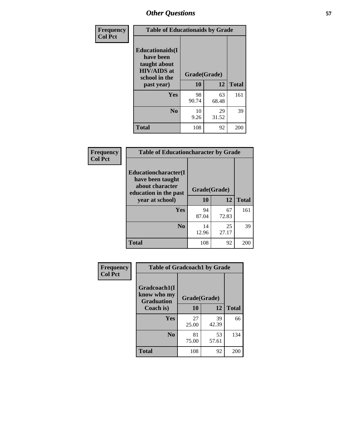| Frequency<br><b>Col Pct</b> | <b>Table of Educationaids by Grade</b>                                                                    |                    |             |              |
|-----------------------------|-----------------------------------------------------------------------------------------------------------|--------------------|-------------|--------------|
|                             | <b>Educationaids</b> (I<br>have been<br>taught about<br><b>HIV/AIDS</b> at<br>school in the<br>past year) | Grade(Grade)<br>10 | 12          | <b>Total</b> |
|                             | <b>Yes</b>                                                                                                | 98<br>90.74        | 63<br>68.48 | 161          |
|                             | N <sub>0</sub>                                                                                            | 10<br>9.26         | 29<br>31.52 | 39           |
|                             | <b>Total</b>                                                                                              | 108                | 92          | 200          |

| Frequency<br><b>Col Pct</b> | <b>Table of Educationcharacter by Grade</b>                                                  |              |             |              |
|-----------------------------|----------------------------------------------------------------------------------------------|--------------|-------------|--------------|
|                             | <b>Educationcharacter(I)</b><br>have been taught<br>about character<br>education in the past | Grade(Grade) |             |              |
|                             | year at school)                                                                              | 10           | 12          | <b>Total</b> |
|                             | Yes                                                                                          | 94<br>87.04  | 67<br>72.83 | 161          |
|                             | N <sub>0</sub>                                                                               | 14<br>12.96  | 25<br>27.17 | 39           |
|                             | <b>Total</b>                                                                                 | 108          | 92          | 200          |

| Frequency      | <b>Table of Gradcoach1 by Grade</b> |             |              |              |
|----------------|-------------------------------------|-------------|--------------|--------------|
| <b>Col Pct</b> | Gradcoach1(I                        |             |              |              |
|                | know who my<br><b>Graduation</b>    |             | Grade(Grade) |              |
|                | Coach is)                           | 10          | 12           | <b>Total</b> |
|                | <b>Yes</b>                          | 27<br>25.00 | 39<br>42.39  | 66           |
|                | N <sub>0</sub>                      | 81<br>75.00 | 53<br>57.61  | 134          |
|                | <b>Total</b>                        | 108         | 92           | 200          |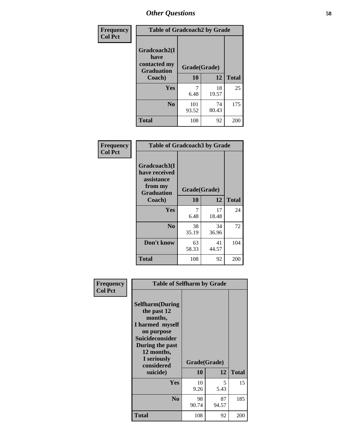| Frequency      | <b>Table of Gradcoach2 by Grade</b> |              |             |              |
|----------------|-------------------------------------|--------------|-------------|--------------|
| <b>Col Pct</b> | Gradcoach2(I<br>have                |              |             |              |
|                | contacted my<br><b>Graduation</b>   | Grade(Grade) |             |              |
|                | Coach)                              | 10           | 12          | <b>Total</b> |
|                | Yes                                 | 7<br>6.48    | 18<br>19.57 | 25           |
|                | N <sub>0</sub>                      | 101<br>93.52 | 74<br>80.43 | 175          |
|                | <b>Total</b>                        | 108          | 92          | 200          |

| Frequency<br><b>Col Pct</b> | <b>Table of Gradcoach3 by Grade</b>                                         |              |             |              |
|-----------------------------|-----------------------------------------------------------------------------|--------------|-------------|--------------|
|                             | Gradcoach3(I<br>have received<br>assistance<br>from my<br><b>Graduation</b> | Grade(Grade) |             |              |
|                             | Coach)                                                                      | 10           | 12          | <b>Total</b> |
|                             | Yes                                                                         | 7<br>6.48    | 17<br>18.48 | 24           |
|                             | N <sub>0</sub>                                                              | 38<br>35.19  | 34<br>36.96 | 72           |
|                             | Don't know                                                                  | 63<br>58.33  | 41<br>44.57 | 104          |
|                             | <b>Total</b>                                                                | 108          | 92          | 200          |

| Frequency      | <b>Table of Selfharm by Grade</b>                                                                                                                                                      |                    |             |              |
|----------------|----------------------------------------------------------------------------------------------------------------------------------------------------------------------------------------|--------------------|-------------|--------------|
| <b>Col Pct</b> | <b>Selfharm</b> (During<br>the past 12<br>months,<br>I harmed myself<br>on purpose<br><b>Suicideconsider</b><br>During the past<br>12 months,<br>I seriously<br>considered<br>suicide) | Grade(Grade)<br>10 | 12          | <b>Total</b> |
|                | Yes                                                                                                                                                                                    | 10<br>9.26         | 5<br>5.43   | 15           |
|                | N <sub>0</sub>                                                                                                                                                                         | 98<br>90.74        | 87<br>94.57 | 185          |
|                | Total                                                                                                                                                                                  | 108                | 92          | 200          |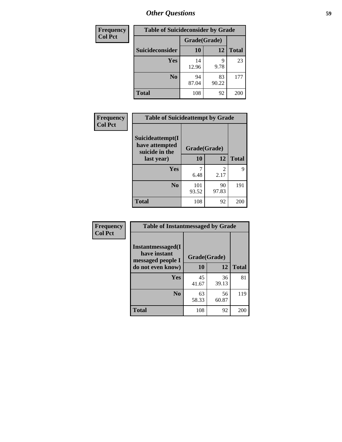| <b>Frequency</b> | <b>Table of Suicideconsider by Grade</b> |              |             |              |  |
|------------------|------------------------------------------|--------------|-------------|--------------|--|
| <b>Col Pct</b>   |                                          | Grade(Grade) |             |              |  |
|                  | <b>Suicideconsider</b>                   | 10           | 12          | <b>Total</b> |  |
|                  | <b>Yes</b>                               | 14<br>12.96  | 9<br>9.78   | 23           |  |
|                  | N <sub>0</sub>                           | 94<br>87.04  | 83<br>90.22 | 177          |  |
|                  | <b>Total</b>                             | 108          | 92          | 200          |  |

| Frequency      | <b>Table of Suicideattempt by Grade</b>              |              |                                                                                                                                                                         |              |
|----------------|------------------------------------------------------|--------------|-------------------------------------------------------------------------------------------------------------------------------------------------------------------------|--------------|
| <b>Col Pct</b> | Suicideattempt(I<br>have attempted<br>suicide in the | Grade(Grade) |                                                                                                                                                                         |              |
|                | last year)                                           | 10           | 12                                                                                                                                                                      | <b>Total</b> |
|                | Yes                                                  | 6.48         | $\mathcal{D}_{\mathcal{A}}^{\mathcal{A}}(\mathcal{A})=\mathcal{D}_{\mathcal{A}}^{\mathcal{A}}(\mathcal{A})\mathcal{D}_{\mathcal{A}}^{\mathcal{A}}(\mathcal{A})$<br>2.17 | 9            |
|                | N <sub>0</sub>                                       | 101<br>93.52 | 90<br>97.83                                                                                                                                                             | 191          |
|                | <b>Total</b>                                         | 108          | 92                                                                                                                                                                      | 200          |

| Frequency      | <b>Table of Instantmessaged by Grade</b>               |              |             |              |
|----------------|--------------------------------------------------------|--------------|-------------|--------------|
| <b>Col Pct</b> | Instantmessaged(I<br>have instant<br>messaged people I | Grade(Grade) |             |              |
|                | do not even know)                                      | 10           | 12          | <b>Total</b> |
|                | Yes                                                    | 45<br>41.67  | 36<br>39.13 | 81           |
|                | N <sub>0</sub>                                         | 63<br>58.33  | 56<br>60.87 | 119          |
|                | <b>Total</b>                                           | 108          | 92          | 200          |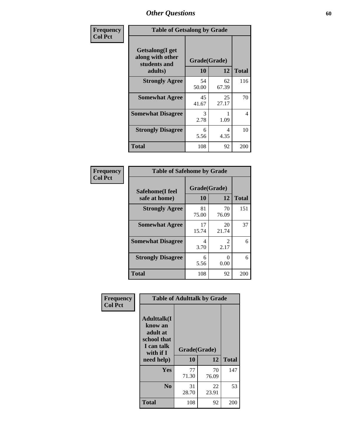| Frequency      | <b>Table of Getsalong by Grade</b>                          |              |             |              |
|----------------|-------------------------------------------------------------|--------------|-------------|--------------|
| <b>Col Pct</b> | <b>Getsalong</b> (I get<br>along with other<br>students and | Grade(Grade) |             |              |
|                | adults)                                                     | 10           | 12          | <b>Total</b> |
|                | <b>Strongly Agree</b>                                       | 54<br>50.00  | 62<br>67.39 | 116          |
|                | <b>Somewhat Agree</b>                                       | 45<br>41.67  | 25<br>27.17 | 70           |
|                | <b>Somewhat Disagree</b>                                    | 3<br>2.78    | 1.09        | 4            |
|                | <b>Strongly Disagree</b>                                    | 6<br>5.56    | 4<br>4.35   | 10           |
|                | <b>Total</b>                                                | 108          | 92          | 200          |

| Frequency      | <b>Table of Safehome by Grade</b> |                           |             |              |
|----------------|-----------------------------------|---------------------------|-------------|--------------|
| <b>Col Pct</b> | Safehome(I feel<br>safe at home)  | Grade(Grade)<br><b>10</b> | 12          | <b>Total</b> |
|                | <b>Strongly Agree</b>             | 81<br>75.00               | 70<br>76.09 | 151          |
|                | <b>Somewhat Agree</b>             | 17<br>15.74               | 20<br>21.74 | 37           |
|                | <b>Somewhat Disagree</b>          | 4<br>3.70                 | 2<br>2.17   | 6            |
|                | <b>Strongly Disagree</b>          | 6<br>5.56                 | 0<br>0.00   | 6            |
|                | <b>Total</b>                      | 108                       | 92          | 200          |

| Frequency      |                                                                                      | <b>Table of Adulttalk by Grade</b> |             |              |  |  |  |
|----------------|--------------------------------------------------------------------------------------|------------------------------------|-------------|--------------|--|--|--|
| <b>Col Pct</b> | <b>Adulttalk</b> (I<br>know an<br>adult at<br>school that<br>I can talk<br>with if I | Grade(Grade)                       |             |              |  |  |  |
|                | need help)                                                                           | 10                                 | 12          | <b>Total</b> |  |  |  |
|                | Yes                                                                                  | 77<br>71.30                        | 70<br>76.09 | 147          |  |  |  |
|                | N <sub>0</sub>                                                                       | 31<br>28.70                        | 22<br>23.91 | 53           |  |  |  |
|                | <b>Total</b>                                                                         | 108                                | 92          | 200          |  |  |  |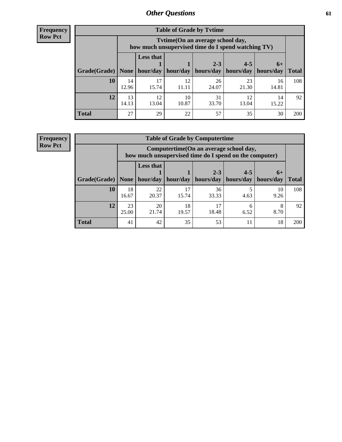**Frequency Row Pct**

| <b>Table of Grade by Tvtime</b> |             |                                                                                         |                     |             |                       |             |              |  |  |  |
|---------------------------------|-------------|-----------------------------------------------------------------------------------------|---------------------|-------------|-----------------------|-------------|--------------|--|--|--|
|                                 |             | Tytime (On an average school day,<br>how much unsupervised time do I spend watching TV) |                     |             |                       |             |              |  |  |  |
|                                 |             | <b>Less that</b><br>$2 - 3$<br>$4 - 5$<br>$6+$                                          |                     |             |                       |             |              |  |  |  |
| Grade(Grade)   None             |             |                                                                                         | hour/day   hour/day | hours/day   | hours/day   hours/day |             | <b>Total</b> |  |  |  |
| 10                              | 14<br>12.96 | 17<br>15.74                                                                             | 12<br>11.11         | 26<br>24.07 | 23<br>21.30           | 16<br>14.81 | 108          |  |  |  |
| 12                              | 13<br>14.13 | 12<br>13.04                                                                             | 10<br>10.87         | 31<br>33.70 | 12<br>13.04           | 14<br>15.22 | 92           |  |  |  |
| <b>Total</b>                    | 27          | 29                                                                                      | 22                  | 57          | 35                    | 30          | <b>200</b>   |  |  |  |

**Frequency Row Pct**

| <b>Table of Grade by Computertime</b> |             |                                                                                                   |             |                      |                      |                   |              |  |  |
|---------------------------------------|-------------|---------------------------------------------------------------------------------------------------|-------------|----------------------|----------------------|-------------------|--------------|--|--|
|                                       |             | Computertime (On an average school day,<br>how much unsupervised time do I spend on the computer) |             |                      |                      |                   |              |  |  |
| Grade(Grade)                          | None        | <b>Less that</b><br>hour/day                                                                      | hour/day    | $2 - 3$<br>hours/day | $4 - 5$<br>hours/day | $6+$<br>hours/day | <b>Total</b> |  |  |
| 10                                    | 18<br>16.67 | 22<br>20.37                                                                                       | 17<br>15.74 | 36<br>33.33          | 4.63                 | 10<br>9.26        | 108          |  |  |
| 12                                    | 23<br>25.00 | 20<br>21.74                                                                                       | 18<br>19.57 | 17<br>18.48          | 6<br>6.52            | 8<br>8.70         | 92           |  |  |
| <b>Total</b>                          | 41          | 42                                                                                                | 35          | 53                   | 11                   | 18                | 200          |  |  |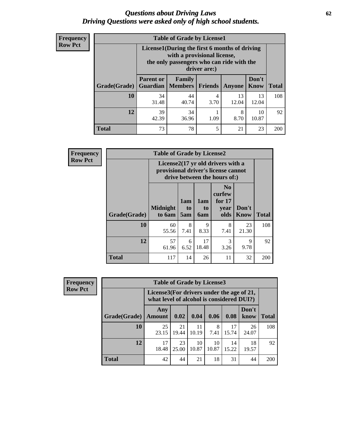#### *Questions about Driving Laws* **62** *Driving Questions were asked only of high school students.*

| <b>Frequency</b> |
|------------------|
| <b>Row Pct</b>   |

| <b>Table of Grade by License1</b> |                                                                |                                                                                                                                           |                |             |                      |              |  |  |  |
|-----------------------------------|----------------------------------------------------------------|-------------------------------------------------------------------------------------------------------------------------------------------|----------------|-------------|----------------------|--------------|--|--|--|
|                                   |                                                                | License1(During the first 6 months of driving<br>with a provisional license,<br>the only passengers who can ride with the<br>driver are:) |                |             |                      |              |  |  |  |
| Grade(Grade)                      | <b>Parent or</b><br><b>Guardian</b>                            | Family<br><b>Members</b>                                                                                                                  | <b>Friends</b> | Anyone      | Don't<br><b>Know</b> | <b>Total</b> |  |  |  |
| 10                                | 34<br>31.48                                                    | 44<br>40.74                                                                                                                               | 4<br>3.70      | 13<br>12.04 | 13<br>12.04          | 108          |  |  |  |
| 12                                | 39<br>10<br>34<br>8<br>42.39<br>36.96<br>1.09<br>8.70<br>10.87 |                                                                                                                                           |                |             |                      |              |  |  |  |
| Total                             | 73                                                             | 78                                                                                                                                        | 5              | 21          | 23                   | 200          |  |  |  |

| Frequency      | <b>Table of Grade by License2</b> |                                                                                                          |                  |                         |                                                      |                      |              |  |
|----------------|-----------------------------------|----------------------------------------------------------------------------------------------------------|------------------|-------------------------|------------------------------------------------------|----------------------|--------------|--|
| <b>Row Pct</b> |                                   | License2(17 yr old drivers with a<br>provisional driver's license cannot<br>drive between the hours of:) |                  |                         |                                                      |                      |              |  |
|                | Grade(Grade)                      | <b>Midnight</b><br>to 6am                                                                                | 1am<br>to<br>5am | 1am<br>to<br><b>6am</b> | N <sub>0</sub><br>curfew<br>for $17$<br>year<br>olds | Don't<br><b>Know</b> | <b>Total</b> |  |
|                | 10                                | 60<br>55.56                                                                                              | 8<br>7.41        | 9<br>8.33               | 8<br>7.41                                            | 23<br>21.30          | 108          |  |
|                | 12                                | 57<br>61.96                                                                                              | 6<br>6.52        | 17<br>18.48             | 3<br>3.26                                            | 9<br>9.78            | 92           |  |
|                | <b>Total</b>                      | 117                                                                                                      | 14               | 26                      | 11                                                   | 32                   | 200          |  |

| Frequency      | <b>Table of Grade by License3</b> |                                                                                        |             |             |             |             |               |              |
|----------------|-----------------------------------|----------------------------------------------------------------------------------------|-------------|-------------|-------------|-------------|---------------|--------------|
| <b>Row Pct</b> |                                   | License3(For drivers under the age of 21,<br>what level of alcohol is considered DUI?) |             |             |             |             |               |              |
|                | Grade(Grade)                      | Any<br><b>Amount</b>                                                                   | 0.02        | 0.04        | 0.06        | 0.08        | Don't<br>know | <b>Total</b> |
|                | 10                                | 25<br>23.15                                                                            | 21<br>19.44 | 11<br>10.19 | 8<br>7.41   | 17<br>15.74 | 26<br>24.07   | 108          |
|                | 12                                | 17<br>18.48                                                                            | 23<br>25.00 | 10<br>10.87 | 10<br>10.87 | 14<br>15.22 | 18<br>19.57   | 92           |
|                | <b>Total</b>                      | 42                                                                                     | 44          | 21          | 18          | 31          | 44            | 200          |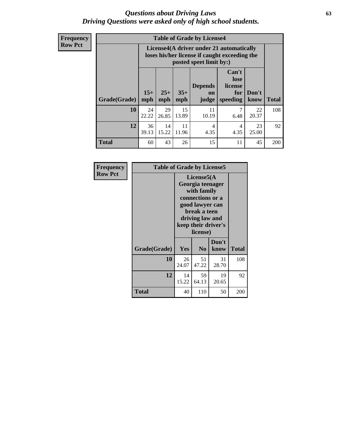#### *Questions about Driving Laws* **63** *Driving Questions were asked only of high school students.*

**Frequency Row Pct**

| <b>Table of Grade by License4</b> |              |                                                                                                                                                      |             |             |           |             |     |  |  |
|-----------------------------------|--------------|------------------------------------------------------------------------------------------------------------------------------------------------------|-------------|-------------|-----------|-------------|-----|--|--|
|                                   |              | License4(A driver under 21 automatically<br>loses his/her license if caught exceeding the<br>posted speet limit by:)                                 |             |             |           |             |     |  |  |
| <b>Grade(Grade)</b>               | $15+$<br>mph | Can't<br>lose<br><b>Depends</b><br>license<br>$25+$<br>$35+$<br>Don't<br>for<br><b>on</b><br>mph<br>speeding<br><b>Total</b><br>know<br>mph<br>judge |             |             |           |             |     |  |  |
| 10                                | 24<br>22.22  | 29<br>26.85                                                                                                                                          | 15<br>13.89 | 11<br>10.19 | 7<br>6.48 | 22<br>20.37 | 108 |  |  |
| 12                                | 36<br>39.13  | 11<br>14<br>23<br>$\overline{4}$<br>4<br>15.22<br>11.96<br>4.35<br>25.00<br>4.35                                                                     |             |             |           |             |     |  |  |
| <b>Total</b>                      | 60           | 43                                                                                                                                                   | 26          | 15          | 11        | 45          | 200 |  |  |

| Frequency      | <b>Table of Grade by License5</b> |             |                                                                                                                                      |                     |              |  |
|----------------|-----------------------------------|-------------|--------------------------------------------------------------------------------------------------------------------------------------|---------------------|--------------|--|
| <b>Row Pct</b> |                                   |             | License5(A)<br>Georgia teenager<br>with family<br>connections or a<br>good lawyer can<br>break a teen<br>driving law and<br>license) | keep their driver's |              |  |
|                | Grade(Grade)                      | <b>Yes</b>  | N <sub>0</sub>                                                                                                                       | Don't<br>know       | <b>Total</b> |  |
|                | 10                                | 26<br>24.07 | 51<br>47.22                                                                                                                          | 31<br>28.70         | 108          |  |
|                | 12                                | 14<br>15.22 | 59<br>64.13                                                                                                                          | 19<br>20.65         | 92           |  |
|                | Total                             | 40          | 110                                                                                                                                  | 50                  | 200          |  |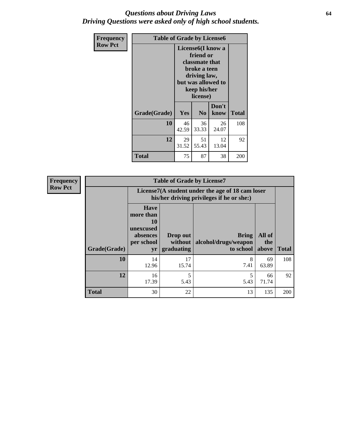#### *Questions about Driving Laws* **64** *Driving Questions were asked only of high school students.*

| <b>Frequency</b> | <b>Table of Grade by License6</b> |                                |                                                                                                               |               |              |  |
|------------------|-----------------------------------|--------------------------------|---------------------------------------------------------------------------------------------------------------|---------------|--------------|--|
| <b>Row Pct</b>   |                                   | License <sub>6</sub> (I know a | friend or<br>classmate that<br>broke a teen<br>driving law,<br>but was allowed to<br>keep his/her<br>license) |               |              |  |
|                  | Grade(Grade)                      | Yes                            | N <sub>0</sub>                                                                                                | Don't<br>know | <b>Total</b> |  |
|                  | 10                                | 46<br>42.59                    | 36<br>33.33                                                                                                   | 26<br>24.07   | 108          |  |
|                  | 12                                | 29<br>31.52                    | 51<br>55.43                                                                                                   | 12<br>13.04   | 92           |  |
|                  | <b>Total</b>                      | 75                             | 87                                                                                                            | 38            | 200          |  |

| <b>Frequency</b> | <b>Table of Grade by License7</b> |                                                                             |                                   |                                                                                               |                        |              |  |  |
|------------------|-----------------------------------|-----------------------------------------------------------------------------|-----------------------------------|-----------------------------------------------------------------------------------------------|------------------------|--------------|--|--|
| <b>Row Pct</b>   |                                   |                                                                             |                                   | License7(A student under the age of 18 cam loser<br>his/her driving privileges if he or she:) |                        |              |  |  |
|                  | Grade(Grade)                      | <b>Have</b><br>more than<br>10<br>unexcused<br>absences<br>per school<br>yr | Drop out<br>without<br>graduating | Bring<br>alcohol/drugs/weapon<br>to school                                                    | All of<br>the<br>above | <b>Total</b> |  |  |
|                  | 10                                | 14<br>12.96                                                                 | 17<br>15.74                       | 8<br>7.41                                                                                     | 69<br>63.89            | 108          |  |  |
|                  | 12                                | 16<br>17.39                                                                 | 5<br>5.43                         | 5.43                                                                                          | 66<br>71.74            | 92           |  |  |
|                  | <b>Total</b>                      | 30                                                                          | 22                                | 13                                                                                            | 135                    | 200          |  |  |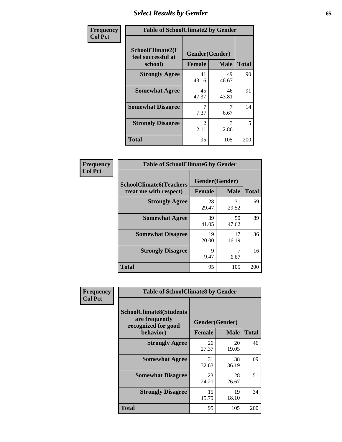# *Select Results by Gender* **65**

| Frequency      | <b>Table of SchoolClimate2 by Gender</b>          |                                 |             |              |  |
|----------------|---------------------------------------------------|---------------------------------|-------------|--------------|--|
| <b>Col Pct</b> | SchoolClimate2(I<br>feel successful at<br>school) | Gender(Gender)<br><b>Female</b> | <b>Male</b> | <b>Total</b> |  |
|                | <b>Strongly Agree</b>                             | 41<br>43.16                     | 49<br>46.67 | 90           |  |
|                | <b>Somewhat Agree</b>                             | 45<br>47.37                     | 46<br>43.81 | 91           |  |
|                | <b>Somewhat Disagree</b>                          | 7.37                            | 6.67        | 14           |  |
|                | <b>Strongly Disagree</b>                          | $\mathcal{L}$<br>2.11           | 3<br>2.86   | 5            |  |
|                | <b>Total</b>                                      | 95                              | 105         | 200          |  |

| Frequency      | <b>Table of SchoolClimate6 by Gender</b>                 |                                 |             |              |  |
|----------------|----------------------------------------------------------|---------------------------------|-------------|--------------|--|
| <b>Col Pct</b> | <b>SchoolClimate6(Teachers</b><br>treat me with respect) | Gender(Gender)<br><b>Female</b> | <b>Male</b> | <b>Total</b> |  |
|                | <b>Strongly Agree</b>                                    | 28<br>29.47                     | 31<br>29.52 | 59           |  |
|                | <b>Somewhat Agree</b>                                    | 39<br>41.05                     | 50<br>47.62 | 89           |  |
|                | <b>Somewhat Disagree</b>                                 | 19<br>20.00                     | 17<br>16.19 | 36           |  |
|                | <b>Strongly Disagree</b>                                 | 9<br>9.47                       | 6.67        | 16           |  |
|                | Total                                                    | 95                              | 105         | 200          |  |

| Frequency      | <b>Table of SchoolClimate8 by Gender</b>                                             |                                 |             |              |  |
|----------------|--------------------------------------------------------------------------------------|---------------------------------|-------------|--------------|--|
| <b>Col Pct</b> | <b>SchoolClimate8(Students</b><br>are frequently<br>recognized for good<br>behavior) | Gender(Gender)<br><b>Female</b> | <b>Male</b> | <b>Total</b> |  |
|                | <b>Strongly Agree</b>                                                                | 26                              | 20          | 46           |  |
|                |                                                                                      | 27.37                           | 19.05       |              |  |
|                | <b>Somewhat Agree</b>                                                                | 31<br>32.63                     | 38<br>36.19 | 69           |  |
|                | <b>Somewhat Disagree</b>                                                             | 23<br>24.21                     | 28<br>26.67 | 51           |  |
|                | <b>Strongly Disagree</b>                                                             | 15<br>15.79                     | 19<br>18.10 | 34           |  |
|                | Total                                                                                | 95                              | 105         | 200          |  |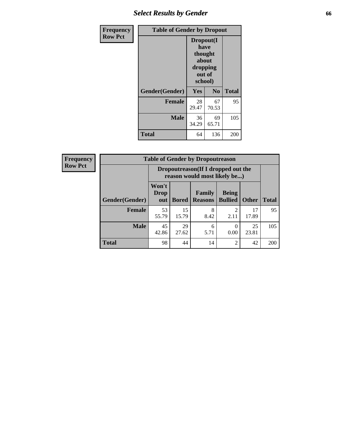# *Select Results by Gender* **66**

| Frequency      | <b>Table of Gender by Dropout</b> |                                                                        |                |              |
|----------------|-----------------------------------|------------------------------------------------------------------------|----------------|--------------|
| <b>Row Pct</b> |                                   | Dropout(I<br>have<br>thought<br>about<br>dropping<br>out of<br>school) |                |              |
|                | Gender(Gender)                    | Yes                                                                    | N <sub>0</sub> | <b>Total</b> |
|                | <b>Female</b>                     | 28<br>29.47                                                            | 67<br>70.53    | 95           |
|                | <b>Male</b>                       | 36<br>34.29                                                            | 69<br>65.71    | 105          |
|                | <b>Total</b>                      | 64                                                                     | 136            | 200          |

| <b>Frequency</b> |                       | <b>Table of Gender by Dropoutreason</b>                            |              |                          |                                     |              |              |
|------------------|-----------------------|--------------------------------------------------------------------|--------------|--------------------------|-------------------------------------|--------------|--------------|
| <b>Row Pct</b>   |                       | Dropoutreason(If I dropped out the<br>reason would most likely be) |              |                          |                                     |              |              |
|                  | <b>Gender(Gender)</b> | Won't<br>Drop<br>out                                               | <b>Bored</b> | Family<br><b>Reasons</b> | <b>Being</b><br><b>Bullied</b>      | <b>Other</b> | <b>Total</b> |
|                  | <b>Female</b>         | 53<br>55.79                                                        | 15<br>15.79  | 8<br>8.42                | $\mathcal{D}_{\mathcal{A}}$<br>2.11 | 17<br>17.89  | 95           |
|                  | <b>Male</b>           | 45<br>42.86                                                        | 29<br>27.62  | 6<br>5.71                | 0<br>0.00                           | 25<br>23.81  | 105          |
|                  | <b>Total</b>          | 98                                                                 | 44           | 14                       | $\overline{2}$                      | 42           | 200          |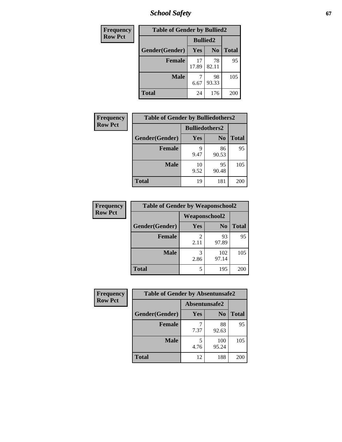*School Safety* **67**

| Frequency      | <b>Table of Gender by Bullied2</b> |                 |                |              |
|----------------|------------------------------------|-----------------|----------------|--------------|
| <b>Row Pct</b> |                                    | <b>Bullied2</b> |                |              |
|                | Gender(Gender)                     | <b>Yes</b>      | N <sub>0</sub> | <b>Total</b> |
|                | <b>Female</b>                      | 17<br>17.89     | 78<br>82.11    | 95           |
|                | <b>Male</b>                        | 6.67            | 98<br>93.33    | 105          |
|                | <b>Total</b>                       | 24              | 176            | 200          |

| Frequency      | <b>Table of Gender by Bulliedothers2</b> |                       |             |              |
|----------------|------------------------------------------|-----------------------|-------------|--------------|
| <b>Row Pct</b> |                                          | <b>Bulliedothers2</b> |             |              |
|                | Gender(Gender)                           | <b>Yes</b>            | $\bf N_0$   | <b>Total</b> |
|                | <b>Female</b>                            | 9<br>9.47             | 86<br>90.53 | 95           |
|                | <b>Male</b>                              | 10<br>9.52            | 95<br>90.48 | 105          |
|                | <b>Total</b>                             | 19                    | 181         | 200          |

| Frequency      | <b>Table of Gender by Weaponschool2</b> |                                     |                |              |
|----------------|-----------------------------------------|-------------------------------------|----------------|--------------|
| <b>Row Pct</b> |                                         | <b>Weaponschool2</b>                |                |              |
|                | Gender(Gender)                          | Yes                                 | N <sub>0</sub> | <b>Total</b> |
|                | <b>Female</b>                           | $\mathcal{D}_{\mathcal{L}}$<br>2.11 | 93<br>97.89    | 95           |
|                | <b>Male</b>                             | 3<br>2.86                           | 102<br>97.14   | 105          |
|                | <b>Total</b>                            | 5                                   | 195            | 200          |

| Frequency      | <b>Table of Gender by Absentunsafe2</b> |               |                |              |
|----------------|-----------------------------------------|---------------|----------------|--------------|
| <b>Row Pct</b> |                                         | Absentunsafe2 |                |              |
|                | Gender(Gender)                          | Yes           | N <sub>0</sub> | <b>Total</b> |
|                | <b>Female</b>                           | 7.37          | 88<br>92.63    | 95           |
|                | <b>Male</b>                             | 4.76          | 100<br>95.24   | 105          |
|                | <b>Total</b>                            | 12            | 188            | 200          |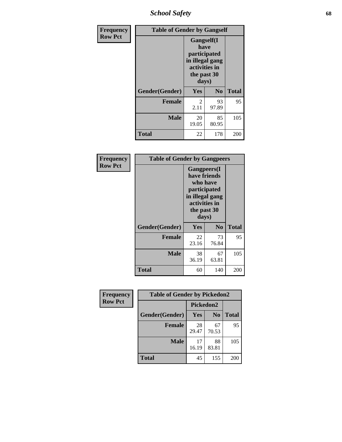*School Safety* **68**

| Frequency      | <b>Table of Gender by Gangself</b> |                                                                                                        |                |              |
|----------------|------------------------------------|--------------------------------------------------------------------------------------------------------|----------------|--------------|
| <b>Row Pct</b> |                                    | <b>Gangself</b> (I<br>have<br>participated<br>in illegal gang<br>activities in<br>the past 30<br>days) |                |              |
|                | Gender(Gender)                     | Yes                                                                                                    | N <sub>0</sub> | <b>Total</b> |
|                | <b>Female</b>                      | 2<br>2.11                                                                                              | 93<br>97.89    | 95           |
|                | <b>Male</b>                        | 20<br>19.05                                                                                            | 85<br>80.95    | 105          |
|                | <b>Total</b>                       | 22                                                                                                     | 178            | 200          |

| Frequency      | <b>Table of Gender by Gangpeers</b> |                                                                                                                             |                |              |
|----------------|-------------------------------------|-----------------------------------------------------------------------------------------------------------------------------|----------------|--------------|
| <b>Row Pct</b> |                                     | <b>Gangpeers</b> (I<br>have friends<br>who have<br>participated<br>in illegal gang<br>activities in<br>the past 30<br>days) |                |              |
|                | Gender(Gender)                      | Yes                                                                                                                         | N <sub>0</sub> | <b>Total</b> |
|                | <b>Female</b>                       | 22<br>23.16                                                                                                                 | 73<br>76.84    | 95           |
|                | <b>Male</b>                         | 38<br>36.19                                                                                                                 | 67<br>63.81    | 105          |
|                | <b>Total</b>                        | 60                                                                                                                          | 140            | 200          |

| Frequency      | <b>Table of Gender by Pickedon2</b> |             |                |              |
|----------------|-------------------------------------|-------------|----------------|--------------|
| <b>Row Pct</b> |                                     | Pickedon2   |                |              |
|                | Gender(Gender)                      | <b>Yes</b>  | N <sub>0</sub> | <b>Total</b> |
|                | <b>Female</b>                       | 28<br>29.47 | 67<br>70.53    | 95           |
|                | <b>Male</b>                         | 17<br>16.19 | 88<br>83.81    | 105          |
|                | <b>Total</b>                        | 45          | 155            | 200          |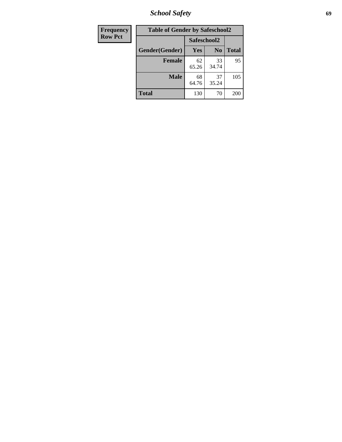*School Safety* **69**

| Frequency      | <b>Table of Gender by Safeschool2</b> |             |                |              |  |
|----------------|---------------------------------------|-------------|----------------|--------------|--|
| <b>Row Pct</b> |                                       | Safeschool2 |                |              |  |
|                | Gender(Gender)                        | Yes         | N <sub>0</sub> | <b>Total</b> |  |
|                | <b>Female</b>                         | 62<br>65.26 | 33<br>34.74    | 95           |  |
|                | <b>Male</b>                           | 68<br>64.76 | 37<br>35.24    | 105          |  |
|                | <b>Total</b>                          | 130         | 70             | 200          |  |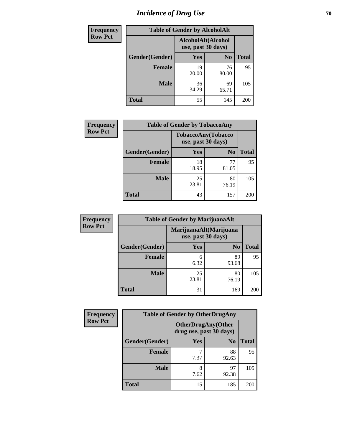# *Incidence of Drug Use* **70**

| <b>Frequency</b> | <b>Table of Gender by AlcoholAlt</b> |                                          |                |              |  |
|------------------|--------------------------------------|------------------------------------------|----------------|--------------|--|
| <b>Row Pct</b>   |                                      | AlcoholAlt(Alcohol<br>use, past 30 days) |                |              |  |
|                  | Gender(Gender)                       | <b>Yes</b>                               | N <sub>0</sub> | <b>Total</b> |  |
|                  | <b>Female</b>                        | 19<br>20.00                              | 76<br>80.00    | 95           |  |
|                  | <b>Male</b>                          | 36<br>34.29                              | 69<br>65.71    | 105          |  |
|                  | <b>Total</b>                         | 55                                       | 145            | 200          |  |

| <b>Frequency</b> | <b>Table of Gender by TobaccoAny</b> |                    |                    |              |  |
|------------------|--------------------------------------|--------------------|--------------------|--------------|--|
| <b>Row Pct</b>   |                                      | use, past 30 days) | TobaccoAny(Tobacco |              |  |
|                  | Gender(Gender)                       | Yes                | N <sub>0</sub>     | <b>Total</b> |  |
|                  | <b>Female</b>                        | 18<br>18.95        | 77<br>81.05        | 95           |  |
|                  | <b>Male</b>                          | 25<br>23.81        | 80<br>76.19        | 105          |  |
|                  | <b>Total</b>                         | 43                 | 157                | 200          |  |

| <b>Frequency</b> | <b>Table of Gender by MarijuanaAlt</b> |             |                                              |              |
|------------------|----------------------------------------|-------------|----------------------------------------------|--------------|
| <b>Row Pct</b>   |                                        |             | MarijuanaAlt(Marijuana<br>use, past 30 days) |              |
|                  | Gender(Gender)                         | <b>Yes</b>  | N <sub>0</sub>                               | <b>Total</b> |
|                  | Female                                 | 6<br>6.32   | 89<br>93.68                                  | 95           |
|                  | <b>Male</b>                            | 25<br>23.81 | 80<br>76.19                                  | 105          |
|                  | <b>Total</b>                           | 31          | 169                                          | 200          |

| <b>Frequency</b> | <b>Table of Gender by OtherDrugAny</b> |                                                      |                |              |  |
|------------------|----------------------------------------|------------------------------------------------------|----------------|--------------|--|
| <b>Row Pct</b>   |                                        | <b>OtherDrugAny(Other</b><br>drug use, past 30 days) |                |              |  |
|                  | Gender(Gender)                         | <b>Yes</b>                                           | N <sub>0</sub> | <b>Total</b> |  |
|                  | <b>Female</b>                          | 7.37                                                 | 88<br>92.63    | 95           |  |
|                  | <b>Male</b>                            | 8<br>7.62                                            | 97<br>92.38    | 105          |  |
|                  | <b>Total</b>                           | 15                                                   | 185            | 200          |  |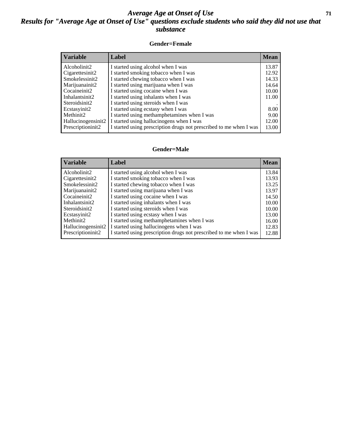#### *Average Age at Onset of Use* **71** *Results for "Average Age at Onset of Use" questions exclude students who said they did not use that substance*

#### **Gender=Female**

| Variable           | <b>Label</b>                                                       | <b>Mean</b> |
|--------------------|--------------------------------------------------------------------|-------------|
| Alcoholinit2       | I started using alcohol when I was                                 | 13.87       |
| Cigarettesinit2    | I started smoking tobacco when I was                               | 12.92       |
| Smokelessinit2     | I started chewing tobacco when I was                               | 14.33       |
| Marijuanainit2     | I started using marijuana when I was                               | 14.64       |
| Cocaineinit2       | I started using cocaine when I was                                 | 10.00       |
| Inhalantsinit2     | I started using inhalants when I was                               | 11.00       |
| Steroidsinit2      | I started using steroids when I was                                |             |
| Ecstasyinit2       | I started using ecstasy when I was                                 | 8.00        |
| Methinit2          | I started using methamphetamines when I was                        | 9.00        |
| Hallucinogensinit2 | I started using hallucinogens when I was                           | 12.00       |
| Prescriptioninit2  | I started using prescription drugs not prescribed to me when I was | 13.00       |

#### **Gender=Male**

| <b>Variable</b>                 | Label                                                              | <b>Mean</b> |
|---------------------------------|--------------------------------------------------------------------|-------------|
| Alcoholinit2                    | I started using alcohol when I was                                 | 13.84       |
| Cigarettesinit2                 | I started smoking tobacco when I was                               | 13.93       |
| Smokelessinit2                  | I started chewing tobacco when I was                               | 13.25       |
| Marijuanainit2                  | I started using marijuana when I was                               | 13.97       |
| Cocaineinit2                    | I started using cocaine when I was                                 | 14.50       |
| Inhalantsinit2                  | I started using inhalants when I was                               | 10.00       |
| Steroidsinit2                   | I started using steroids when I was                                | 10.00       |
| Ecstasyinit2                    | I started using ecstasy when I was                                 | 13.00       |
| Methinit2                       | I started using methamphetamines when I was                        | 16.00       |
| Hallucinogensinit2              | I started using hallucinogens when I was                           | 12.83       |
| Prescription in it <sub>2</sub> | I started using prescription drugs not prescribed to me when I was | 12.88       |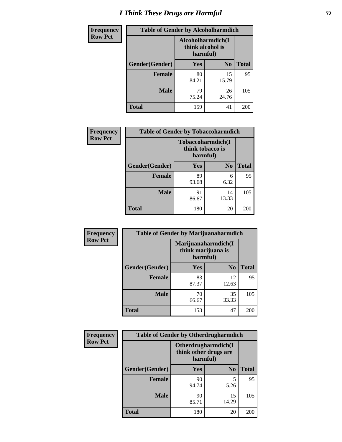# *I Think These Drugs are Harmful* **72**

| <b>Frequency</b> | <b>Table of Gender by Alcoholharmdich</b> |                                                   |                |              |  |
|------------------|-------------------------------------------|---------------------------------------------------|----------------|--------------|--|
| <b>Row Pct</b>   |                                           | Alcoholharmdich(I<br>think alcohol is<br>harmful) |                |              |  |
|                  | <b>Gender</b> (Gender)                    | <b>Yes</b>                                        | N <sub>0</sub> | <b>Total</b> |  |
|                  | <b>Female</b>                             | 80<br>84.21                                       | 15<br>15.79    | 95           |  |
|                  | <b>Male</b>                               | 79<br>75.24                                       | 26<br>24.76    | 105          |  |
|                  | <b>Total</b>                              | 159                                               | 41             | 200          |  |

| Frequency      | <b>Table of Gender by Tobaccoharmdich</b> |                  |                               |              |  |
|----------------|-------------------------------------------|------------------|-------------------------------|--------------|--|
| <b>Row Pct</b> |                                           | think tobacco is | Tobaccoharmdich(I<br>harmful) |              |  |
|                | Gender(Gender)                            | <b>Yes</b>       | N <sub>0</sub>                | <b>Total</b> |  |
|                | <b>Female</b>                             | 89<br>93.68      | 6<br>6.32                     | 95           |  |
|                | <b>Male</b>                               | 91<br>86.67      | 14<br>13.33                   | 105          |  |
|                | <b>Total</b>                              | 180              | 20                            | 200          |  |

| Frequency      | <b>Table of Gender by Marijuanaharmdich</b> |                                                       |                |              |  |
|----------------|---------------------------------------------|-------------------------------------------------------|----------------|--------------|--|
| <b>Row Pct</b> |                                             | Marijuanaharmdich(I<br>think marijuana is<br>harmful) |                |              |  |
|                | Gender(Gender)                              | <b>Yes</b>                                            | N <sub>0</sub> | <b>Total</b> |  |
|                | <b>Female</b>                               | 83<br>87.37                                           | 12<br>12.63    | 95           |  |
|                | <b>Male</b>                                 | 70<br>66.67                                           | 35<br>33.33    | 105          |  |
|                | <b>Total</b>                                | 153                                                   | 47             | 200          |  |

| Frequency      | <b>Table of Gender by Otherdrugharmdich</b> |                                                          |                |              |  |
|----------------|---------------------------------------------|----------------------------------------------------------|----------------|--------------|--|
| <b>Row Pct</b> |                                             | Otherdrugharmdich(I<br>think other drugs are<br>harmful) |                |              |  |
|                | Gender(Gender)                              | <b>Yes</b>                                               | N <sub>0</sub> | <b>Total</b> |  |
|                | <b>Female</b>                               | 90<br>94.74                                              | 5<br>5.26      | 95           |  |
|                | <b>Male</b>                                 | 90<br>85.71                                              | 15<br>14.29    | 105          |  |
|                | <b>Total</b>                                | 180                                                      | 20             | 200          |  |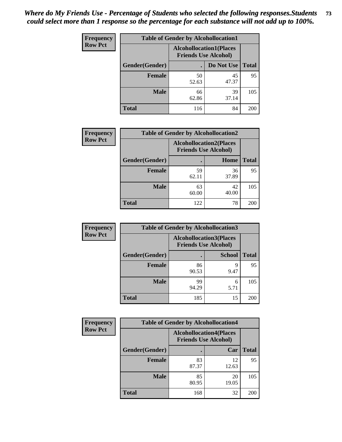| <b>Frequency</b> | <b>Table of Gender by Alcohollocation1</b> |             |                                                               |              |
|------------------|--------------------------------------------|-------------|---------------------------------------------------------------|--------------|
| <b>Row Pct</b>   |                                            |             | <b>Alcohollocation1(Places</b><br><b>Friends Use Alcohol)</b> |              |
|                  | <b>Gender</b> (Gender)                     |             | Do Not Use                                                    | <b>Total</b> |
|                  | <b>Female</b>                              | 50<br>52.63 | 45<br>47.37                                                   | 95           |
|                  | <b>Male</b>                                | 66<br>62.86 | 39<br>37.14                                                   | 105          |
|                  | <b>Total</b>                               | 116         | 84                                                            | 200          |

| <b>Frequency</b> | <b>Table of Gender by Alcohollocation2</b> |                                                               |             |              |
|------------------|--------------------------------------------|---------------------------------------------------------------|-------------|--------------|
| <b>Row Pct</b>   |                                            | <b>Alcohollocation2(Places</b><br><b>Friends Use Alcohol)</b> |             |              |
|                  | Gender(Gender)                             |                                                               | Home        | <b>Total</b> |
|                  | <b>Female</b>                              | 59<br>62.11                                                   | 36<br>37.89 | 95           |
|                  | <b>Male</b>                                | 63<br>60.00                                                   | 42<br>40.00 | 105          |
|                  | <b>Total</b>                               | 122                                                           | 78          | 200          |

| Frequency      | <b>Table of Gender by Alcohollocation3</b> |                                                               |               |              |
|----------------|--------------------------------------------|---------------------------------------------------------------|---------------|--------------|
| <b>Row Pct</b> |                                            | <b>Alcohollocation3(Places</b><br><b>Friends Use Alcohol)</b> |               |              |
|                | Gender(Gender)                             |                                                               | <b>School</b> | <b>Total</b> |
|                | <b>Female</b>                              | 86<br>90.53                                                   | Q<br>9.47     | 95           |
|                | <b>Male</b>                                | 99<br>94.29                                                   | 6<br>5.71     | 105          |
|                | <b>Total</b>                               | 185                                                           | 15            | 200          |

| <b>Frequency</b> | <b>Table of Gender by Alcohollocation4</b> |                                                               |             |              |
|------------------|--------------------------------------------|---------------------------------------------------------------|-------------|--------------|
| <b>Row Pct</b>   |                                            | <b>Alcohollocation4(Places</b><br><b>Friends Use Alcohol)</b> |             |              |
|                  | Gender(Gender)                             |                                                               | Car         | <b>Total</b> |
|                  | <b>Female</b>                              | 83<br>87.37                                                   | 12<br>12.63 | 95           |
|                  | <b>Male</b>                                | 85<br>80.95                                                   | 20<br>19.05 | 105          |
|                  | <b>Total</b>                               | 168                                                           | 32          | 200          |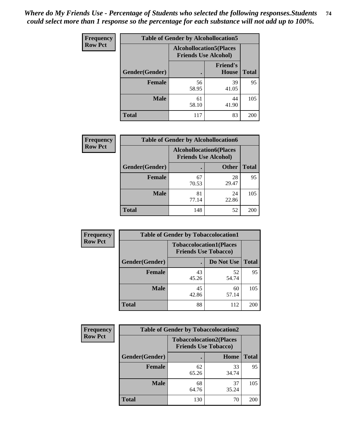| <b>Frequency</b> | <b>Table of Gender by Alcohollocation5</b> |                                                                |                          |              |
|------------------|--------------------------------------------|----------------------------------------------------------------|--------------------------|--------------|
| <b>Row Pct</b>   |                                            | <b>Alcohollocation5</b> (Places<br><b>Friends Use Alcohol)</b> |                          |              |
|                  | Gender(Gender)                             | $\bullet$                                                      | <b>Friend's</b><br>House | <b>Total</b> |
|                  | <b>Female</b>                              | 56<br>58.95                                                    | 39<br>41.05              | 95           |
|                  | <b>Male</b>                                | 61<br>58.10                                                    | 44<br>41.90              | 105          |
|                  | <b>Total</b>                               | 117                                                            | 83                       | 200          |

| <b>Frequency</b> | <b>Table of Gender by Alcohollocation6</b> |                                                               |              |              |
|------------------|--------------------------------------------|---------------------------------------------------------------|--------------|--------------|
| <b>Row Pct</b>   |                                            | <b>Alcohollocation6(Places</b><br><b>Friends Use Alcohol)</b> |              |              |
|                  | Gender(Gender)                             |                                                               | <b>Other</b> | <b>Total</b> |
|                  | <b>Female</b>                              | 67<br>70.53                                                   | 28<br>29.47  | 95           |
|                  | <b>Male</b>                                | 81<br>77.14                                                   | 24<br>22.86  | 105          |
|                  | <b>Total</b>                               | 148                                                           | 52           | 200          |

| Frequency      | <b>Table of Gender by Tobaccolocation1</b> |                                                               |             |              |  |
|----------------|--------------------------------------------|---------------------------------------------------------------|-------------|--------------|--|
| <b>Row Pct</b> |                                            | <b>Tobaccolocation1(Places</b><br><b>Friends Use Tobacco)</b> |             |              |  |
|                | Gender(Gender)                             |                                                               | Do Not Use  | <b>Total</b> |  |
|                | <b>Female</b>                              | 43<br>45.26                                                   | 52<br>54.74 | 95           |  |
|                | <b>Male</b>                                | 45<br>42.86                                                   | 60<br>57.14 | 105          |  |
|                | <b>Total</b>                               | 88                                                            | 112         | 200          |  |

| <b>Frequency</b> | <b>Table of Gender by Tobaccolocation2</b> |                                                               |             |              |
|------------------|--------------------------------------------|---------------------------------------------------------------|-------------|--------------|
| <b>Row Pct</b>   |                                            | <b>Tobaccolocation2(Places</b><br><b>Friends Use Tobacco)</b> |             |              |
|                  | Gender(Gender)                             |                                                               | Home        | <b>Total</b> |
|                  | Female                                     | 62<br>65.26                                                   | 33<br>34.74 | 95           |
|                  | <b>Male</b>                                | 68<br>64.76                                                   | 37<br>35.24 | 105          |
|                  | <b>Total</b>                               | 130                                                           | 70          | 200          |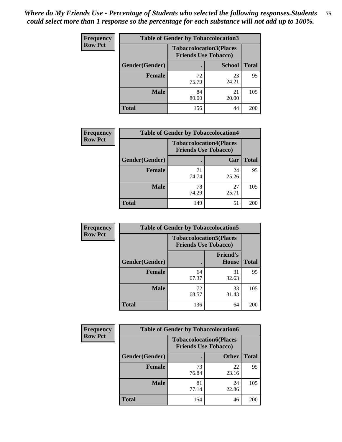| <b>Frequency</b> |                | <b>Table of Gender by Tobaccolocation3</b> |                                                               |              |
|------------------|----------------|--------------------------------------------|---------------------------------------------------------------|--------------|
| <b>Row Pct</b>   |                |                                            | <b>Tobaccolocation3(Places</b><br><b>Friends Use Tobacco)</b> |              |
|                  | Gender(Gender) |                                            | <b>School</b>                                                 | <b>Total</b> |
|                  | <b>Female</b>  | 72<br>75.79                                | 23<br>24.21                                                   | 95           |
|                  | <b>Male</b>    | 84<br>80.00                                | 21<br>20.00                                                   | 105          |
|                  | Total          | 156                                        | 44                                                            | 200          |

| <b>Frequency</b> | <b>Table of Gender by Tobaccolocation4</b> |                                                               |             |              |
|------------------|--------------------------------------------|---------------------------------------------------------------|-------------|--------------|
| <b>Row Pct</b>   |                                            | <b>Tobaccolocation4(Places</b><br><b>Friends Use Tobacco)</b> |             |              |
|                  | Gender(Gender)                             |                                                               | Car         | <b>Total</b> |
|                  | <b>Female</b>                              | 71<br>74.74                                                   | 24<br>25.26 | 95           |
|                  | <b>Male</b>                                | 78<br>74.29                                                   | 27<br>25.71 | 105          |
|                  | <b>Total</b>                               | 149                                                           | 51          | 200          |

| <b>Frequency</b> | <b>Table of Gender by Tobaccolocation5</b> |                                                               |                                 |              |
|------------------|--------------------------------------------|---------------------------------------------------------------|---------------------------------|--------------|
| <b>Row Pct</b>   |                                            | <b>Tobaccolocation5(Places</b><br><b>Friends Use Tobacco)</b> |                                 |              |
|                  | Gender(Gender)                             |                                                               | <b>Friend's</b><br><b>House</b> | <b>Total</b> |
|                  | <b>Female</b>                              | 64<br>67.37                                                   | 31<br>32.63                     | 95           |
|                  | <b>Male</b>                                | 72<br>68.57                                                   | 33<br>31.43                     | 105          |
|                  | <b>Total</b>                               | 136                                                           | 64                              | 200          |

| <b>Frequency</b> | <b>Table of Gender by Tobaccolocation6</b> |                                                               |              |              |
|------------------|--------------------------------------------|---------------------------------------------------------------|--------------|--------------|
| <b>Row Pct</b>   |                                            | <b>Tobaccolocation6(Places</b><br><b>Friends Use Tobacco)</b> |              |              |
|                  | Gender(Gender)                             |                                                               | <b>Other</b> | <b>Total</b> |
|                  | Female                                     | 73<br>76.84                                                   | 22<br>23.16  | 95           |
|                  | <b>Male</b>                                | 81<br>77.14                                                   | 24<br>22.86  | 105          |
|                  | <b>Total</b>                               | 154                                                           | 46           | 200          |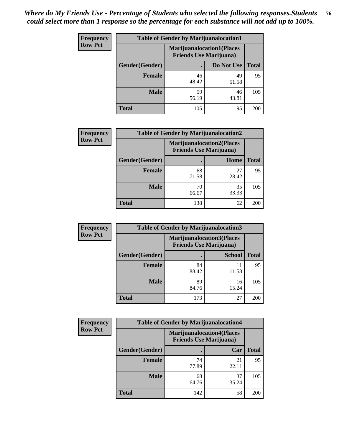| <b>Frequency</b> | <b>Table of Gender by Marijuanalocation1</b> |                                |                                  |              |
|------------------|----------------------------------------------|--------------------------------|----------------------------------|--------------|
| <b>Row Pct</b>   |                                              | <b>Friends Use Marijuana</b> ) | <b>Marijuanalocation1(Places</b> |              |
|                  | Gender(Gender)                               |                                | Do Not Use                       | <b>Total</b> |
|                  | <b>Female</b>                                | 46<br>48.42                    | 49<br>51.58                      | 95           |
|                  | <b>Male</b>                                  | 59<br>56.19                    | 46<br>43.81                      | 105          |
|                  | <b>Total</b>                                 | 105                            | 95                               | 200          |

| <b>Frequency</b> | <b>Table of Gender by Marijuanalocation2</b> |                                                                    |             |              |  |
|------------------|----------------------------------------------|--------------------------------------------------------------------|-------------|--------------|--|
| <b>Row Pct</b>   |                                              | <b>Marijuanalocation2(Places</b><br><b>Friends Use Marijuana</b> ) |             |              |  |
|                  | Gender(Gender)                               |                                                                    | Home        | <b>Total</b> |  |
|                  | Female                                       | 68<br>71.58                                                        | 27<br>28.42 | 95           |  |
|                  | <b>Male</b>                                  | 70<br>66.67                                                        | 35<br>33.33 | 105          |  |
|                  | <b>Total</b>                                 | 138                                                                | 62          | 200          |  |

| Frequency      | <b>Table of Gender by Marijuanalocation3</b> |                                                                    |               |              |
|----------------|----------------------------------------------|--------------------------------------------------------------------|---------------|--------------|
| <b>Row Pct</b> |                                              | <b>Marijuanalocation3(Places</b><br><b>Friends Use Marijuana</b> ) |               |              |
|                | Gender(Gender)                               |                                                                    | <b>School</b> | <b>Total</b> |
|                | Female                                       | 84<br>88.42                                                        | 11<br>11.58   | 95           |
|                | <b>Male</b>                                  | 89<br>84.76                                                        | 16<br>15.24   | 105          |
|                | <b>Total</b>                                 | 173                                                                | 27            | 200          |

| Frequency      | <b>Table of Gender by Marijuanalocation4</b> |                                |                                  |              |
|----------------|----------------------------------------------|--------------------------------|----------------------------------|--------------|
| <b>Row Pct</b> |                                              | <b>Friends Use Marijuana</b> ) | <b>Marijuanalocation4(Places</b> |              |
|                | Gender(Gender)                               |                                | Car                              | <b>Total</b> |
|                | <b>Female</b>                                | 74<br>77.89                    | 21<br>22.11                      | 95           |
|                | <b>Male</b>                                  | 68<br>64.76                    | 37<br>35.24                      | 105          |
|                | <b>Total</b>                                 | 142                            | 58                               | 200          |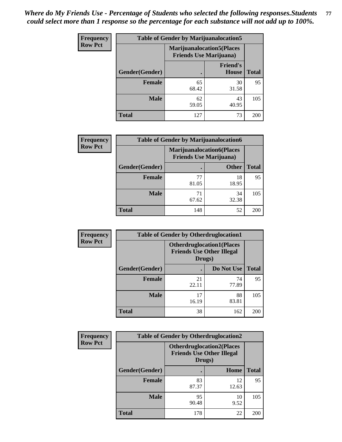| Frequency      | <b>Table of Gender by Marijuanalocation5</b> |                                                                    |                                 |              |
|----------------|----------------------------------------------|--------------------------------------------------------------------|---------------------------------|--------------|
| <b>Row Pct</b> |                                              | <b>Marijuanalocation5(Places</b><br><b>Friends Use Marijuana</b> ) |                                 |              |
|                | Gender(Gender)                               |                                                                    | <b>Friend's</b><br><b>House</b> | <b>Total</b> |
|                | <b>Female</b>                                | 65<br>68.42                                                        | 30<br>31.58                     | 95           |
|                | <b>Male</b>                                  | 62<br>59.05                                                        | 43<br>40.95                     | 105          |
|                | <b>Total</b>                                 | 127                                                                | 73                              | 200          |

| <b>Frequency</b> | <b>Table of Gender by Marijuanalocation6</b> |                                |                                  |              |
|------------------|----------------------------------------------|--------------------------------|----------------------------------|--------------|
| <b>Row Pct</b>   |                                              | <b>Friends Use Marijuana</b> ) | <b>Marijuanalocation6(Places</b> |              |
|                  | Gender(Gender)                               |                                | <b>Other</b>                     | <b>Total</b> |
|                  | <b>Female</b>                                | 77<br>81.05                    | 18<br>18.95                      | 95           |
|                  | <b>Male</b>                                  | 71<br>67.62                    | 34<br>32.38                      | 105          |
|                  | <b>Total</b>                                 | 148                            | 52                               | 200          |

| <b>Frequency</b> | <b>Table of Gender by Otherdruglocation1</b> |                                            |                                  |              |
|------------------|----------------------------------------------|--------------------------------------------|----------------------------------|--------------|
| <b>Row Pct</b>   |                                              | <b>Friends Use Other Illegal</b><br>Drugs) | <b>Otherdruglocation1(Places</b> |              |
|                  | Gender(Gender)                               |                                            | Do Not Use                       | <b>Total</b> |
|                  | Female                                       | 21<br>22.11                                | 74<br>77.89                      | 95           |
|                  | <b>Male</b>                                  | 17<br>16.19                                | 88<br>83.81                      | 105          |
|                  | <b>Total</b>                                 | 38                                         | 162                              | 200          |

| <b>Frequency</b> | <b>Table of Gender by Otherdruglocation2</b> |                                                                                |             |              |
|------------------|----------------------------------------------|--------------------------------------------------------------------------------|-------------|--------------|
| <b>Row Pct</b>   |                                              | <b>Otherdruglocation2(Places</b><br><b>Friends Use Other Illegal</b><br>Drugs) |             |              |
|                  | Gender(Gender)                               |                                                                                | Home        | <b>Total</b> |
|                  | Female                                       | 83<br>87.37                                                                    | 12<br>12.63 | 95           |
|                  | <b>Male</b>                                  | 95<br>90.48                                                                    | 10<br>9.52  | 105          |
|                  | <b>Total</b>                                 | 178                                                                            | 22          | 200          |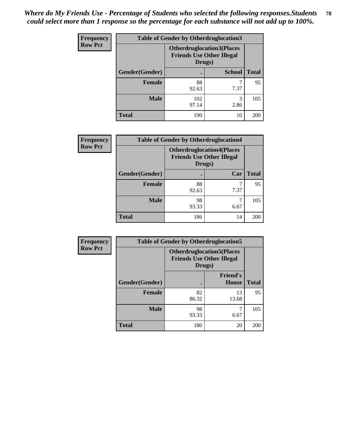| Frequency      | <b>Table of Gender by Otherdruglocation3</b> |                                                                                |               |              |
|----------------|----------------------------------------------|--------------------------------------------------------------------------------|---------------|--------------|
| <b>Row Pct</b> |                                              | <b>Otherdruglocation3(Places</b><br><b>Friends Use Other Illegal</b><br>Drugs) |               |              |
|                | Gender(Gender)                               |                                                                                | <b>School</b> | <b>Total</b> |
|                | <b>Female</b>                                | 88<br>92.63                                                                    | 7.37          | 95           |
|                | <b>Male</b>                                  | 102<br>97.14                                                                   | 3<br>2.86     | 105          |
|                | <b>Total</b>                                 | 190                                                                            | 10            | 200          |

| Frequency      | <b>Table of Gender by Otherdruglocation4</b> |                                                                                |           |              |
|----------------|----------------------------------------------|--------------------------------------------------------------------------------|-----------|--------------|
| <b>Row Pct</b> |                                              | <b>Otherdruglocation4(Places</b><br><b>Friends Use Other Illegal</b><br>Drugs) |           |              |
|                | Gender(Gender)                               |                                                                                | Car       | <b>Total</b> |
|                | Female                                       | 88<br>92.63                                                                    | 7<br>7.37 | 95           |
|                | <b>Male</b>                                  | 98<br>93.33                                                                    | 6.67      | 105          |
|                | <b>Total</b>                                 | 186                                                                            | 14        | <b>200</b>   |

| <b>Frequency</b> | <b>Table of Gender by Otherdruglocation5</b> |             |                                                                      |              |
|------------------|----------------------------------------------|-------------|----------------------------------------------------------------------|--------------|
| <b>Row Pct</b>   |                                              | Drugs)      | <b>Otherdruglocation5(Places</b><br><b>Friends Use Other Illegal</b> |              |
|                  | Gender(Gender)                               |             | <b>Friend's</b><br><b>House</b>                                      | <b>Total</b> |
|                  | <b>Female</b>                                | 82<br>86.32 | 13<br>13.68                                                          | 95           |
|                  | <b>Male</b>                                  | 98<br>93.33 | 6.67                                                                 | 105          |
|                  | <b>Total</b>                                 | 180         | 20                                                                   | 200          |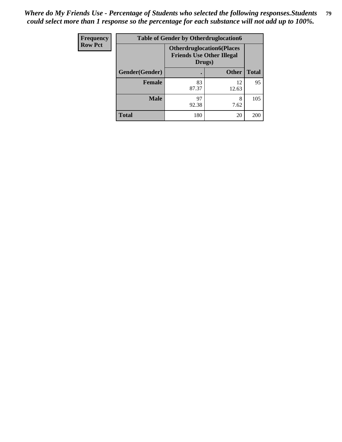| Frequency      | <b>Table of Gender by Otherdruglocation6</b> |                                                                                |              |              |
|----------------|----------------------------------------------|--------------------------------------------------------------------------------|--------------|--------------|
| <b>Row Pct</b> |                                              | <b>Otherdruglocation6(Places</b><br><b>Friends Use Other Illegal</b><br>Drugs) |              |              |
|                | Gender(Gender)                               |                                                                                | <b>Other</b> | <b>Total</b> |
|                | Female                                       | 83<br>87.37                                                                    | 12<br>12.63  | 95           |
|                | <b>Male</b>                                  | 97<br>92.38                                                                    | 8<br>7.62    | 105          |
|                | <b>Total</b>                                 | 180                                                                            | 20           | 200          |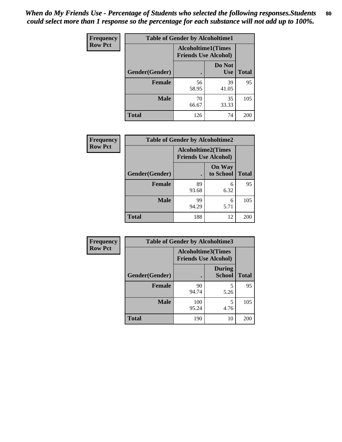| <b>Frequency</b> | <b>Table of Gender by Alcoholtime1</b> |                                                          |                      |              |
|------------------|----------------------------------------|----------------------------------------------------------|----------------------|--------------|
| <b>Row Pct</b>   |                                        | <b>Alcoholtime1(Times</b><br><b>Friends Use Alcohol)</b> |                      |              |
|                  | Gender(Gender)                         | $\bullet$                                                | Do Not<br><b>Use</b> | <b>Total</b> |
|                  | <b>Female</b>                          | 56<br>58.95                                              | 39<br>41.05          | 95           |
|                  | <b>Male</b>                            | 70<br>66.67                                              | 35<br>33.33          | 105          |
|                  | <b>Total</b>                           | 126                                                      | 74                   | 200          |

| Frequency      | <b>Table of Gender by Alcoholtime2</b> |                                                          |                            |              |
|----------------|----------------------------------------|----------------------------------------------------------|----------------------------|--------------|
| <b>Row Pct</b> |                                        | <b>Alcoholtime2(Times</b><br><b>Friends Use Alcohol)</b> |                            |              |
|                | Gender(Gender)                         |                                                          | <b>On Way</b><br>to School | <b>Total</b> |
|                | <b>Female</b>                          | 89<br>93.68                                              | 6<br>6.32                  | 95           |
|                | <b>Male</b>                            | 99<br>94.29                                              | 6<br>5.71                  | 105          |
|                | <b>Total</b>                           | 188                                                      | 12                         | 200          |

| <b>Frequency</b> | <b>Table of Gender by Alcoholtime3</b> |                                                          |                                |              |
|------------------|----------------------------------------|----------------------------------------------------------|--------------------------------|--------------|
| <b>Row Pct</b>   |                                        | <b>Alcoholtime3(Times</b><br><b>Friends Use Alcohol)</b> |                                |              |
|                  | Gender(Gender)                         |                                                          | <b>During</b><br><b>School</b> | <b>Total</b> |
|                  | Female                                 | 90<br>94.74                                              | 5<br>5.26                      | 95           |
|                  | <b>Male</b>                            | 100<br>95.24                                             | 5<br>4.76                      | 105          |
|                  | <b>Total</b>                           | 190                                                      | 10                             | 200          |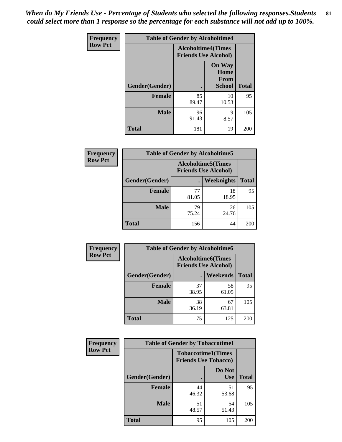*When do My Friends Use - Percentage of Students who selected the following responses.Students could select more than 1 response so the percentage for each substance will not add up to 100%.* **81**

| <b>Frequency</b> | <b>Table of Gender by Alcoholtime4</b> |                                                          |                                                       |              |
|------------------|----------------------------------------|----------------------------------------------------------|-------------------------------------------------------|--------------|
| <b>Row Pct</b>   |                                        | <b>Alcoholtime4(Times</b><br><b>Friends Use Alcohol)</b> |                                                       |              |
|                  | Gender(Gender)                         | $\bullet$                                                | <b>On Way</b><br>Home<br><b>From</b><br><b>School</b> | <b>Total</b> |
|                  | <b>Female</b>                          | 85<br>89.47                                              | 10<br>10.53                                           | 95           |
|                  | <b>Male</b>                            | 96<br>91.43                                              | 9<br>8.57                                             | 105          |
|                  | <b>Total</b>                           | 181                                                      | 19                                                    | 200          |

| <b>Frequency</b> | <b>Table of Gender by Alcoholtime5</b> |                                                           |             |              |
|------------------|----------------------------------------|-----------------------------------------------------------|-------------|--------------|
| <b>Row Pct</b>   |                                        | <b>Alcoholtime5</b> (Times<br><b>Friends Use Alcohol)</b> |             |              |
|                  | Gender(Gender)                         |                                                           | Weeknights  | <b>Total</b> |
|                  | <b>Female</b>                          | 77<br>81.05                                               | 18<br>18.95 | 95           |
|                  | <b>Male</b>                            | 79<br>75.24                                               | 26<br>24.76 | 105          |
|                  | <b>Total</b>                           | 156                                                       | 44          | 200          |

| <b>Frequency</b> | <b>Table of Gender by Alcoholtime6</b> |             |                                                          |              |
|------------------|----------------------------------------|-------------|----------------------------------------------------------|--------------|
| <b>Row Pct</b>   |                                        |             | <b>Alcoholtime6(Times</b><br><b>Friends Use Alcohol)</b> |              |
|                  | Gender(Gender)                         |             | Weekends                                                 | <b>Total</b> |
|                  | Female                                 | 37<br>38.95 | 58<br>61.05                                              | 95           |
|                  | <b>Male</b>                            | 38<br>36.19 | 67<br>63.81                                              | 105          |
|                  | <b>Total</b>                           | 75          | 125                                                      | 200          |

| Frequency      | <b>Table of Gender by Tobaccotime1</b> |                                                          |                      |              |
|----------------|----------------------------------------|----------------------------------------------------------|----------------------|--------------|
| <b>Row Pct</b> |                                        | <b>Tobaccotime1(Times</b><br><b>Friends Use Tobacco)</b> |                      |              |
|                | Gender(Gender)                         |                                                          | Do Not<br><b>Use</b> | <b>Total</b> |
|                | <b>Female</b>                          | 44<br>46.32                                              | 51<br>53.68          | 95           |
|                | <b>Male</b>                            | 51<br>48.57                                              | 54<br>51.43          | 105          |
|                | <b>Total</b>                           | 95                                                       | 105                  | 200          |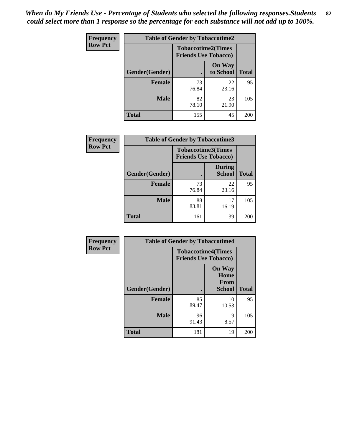*When do My Friends Use - Percentage of Students who selected the following responses.Students could select more than 1 response so the percentage for each substance will not add up to 100%.* **82**

| <b>Frequency</b> | <b>Table of Gender by Tobaccotime2</b> |                                                          |                            |              |
|------------------|----------------------------------------|----------------------------------------------------------|----------------------------|--------------|
| <b>Row Pct</b>   |                                        | <b>Tobaccotime2(Times</b><br><b>Friends Use Tobacco)</b> |                            |              |
|                  | Gender(Gender)                         | $\bullet$                                                | <b>On Way</b><br>to School | <b>Total</b> |
|                  | Female                                 | 73<br>76.84                                              | 22<br>23.16                | 95           |
|                  | <b>Male</b>                            | 82<br>78.10                                              | 23<br>21.90                | 105          |
|                  | <b>Total</b>                           | 155                                                      | 45                         | 200          |

| Frequency      | <b>Table of Gender by Tobaccotime3</b> |                                                          |                                |              |
|----------------|----------------------------------------|----------------------------------------------------------|--------------------------------|--------------|
| <b>Row Pct</b> |                                        | <b>Tobaccotime3(Times</b><br><b>Friends Use Tobacco)</b> |                                |              |
|                | Gender(Gender)                         |                                                          | <b>During</b><br><b>School</b> | <b>Total</b> |
|                | <b>Female</b>                          | 73<br>76.84                                              | 22<br>23.16                    | 95           |
|                | <b>Male</b>                            | 88<br>83.81                                              | 17<br>16.19                    | 105          |
|                | <b>Total</b>                           | 161                                                      | 39                             | 200          |

| Frequency      | <b>Table of Gender by Tobaccotime4</b> |                                                          |                                                |              |
|----------------|----------------------------------------|----------------------------------------------------------|------------------------------------------------|--------------|
| <b>Row Pct</b> |                                        | <b>Tobaccotime4(Times</b><br><b>Friends Use Tobacco)</b> |                                                |              |
|                | Gender(Gender)                         |                                                          | <b>On Way</b><br>Home<br>From<br><b>School</b> | <b>Total</b> |
|                | <b>Female</b>                          | 85<br>89.47                                              | 10<br>10.53                                    | 95           |
|                | <b>Male</b>                            | 96<br>91.43                                              | 9<br>8.57                                      | 105          |
|                | <b>Total</b>                           | 181                                                      | 19                                             | 200          |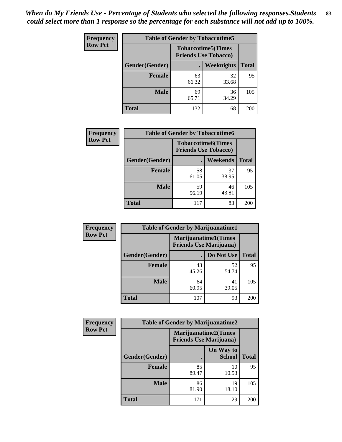| Frequency      | <b>Table of Gender by Tobaccotime5</b> |             |                                                          |              |  |
|----------------|----------------------------------------|-------------|----------------------------------------------------------|--------------|--|
| <b>Row Pct</b> |                                        |             | <b>Tobaccotime5(Times</b><br><b>Friends Use Tobacco)</b> |              |  |
|                | Gender(Gender)                         |             | Weeknights                                               | <b>Total</b> |  |
|                | <b>Female</b>                          | 63<br>66.32 | 32<br>33.68                                              | 95           |  |
|                | <b>Male</b>                            | 69<br>65.71 | 36<br>34.29                                              | 105          |  |
|                | <b>Total</b>                           | 132         | 68                                                       | 200          |  |

| <b>Frequency</b> | <b>Table of Gender by Tobaccotime6</b> |                                                          |                 |              |
|------------------|----------------------------------------|----------------------------------------------------------|-----------------|--------------|
| <b>Row Pct</b>   |                                        | <b>Tobaccotime6(Times</b><br><b>Friends Use Tobacco)</b> |                 |              |
|                  | Gender(Gender)                         |                                                          | <b>Weekends</b> | <b>Total</b> |
|                  | Female                                 | 58<br>61.05                                              | 37<br>38.95     | 95           |
|                  | <b>Male</b>                            | 59<br>56.19                                              | 46<br>43.81     | 105          |
|                  | <b>Total</b>                           | 117                                                      | 83              | 200          |

| <b>Frequency</b> |                | <b>Table of Gender by Marijuanatime1</b>                      |             |              |
|------------------|----------------|---------------------------------------------------------------|-------------|--------------|
| <b>Row Pct</b>   |                | <b>Marijuanatime1(Times</b><br><b>Friends Use Marijuana</b> ) |             |              |
|                  | Gender(Gender) |                                                               | Do Not Use  | <b>Total</b> |
|                  | <b>Female</b>  | 43<br>45.26                                                   | 52<br>54.74 | 95           |
|                  | <b>Male</b>    | 64<br>60.95                                                   | 41<br>39.05 | 105          |
|                  | <b>Total</b>   | 107                                                           | 93          | 200          |

| <b>Frequency</b> | <b>Table of Gender by Marijuanatime2</b> |                                                               |                            |              |
|------------------|------------------------------------------|---------------------------------------------------------------|----------------------------|--------------|
| <b>Row Pct</b>   |                                          | <b>Marijuanatime2(Times</b><br><b>Friends Use Marijuana</b> ) |                            |              |
|                  | Gender(Gender)                           |                                                               | On Way to<br><b>School</b> | <b>Total</b> |
|                  | Female                                   | 85<br>89.47                                                   | 10<br>10.53                | 95           |
|                  | <b>Male</b>                              | 86<br>81.90                                                   | 19<br>18.10                | 105          |
|                  | <b>Total</b>                             | 171                                                           | 29                         | 200          |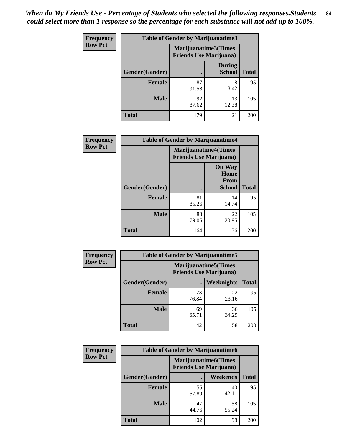*When do My Friends Use - Percentage of Students who selected the following responses.Students could select more than 1 response so the percentage for each substance will not add up to 100%.* **84**

| <b>Frequency</b> | Table of Gender by Marijuanatime3 |                                                        |                                |              |
|------------------|-----------------------------------|--------------------------------------------------------|--------------------------------|--------------|
| <b>Row Pct</b>   |                                   | Marijuanatime3(Times<br><b>Friends Use Marijuana</b> ) |                                |              |
|                  | Gender(Gender)                    |                                                        | <b>During</b><br><b>School</b> | <b>Total</b> |
|                  | <b>Female</b>                     | 87<br>91.58                                            | 8<br>8.42                      | 95           |
|                  | <b>Male</b>                       | 92<br>87.62                                            | 13<br>12.38                    | 105          |
|                  | <b>Total</b>                      | 179                                                    | 21                             | 200          |

| Frequency      | <b>Table of Gender by Marijuanatime4</b> |                                |                                                       |              |
|----------------|------------------------------------------|--------------------------------|-------------------------------------------------------|--------------|
| <b>Row Pct</b> |                                          | <b>Friends Use Marijuana</b> ) | <b>Marijuanatime4</b> (Times                          |              |
|                | Gender(Gender)                           |                                | <b>On Way</b><br>Home<br><b>From</b><br><b>School</b> | <b>Total</b> |
|                | <b>Female</b>                            | 81<br>85.26                    | 14<br>14.74                                           | 95           |
|                | <b>Male</b>                              | 83<br>79.05                    | 22<br>20.95                                           | 105          |
|                | <b>Total</b>                             | 164                            | 36                                                    | 200          |

| <b>Frequency</b> | <b>Table of Gender by Marijuanatime5</b> |             |                                                                |              |  |
|------------------|------------------------------------------|-------------|----------------------------------------------------------------|--------------|--|
| <b>Row Pct</b>   |                                          |             | <b>Marijuanatime5</b> (Times<br><b>Friends Use Marijuana</b> ) |              |  |
|                  | Gender(Gender)                           |             | Weeknights                                                     | <b>Total</b> |  |
|                  | <b>Female</b>                            | 73<br>76.84 | 22<br>23.16                                                    | 95           |  |
|                  | <b>Male</b>                              | 69<br>65.71 | 36<br>34.29                                                    | 105          |  |
|                  | <b>Total</b>                             | 142         | 58                                                             | 200          |  |

| <b>Frequency</b> | <b>Table of Gender by Marijuanatime6</b> |                                                               |                 |              |  |
|------------------|------------------------------------------|---------------------------------------------------------------|-----------------|--------------|--|
| <b>Row Pct</b>   |                                          | <b>Marijuanatime6(Times</b><br><b>Friends Use Marijuana</b> ) |                 |              |  |
|                  | Gender(Gender)                           |                                                               | <b>Weekends</b> | <b>Total</b> |  |
|                  | <b>Female</b>                            | 55<br>57.89                                                   | 40<br>42.11     | 95           |  |
|                  | <b>Male</b>                              | 47<br>44.76                                                   | 58<br>55.24     | 105          |  |
|                  | <b>Total</b>                             | 102                                                           | 98              | 200          |  |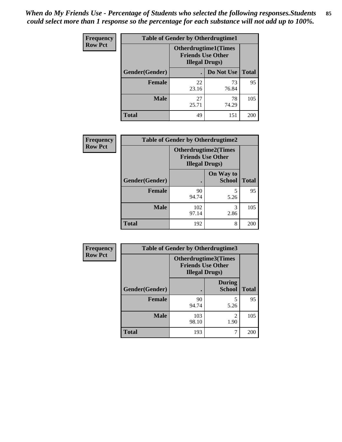*When do My Friends Use - Percentage of Students who selected the following responses.Students could select more than 1 response so the percentage for each substance will not add up to 100%.* **85**

| <b>Frequency</b> | <b>Table of Gender by Otherdrugtime1</b> |                                                                                   |                    |     |
|------------------|------------------------------------------|-----------------------------------------------------------------------------------|--------------------|-----|
| <b>Row Pct</b>   |                                          | <b>Otherdrugtime1(Times</b><br><b>Friends Use Other</b><br><b>Illegal Drugs</b> ) |                    |     |
|                  | Gender(Gender)                           |                                                                                   | Do Not Use   Total |     |
|                  | <b>Female</b>                            | 22<br>23.16                                                                       | 73<br>76.84        | 95  |
|                  | Male                                     | 27<br>25.71                                                                       | 78<br>74.29        | 105 |
|                  | <b>Total</b>                             | 49                                                                                | 151                | 200 |

| Frequency      | <b>Table of Gender by Otherdrugtime2</b> |                                                                                   |                            |              |
|----------------|------------------------------------------|-----------------------------------------------------------------------------------|----------------------------|--------------|
| <b>Row Pct</b> |                                          | <b>Otherdrugtime2(Times</b><br><b>Friends Use Other</b><br><b>Illegal Drugs</b> ) |                            |              |
|                | Gender(Gender)                           |                                                                                   | On Way to<br><b>School</b> | <b>Total</b> |
|                | <b>Female</b>                            | 90<br>94.74                                                                       | 5<br>5.26                  | 95           |
|                | <b>Male</b>                              | 102<br>97.14                                                                      | 3<br>2.86                  | 105          |
|                | <b>Total</b>                             | 192                                                                               | 8                          | 200          |

| Frequency      | <b>Table of Gender by Otherdrugtime3</b> |                        |                                                         |              |
|----------------|------------------------------------------|------------------------|---------------------------------------------------------|--------------|
| <b>Row Pct</b> |                                          | <b>Illegal Drugs</b> ) | <b>Otherdrugtime3(Times</b><br><b>Friends Use Other</b> |              |
|                | Gender(Gender)                           |                        | <b>During</b><br><b>School</b>                          | <b>Total</b> |
|                | <b>Female</b>                            | 90<br>94.74            | 5<br>5.26                                               | 95           |
|                | <b>Male</b>                              | 103<br>98.10           | $\mathfrak{D}$<br>1.90                                  | 105          |
|                | <b>Total</b>                             | 193                    | 7                                                       | 200          |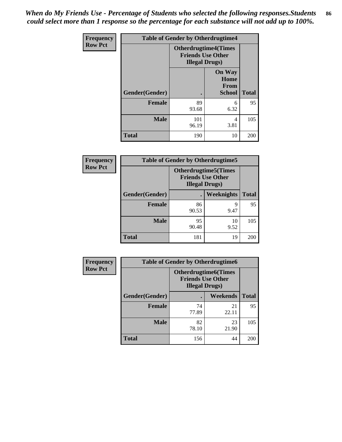*When do My Friends Use - Percentage of Students who selected the following responses.Students could select more than 1 response so the percentage for each substance will not add up to 100%.* **86**

| <b>Frequency</b> | <b>Table of Gender by Otherdrugtime4</b> |                                                    |                                                |              |
|------------------|------------------------------------------|----------------------------------------------------|------------------------------------------------|--------------|
| <b>Row Pct</b>   |                                          | <b>Friends Use Other</b><br><b>Illegal Drugs</b> ) | <b>Otherdrugtime4(Times</b>                    |              |
|                  | Gender(Gender)                           |                                                    | <b>On Way</b><br>Home<br>From<br><b>School</b> | <b>Total</b> |
|                  | Female                                   | 89<br>93.68                                        | 6<br>6.32                                      | 95           |
|                  | <b>Male</b>                              | 101<br>96.19                                       | 4<br>3.81                                      | 105          |
|                  | <b>Total</b>                             | 190                                                | 10                                             | 200          |

| Frequency      | <b>Table of Gender by Otherdrugtime5</b> |                                                                                    |            |              |
|----------------|------------------------------------------|------------------------------------------------------------------------------------|------------|--------------|
| <b>Row Pct</b> |                                          | <b>Otherdrugtime5</b> (Times<br><b>Friends Use Other</b><br><b>Illegal Drugs</b> ) |            |              |
|                | Gender(Gender)                           |                                                                                    | Weeknights | <b>Total</b> |
|                | <b>Female</b>                            | 86<br>90.53                                                                        | 9<br>9.47  | 95           |
|                | <b>Male</b>                              | 95<br>90.48                                                                        | 10<br>9.52 | 105          |
|                | <b>Total</b>                             | 181                                                                                | 19         | 200          |

| <b>Frequency</b> | <b>Table of Gender by Otherdrugtime6</b> |                                                                                   |                 |              |  |
|------------------|------------------------------------------|-----------------------------------------------------------------------------------|-----------------|--------------|--|
| <b>Row Pct</b>   |                                          | <b>Otherdrugtime6(Times</b><br><b>Friends Use Other</b><br><b>Illegal Drugs</b> ) |                 |              |  |
|                  | Gender(Gender)                           |                                                                                   | <b>Weekends</b> | <b>Total</b> |  |
|                  | <b>Female</b>                            | 74<br>77.89                                                                       | 21<br>22.11     | 95           |  |
|                  | <b>Male</b>                              | 82<br>78.10                                                                       | 23<br>21.90     | 105          |  |
|                  | <b>Total</b>                             | 156                                                                               | 44              | 200          |  |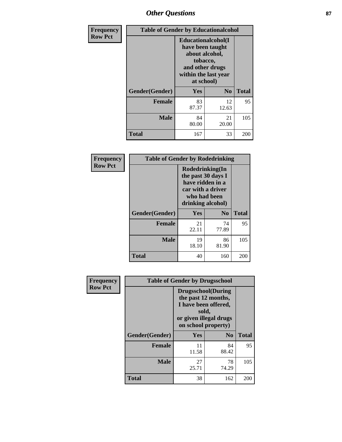## *Other Questions* **87**

| Frequency      | <b>Table of Gender by Educationalcohol</b> |                                                                                                                               |                |              |  |
|----------------|--------------------------------------------|-------------------------------------------------------------------------------------------------------------------------------|----------------|--------------|--|
| <b>Row Pct</b> |                                            | Educationalcohol(I<br>have been taught<br>about alcohol,<br>tobacco,<br>and other drugs<br>within the last year<br>at school) |                |              |  |
|                | Gender(Gender)                             | Yes                                                                                                                           | N <sub>0</sub> | <b>Total</b> |  |
|                | <b>Female</b>                              | 83<br>87.37                                                                                                                   | 12<br>12.63    | 95           |  |
|                | <b>Male</b>                                | 84<br>80.00                                                                                                                   | 21<br>20.00    | 105          |  |
|                | <b>Total</b>                               | 167                                                                                                                           | 33             | 200          |  |

| Frequency      | <b>Table of Gender by Rodedrinking</b> |                                                                                                                     |             |              |  |
|----------------|----------------------------------------|---------------------------------------------------------------------------------------------------------------------|-------------|--------------|--|
| <b>Row Pct</b> |                                        | Rodedrinking(In<br>the past 30 days I<br>have ridden in a<br>car with a driver<br>who had been<br>drinking alcohol) |             |              |  |
|                | Gender(Gender)                         | Yes                                                                                                                 | $\bf N_0$   | <b>Total</b> |  |
|                | <b>Female</b>                          | 21<br>22.11                                                                                                         | 74<br>77.89 | 95           |  |
|                | <b>Male</b>                            | 19<br>18.10                                                                                                         | 86<br>81.90 | 105          |  |
|                | <b>Total</b>                           | 40                                                                                                                  | 160         | 200          |  |

| Frequency      | <b>Table of Gender by Drugsschool</b> |                                                                                                                                     |                |              |  |
|----------------|---------------------------------------|-------------------------------------------------------------------------------------------------------------------------------------|----------------|--------------|--|
| <b>Row Pct</b> |                                       | <b>Drugsschool</b> (During<br>the past 12 months,<br>I have been offered,<br>sold,<br>or given illegal drugs<br>on school property) |                |              |  |
|                | Gender(Gender)                        | <b>Yes</b>                                                                                                                          | N <sub>0</sub> | <b>Total</b> |  |
|                | <b>Female</b>                         | 11<br>11.58                                                                                                                         | 84<br>88.42    | 95           |  |
|                | <b>Male</b>                           | 27<br>25.71                                                                                                                         | 78<br>74.29    | 105          |  |
|                | <b>Total</b>                          | 38                                                                                                                                  | 162            | 200          |  |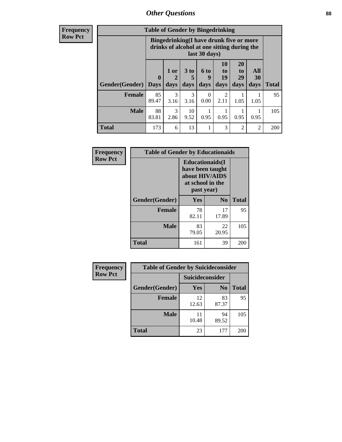### *Other Questions* **88**

**Frequency Row Pct**

| <b>Table of Gender by Bingedrinking</b> |                         |                                                                                                         |                   |                   |                               |                        |                   |              |
|-----------------------------------------|-------------------------|---------------------------------------------------------------------------------------------------------|-------------------|-------------------|-------------------------------|------------------------|-------------------|--------------|
|                                         |                         | Bingedrinking(I have drunk five or more<br>drinks of alcohol at one sitting during the<br>last 30 days) |                   |                   |                               |                        |                   |              |
| <b>Gender</b> (Gender)                  | $\bf{0}$<br><b>Davs</b> | 1 or<br>days                                                                                            | 3 to<br>5<br>days | 6 to<br>9<br>days | <b>10</b><br>to<br>19<br>days | 20<br>to<br>29<br>days | All<br>30<br>days | <b>Total</b> |
| <b>Female</b>                           | 85<br>89.47             | 3<br>3.16                                                                                               | 3<br>3.16         | 0.00              | $\mathfrak{D}$<br>2.11        | 1.05                   | 1.05              | 95           |
| <b>Male</b>                             | 88<br>83.81             | 3<br>2.86                                                                                               | 10<br>9.52        | 0.95              | 0.95                          | 0.95                   | 0.95              | 105          |
| <b>Total</b>                            | 173                     | 6                                                                                                       | 13                |                   | 3                             | $\mathfrak{D}$         | $\mathfrak{D}$    | 200          |

| Frequency      | <b>Table of Gender by Educationaids</b> |                                                                                                 |                |              |  |
|----------------|-----------------------------------------|-------------------------------------------------------------------------------------------------|----------------|--------------|--|
| <b>Row Pct</b> |                                         | <b>Educationaids</b> (I<br>have been taught<br>about HIV/AIDS<br>at school in the<br>past year) |                |              |  |
|                | Gender(Gender)                          | Yes                                                                                             | N <sub>0</sub> | <b>Total</b> |  |
|                | <b>Female</b>                           | 78<br>82.11                                                                                     | 17<br>17.89    | 95           |  |
|                | <b>Male</b>                             | 83<br>79.05                                                                                     | 22<br>20.95    | 105          |  |
|                | <b>Total</b>                            | 161                                                                                             | 39             | 200          |  |

| <b>Frequency</b> | <b>Table of Gender by Suicideconsider</b> |                        |                |              |  |
|------------------|-------------------------------------------|------------------------|----------------|--------------|--|
| <b>Row Pct</b>   |                                           | <b>Suicideconsider</b> |                |              |  |
|                  | Gender(Gender)                            | Yes                    | N <sub>0</sub> | <b>Total</b> |  |
|                  | Female                                    | 12<br>12.63            | 83<br>87.37    | 95           |  |
|                  | <b>Male</b>                               | 11<br>10.48            | 94<br>89.52    | 105          |  |
|                  | <b>Total</b>                              | 23                     | 177            | 200          |  |